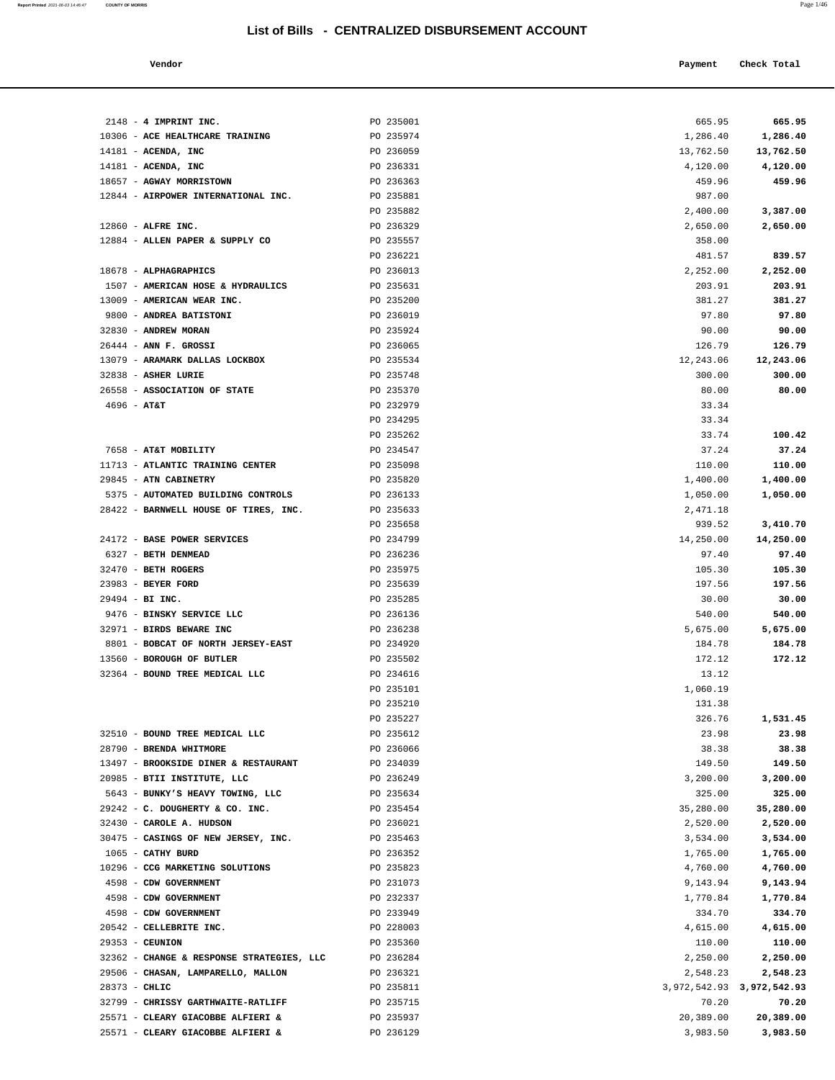| Vendor | Payment Check Total<br>. |
|--------|--------------------------|

| $2148$ - 4 IMPRINT INC.                               | PO 235001              | 665.95                                   | 665.95              |
|-------------------------------------------------------|------------------------|------------------------------------------|---------------------|
| 10306 - ACE HEALTHCARE TRAINING                       | PO 235974              | 1,286.40                                 | 1,286.40            |
| $14181$ - ACENDA, INC                                 | PO 236059              | 13,762.50                                | 13,762.50           |
| $14181$ - ACENDA, INC                                 | PO 236331              | 4,120.00                                 | 4,120.00            |
| 18657 - AGWAY MORRISTOWN                              | PO 236363              | 459.96                                   | 459.96              |
| 12844 - AIRPOWER INTERNATIONAL INC.                   | PO 235881              | 987.00                                   |                     |
|                                                       | PO 235882              | 2,400.00                                 | 3,387.00            |
| 12860 - ALFRE INC.                                    | PO 236329              | 2,650.00                                 | 2,650.00            |
| 12884 - ALLEN PAPER & SUPPLY CO                       | PO 235557              | 358.00                                   |                     |
|                                                       | PO 236221              | 481.57                                   | 839.57              |
| 18678 - ALPHAGRAPHICS                                 | PO 236013              | 2,252.00                                 | 2,252.00            |
| 1507 - AMERICAN HOSE & HYDRAULICS                     | PO 235631              | 203.91                                   | 203.91              |
| 13009 - AMERICAN WEAR INC.                            | PO 235200              | 381.27                                   | 381.27              |
| 9800 - ANDREA BATISTONI                               | PO 236019              | 97.80                                    | 97.80               |
| 32830 - ANDREW MORAN                                  | PO 235924              | 90.00                                    | 90.00               |
| $26444$ - ANN F. GROSSI                               | PO 236065              | 126.79                                   | 126.79              |
| 13079 - ARAMARK DALLAS LOCKBOX<br>32838 - ASHER LURIE | PO 235534<br>PO 235748 | 12,243.06<br>300.00                      | 12,243.06<br>300.00 |
| 26558 - ASSOCIATION OF STATE                          | PO 235370              | 80.00                                    | 80.00               |
| $4696 - AT&T$                                         | PO 232979              | 33.34                                    |                     |
|                                                       | PO 234295              | 33.34                                    |                     |
|                                                       | PO 235262              | 33.74                                    | 100.42              |
| 7658 - AT&T MOBILITY                                  | PO 234547              | 37.24                                    | 37.24               |
| 11713 - ATLANTIC TRAINING CENTER                      | PO 235098              | 110.00                                   | 110.00              |
| 29845 - ATN CABINETRY                                 | PO 235820              | 1,400.00                                 | 1,400.00            |
| 5375 - AUTOMATED BUILDING CONTROLS                    | PO 236133              | 1,050.00                                 | 1,050.00            |
| 28422 - BARNWELL HOUSE OF TIRES, INC.                 | PO 235633              | 2,471.18                                 |                     |
|                                                       | PO 235658              | 939.52                                   | 3,410.70            |
| 24172 - BASE POWER SERVICES                           | PO 234799              | 14,250.00                                | 14,250.00           |
| 6327 - BETH DENMEAD                                   | PO 236236              | 97.40                                    | 97.40               |
| $32470$ - BETH ROGERS                                 | PO 235975              | 105.30                                   | 105.30              |
| 23983 - BEYER FORD                                    | PO 235639              | 197.56                                   | 197.56              |
| 29494 - BI INC.                                       | PO 235285              | 30.00                                    | 30.00               |
| 9476 - BINSKY SERVICE LLC                             | PO 236136              | 540.00                                   | 540.00              |
| 32971 - BIRDS BEWARE INC                              | PO 236238              | 5,675.00                                 | 5,675.00            |
| 8801 - BOBCAT OF NORTH JERSEY-EAST                    | PO 234920              | 184.78                                   | 184.78              |
| 13560 - BOROUGH OF BUTLER                             | PO 235502              | 172.12                                   | 172.12              |
| 32364 - BOUND TREE MEDICAL LLC                        | PO 234616              | 13.12                                    |                     |
|                                                       | PO 235101              | 1,060.19                                 |                     |
|                                                       | PO 235210<br>PO 235227 | 131.38<br>326.76                         |                     |
| 32510 - BOUND TREE MEDICAL LLC                        | PO 235612              | 23.98                                    | 1,531.45<br>23.98   |
| 28790 - BRENDA WHITMORE                               | PO 236066              | 38.38                                    | 38.38               |
| 13497 - BROOKSIDE DINER & RESTAURANT                  | PO 234039              | 149.50                                   | 149.50              |
| 20985 - BTII INSTITUTE, LLC                           | PO 236249              | 3,200.00                                 | 3,200.00            |
| 5643 - BUNKY'S HEAVY TOWING, LLC                      | PO 235634              | 325.00                                   | 325.00              |
| 29242 - C. DOUGHERTY & CO. INC.                       | PO 235454              | 35,280.00                                | 35,280.00           |
| 32430 - CAROLE A. HUDSON                              | PO 236021              | 2,520.00                                 | 2,520.00            |
| 30475 - CASINGS OF NEW JERSEY, INC.                   | PO 235463              | 3,534.00                                 | 3,534.00            |
| 1065 - CATHY BURD                                     | PO 236352              | 1,765.00                                 | 1,765.00            |
| 10296 - CCG MARKETING SOLUTIONS                       | PO 235823              | 4,760.00                                 | 4,760.00            |
| 4598 - CDW GOVERNMENT                                 | PO 231073              | 9,143.94                                 | 9,143.94            |
| 4598 - CDW GOVERNMENT                                 | PO 232337              | 1,770.84                                 | 1,770.84            |
| 4598 - CDW GOVERNMENT                                 | PO 233949              | 334.70                                   | 334.70              |
| 20542 - CELLEBRITE INC.                               | PO 228003              | 4,615.00                                 | 4,615.00            |
| 29353 - CEUNION                                       | PO 235360              | 110.00                                   | 110.00              |
| 32362 - CHANGE & RESPONSE STRATEGIES, LLC             | PO 236284              | 2,250.00                                 | 2,250.00            |
| 29506 - CHASAN, LAMPARELLO, MALLON                    | PO 236321              | 2,548.23                                 | 2,548.23            |
| 28373 - CHLIC<br>32799 - CHRISSY GARTHWAITE-RATLIFF   | PO 235811<br>PO 235715 | 3, 972, 542. 93 3, 972, 542. 93<br>70.20 | 70.20               |
| 25571 - CLEARY GIACOBBE ALFIERI &                     | PO 235937              | 20,389.00                                | 20,389.00           |
| 25571 - CLEARY GIACOBBE ALFIERI &                     | PO 236129              | 3,983.50                                 | 3,983.50            |
|                                                       |                        |                                          |                     |

**Report Printed** 2021-06-03 14:46:47 **COUNTY OF MORRIS** Page 1/46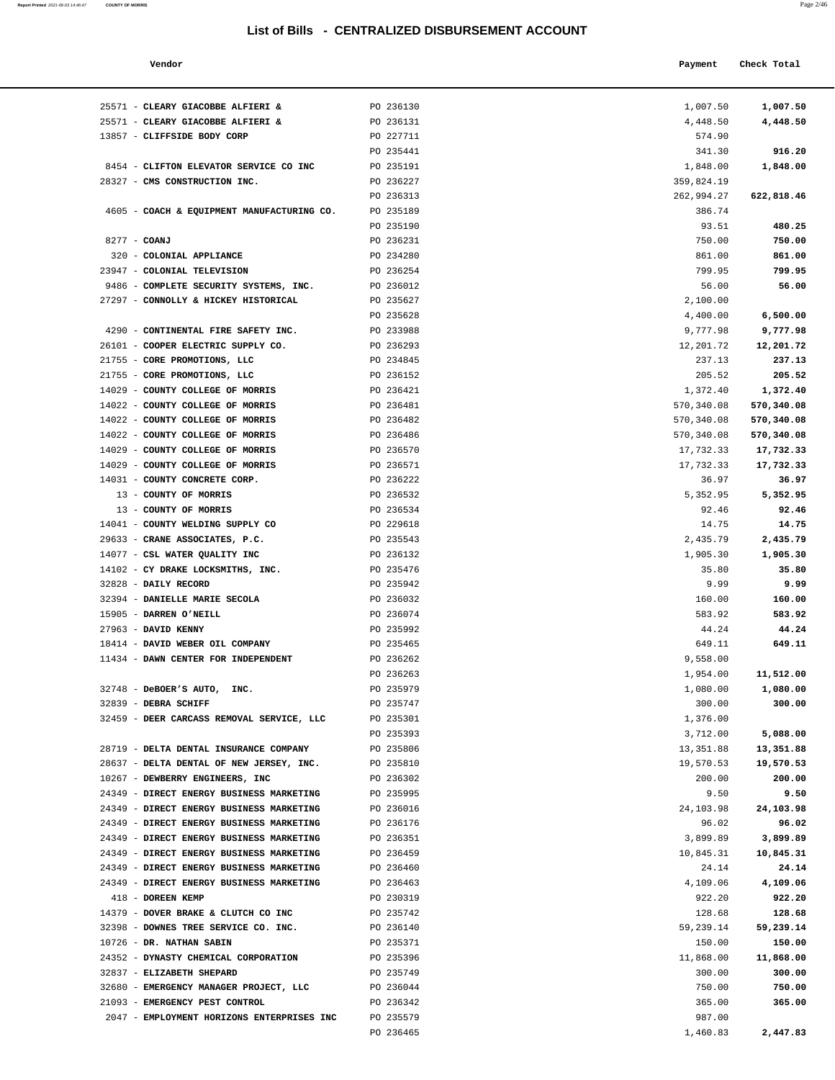|--|--|

| Report Printed 2021-06-03 14:46:47 | COUNTY OF MORRIS                           |                                                  |            | Page 2/46   |
|------------------------------------|--------------------------------------------|--------------------------------------------------|------------|-------------|
|                                    |                                            | List of Bills - CENTRALIZED DISBURSEMENT ACCOUNT |            |             |
|                                    |                                            |                                                  |            |             |
|                                    | Vendor                                     |                                                  | Payment    | Check Total |
|                                    | 25571 - CLEARY GIACOBBE ALFIERI &          | PO 236130                                        | 1,007.50   | 1,007.50    |
|                                    | 25571 - CLEARY GIACOBBE ALFIERI &          | PO 236131                                        | 4,448.50   | 4,448.50    |
|                                    | 13857 - CLIFFSIDE BODY CORP                | PO 227711                                        | 574.90     |             |
|                                    |                                            | PO 235441                                        | 341.30     | 916.20      |
|                                    | 8454 - CLIFTON ELEVATOR SERVICE CO INC     | PO 235191                                        | 1,848.00   | 1,848.00    |
|                                    | 28327 - CMS CONSTRUCTION INC.              | PO 236227                                        | 359,824.19 |             |
|                                    |                                            | PO 236313                                        | 262,994.27 | 622,818.46  |
|                                    | 4605 - COACH & EQUIPMENT MANUFACTURING CO. | PO 235189                                        | 386.74     |             |
|                                    |                                            | PO 235190                                        | 93.51      | 480.25      |
|                                    | 8277 - COANJ                               | PO 236231                                        | 750.00     | 750.00      |
|                                    | 320 - COLONIAL APPLIANCE                   | PO 234280                                        | 861.00     | 861.00      |
|                                    | 23947 - COLONIAL TELEVISION                | PO 236254                                        | 799.95     | 799.95      |
|                                    | 9486 - COMPLETE SECURITY SYSTEMS, INC.     | PO 236012                                        | 56.00      | 56.00       |
|                                    | 27297 - CONNOLLY & HICKEY HISTORICAL       | PO 235627                                        | 2,100.00   |             |
|                                    |                                            | PO 235628                                        | 4,400.00   | 6,500.00    |
|                                    | 4290 - CONTINENTAL FIRE SAFETY INC.        | PO 233988                                        | 9,777.98   | 9,777.98    |
|                                    | 26101 - COOPER ELECTRIC SUPPLY CO.         | PO 236293                                        | 12,201.72  | 12,201.72   |
|                                    | 21755 - CORE PROMOTIONS, LLC               | PO 234845                                        | 237.13     | 237.13      |
|                                    | 21755 - CORE PROMOTIONS, LLC               | PO 236152                                        | 205.52     | 205.52      |
|                                    | 14029 - COUNTY COLLEGE OF MORRIS           | PO 236421                                        | 1,372.40   | 1,372.40    |
|                                    | 14022 - COUNTY COLLEGE OF MORRIS           | PO 236481                                        | 570,340.08 | 570,340.08  |
|                                    | 14022 - COUNTY COLLEGE OF MORRIS           | PO 236482                                        | 570,340.08 | 570,340.08  |
|                                    | 14022 - COUNTY COLLEGE OF MORRIS           | PO 236486                                        | 570,340.08 | 570,340.08  |
|                                    | 14029 - COUNTY COLLEGE OF MORRIS           | PO 236570                                        | 17,732.33  | 17,732.33   |
|                                    | 14029 - COUNTY COLLEGE OF MORRIS           | PO 236571                                        | 17,732.33  | 17,732.33   |
|                                    | 14031 - COUNTY CONCRETE CORP.              | PO 236222                                        | 36.97      | 36.97       |
|                                    | 13 - COUNTY OF MORRIS                      | PO 236532                                        | 5,352.95   | 5,352.95    |
|                                    | 13 - COUNTY OF MORRIS                      | PO 236534                                        | 92.46      | 92.46       |
|                                    | 14041 - COUNTY WELDING SUPPLY CO           | PO 229618                                        | 14.75      | 14.75       |
|                                    | 29633 - CRANE ASSOCIATES, P.C.             | PO 235543                                        | 2,435.79   | 2,435.79    |
|                                    | 14077 - CSL WATER QUALITY INC              | PO 236132                                        | 1,905.30   | 1,905.30    |
|                                    | 14102 - CY DRAKE LOCKSMITHS, INC.          | PO 235476                                        | 35.80      | 35.80       |
|                                    | 32828 - DAILY RECORD                       | PO 235942                                        | 9.99       | 9.99        |
|                                    | 32394 - DANIELLE MARIE SECOLA              | PO 236032                                        | 160.00     | 160.00      |
|                                    | 15905 - DARREN O'NEILL                     | PO 236074                                        | 583.92     | 583.92      |
|                                    | 27963 - DAVID KENNY                        | PO 235992                                        | 44.24      | 44.24       |
|                                    | 18414 - DAVID WEBER OIL COMPANY            | PO 235465                                        | 649.11     | 649.11      |
|                                    | 11434 - DAWN CENTER FOR INDEPENDENT        | PO 236262                                        | 9,558.00   |             |
|                                    |                                            | PO 236263                                        | 1,954.00   | 11,512.00   |
|                                    | 32748 - DeBOER'S AUTO, INC.                | PO 235979                                        | 1,080.00   | 1,080.00    |
|                                    | 32839 - DEBRA SCHIFF                       | PO 235747                                        | 300.00     | 300.00      |
|                                    | 32459 - DEER CARCASS REMOVAL SERVICE, LLC  | PO 235301                                        | 1,376.00   |             |
|                                    |                                            | PO 235393                                        | 3,712.00   | 5,088.00    |
|                                    | 28719 - DELTA DENTAL INSURANCE COMPANY     | PO 235806                                        | 13,351.88  | 13,351.88   |
|                                    | 28637 - DELTA DENTAL OF NEW JERSEY, INC.   | PO 235810                                        | 19,570.53  | 19,570.53   |
|                                    | 10267 - DEWBERRY ENGINEERS, INC            | PO 236302                                        | 200.00     | 200.00      |
|                                    | 24349 - DIRECT ENERGY BUSINESS MARKETING   | PO 235995                                        | 9.50       | 9.50        |
|                                    | 24349 - DIRECT ENERGY BUSINESS MARKETING   | PO 236016                                        | 24,103.98  | 24,103.98   |
|                                    | 24349 - DIRECT ENERGY BUSINESS MARKETING   | PO 236176                                        | 96.02      | 96.02       |
|                                    |                                            |                                                  |            |             |

|                                            | PO 235190 | 93.51      | 480.25     |
|--------------------------------------------|-----------|------------|------------|
| 8277 - COANJ                               | PO 236231 | 750.00     | 750.00     |
| 320 - COLONIAL APPLIANCE                   | PO 234280 | 861.00     | 861.00     |
| 23947 - COLONIAL TELEVISION                | PO 236254 | 799.95     | 799.95     |
| 9486 - COMPLETE SECURITY SYSTEMS, INC.     | PO 236012 | 56.00      | 56.00      |
| 27297 - CONNOLLY & HICKEY HISTORICAL       | PO 235627 | 2,100.00   |            |
|                                            | PO 235628 | 4,400.00   | 6,500.00   |
| 4290 - CONTINENTAL FIRE SAFETY INC.        | PO 233988 | 9,777.98   | 9,777.98   |
| 26101 - COOPER ELECTRIC SUPPLY CO.         | PO 236293 | 12,201.72  | 12,201.72  |
| 21755 - CORE PROMOTIONS, LLC               | PO 234845 | 237.13     | 237.13     |
| 21755 - CORE PROMOTIONS, LLC               | PO 236152 | 205.52     | 205.52     |
| 14029 - COUNTY COLLEGE OF MORRIS           | PO 236421 | 1,372.40   | 1,372.40   |
| 14022 - COUNTY COLLEGE OF MORRIS           | PO 236481 | 570,340.08 | 570,340.08 |
| 14022 - COUNTY COLLEGE OF MORRIS           | PO 236482 | 570,340.08 | 570,340.08 |
| 14022 - COUNTY COLLEGE OF MORRIS           | PO 236486 | 570,340.08 | 570,340.08 |
| 14029 - COUNTY COLLEGE OF MORRIS           | PO 236570 | 17,732.33  | 17,732.33  |
| 14029 - COUNTY COLLEGE OF MORRIS           | PO 236571 | 17,732.33  | 17,732.33  |
| 14031 - COUNTY CONCRETE CORP.              | PO 236222 | 36.97      | 36.97      |
| 13 - COUNTY OF MORRIS                      | PO 236532 | 5,352.95   | 5,352.95   |
| 13 - COUNTY OF MORRIS                      | PO 236534 | 92.46      | 92.46      |
| 14041 - COUNTY WELDING SUPPLY CO           | PO 229618 | 14.75      | 14.75      |
| 29633 - CRANE ASSOCIATES, P.C.             | PO 235543 | 2,435.79   | 2,435.79   |
| 14077 - CSL WATER QUALITY INC              | PO 236132 | 1,905.30   | 1,905.30   |
| 14102 - CY DRAKE LOCKSMITHS, INC.          | PO 235476 | 35.80      | 35.80      |
| 32828 - DAILY RECORD                       | PO 235942 | 9.99       | 9.99       |
| 32394 - DANIELLE MARIE SECOLA              | PO 236032 | 160.00     | 160.00     |
| 15905 - DARREN O'NEILL                     | PO 236074 | 583.92     | 583.92     |
| 27963 - DAVID KENNY                        | PO 235992 | 44.24      | 44.24      |
| 18414 - DAVID WEBER OIL COMPANY            | PO 235465 | 649.11     | 649.11     |
| 11434 - DAWN CENTER FOR INDEPENDENT        | PO 236262 | 9,558.00   |            |
|                                            | PO 236263 | 1,954.00   | 11,512.00  |
| 32748 - DeBOER'S AUTO, INC.                | PO 235979 | 1,080.00   | 1,080.00   |
| 32839 - DEBRA SCHIFF                       | PO 235747 | 300.00     | 300.00     |
| 32459 - DEER CARCASS REMOVAL SERVICE, LLC  | PO 235301 | 1,376.00   |            |
|                                            | PO 235393 | 3,712.00   | 5,088.00   |
| 28719 - DELTA DENTAL INSURANCE COMPANY     | PO 235806 | 13,351.88  | 13,351.88  |
| 28637 - DELTA DENTAL OF NEW JERSEY, INC.   | PO 235810 | 19,570.53  | 19,570.53  |
| 10267 - DEWBERRY ENGINEERS, INC            | PO 236302 | 200.00     | 200.00     |
| 24349 - DIRECT ENERGY BUSINESS MARKETING   | PO 235995 | 9.50       | 9.50       |
| 24349 - DIRECT ENERGY BUSINESS MARKETING   | PO 236016 | 24,103.98  | 24,103.98  |
| 24349 - DIRECT ENERGY BUSINESS MARKETING   | PO 236176 | 96.02      | 96.02      |
| 24349 - DIRECT ENERGY BUSINESS MARKETING   | PO 236351 | 3,899.89   | 3,899.89   |
| 24349 - DIRECT ENERGY BUSINESS MARKETING   | PO 236459 | 10,845.31  | 10,845.31  |
| 24349 - DIRECT ENERGY BUSINESS MARKETING   | PO 236460 | 24.14      | 24.14      |
| 24349 - DIRECT ENERGY BUSINESS MARKETING   | PO 236463 | 4,109.06   | 4,109.06   |
| 418 - DOREEN KEMP                          | PO 230319 | 922.20     | 922.20     |
| 14379 - DOVER BRAKE & CLUTCH CO INC        | PO 235742 | 128.68     | 128.68     |
| 32398 - DOWNES TREE SERVICE CO. INC.       | PO 236140 | 59,239.14  | 59,239.14  |
| 10726 - DR. NATHAN SABIN                   | PO 235371 | 150.00     | 150.00     |
| 24352 - DYNASTY CHEMICAL CORPORATION       | PO 235396 | 11,868.00  | 11,868.00  |
| 32837 - ELIZABETH SHEPARD                  | PO 235749 | 300.00     | 300.00     |
| 32680 - EMERGENCY MANAGER PROJECT, LLC     | PO 236044 | 750.00     | 750.00     |
| 21093 - EMERGENCY PEST CONTROL             | PO 236342 | 365.00     | 365.00     |
| 2047 - EMPLOYMENT HORIZONS ENTERPRISES INC | PO 235579 | 987.00     |            |
|                                            | PO 236465 | 1,460.83   | 2,447.83   |
|                                            |           |            |            |
|                                            |           |            |            |
|                                            |           |            |            |
|                                            |           |            |            |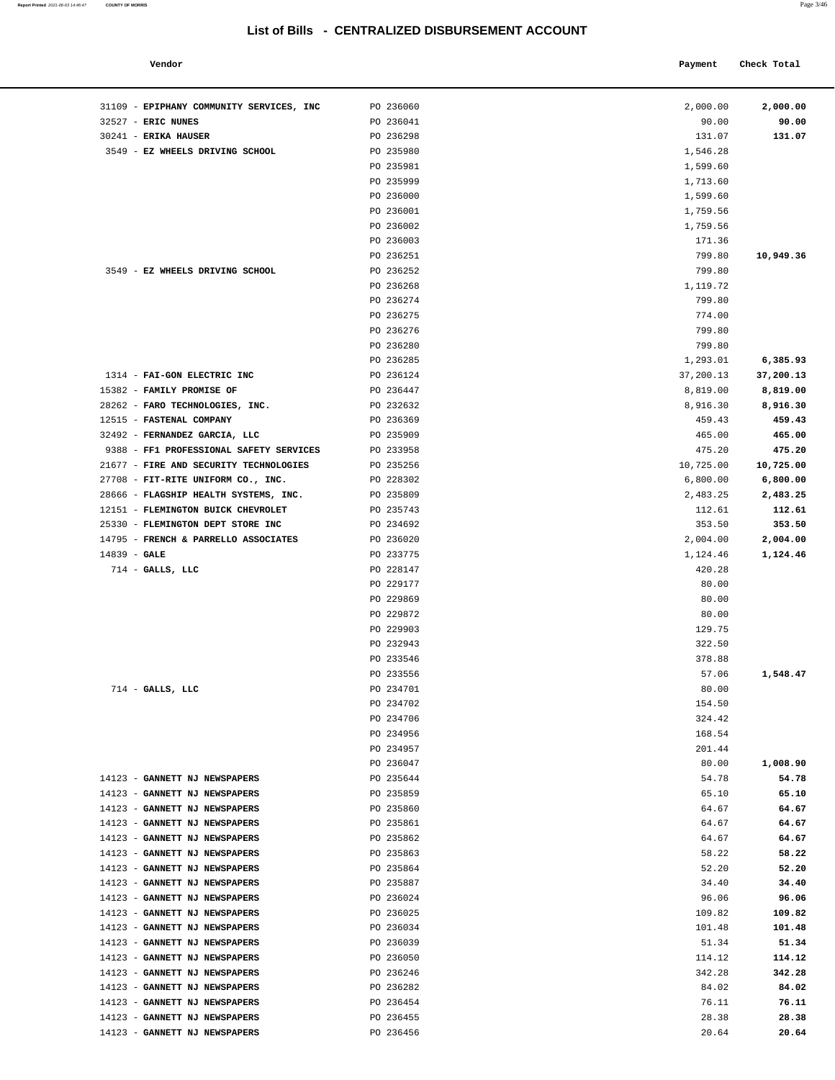#### **Vendor Payment** Check Total **Payment** Check Total **Payment**

| Report Printed 2021-06-03 14:46:47 | <b>COUNTY OF MORRIS</b> | Page 3/46 |
|------------------------------------|-------------------------|-----------|
|                                    |                         |           |

| 31109 - EPIPHANY COMMUNITY SERVICES, INC                                          | PO 236060              | 2,000.00         | 2,000.00            |
|-----------------------------------------------------------------------------------|------------------------|------------------|---------------------|
| 32527 - ERIC NUNES                                                                | PO 236041              | 90.00            | 90.00               |
| 30241 - ERIKA HAUSER                                                              | PO 236298              | 131.07           | 131.07              |
| 3549 - EZ WHEELS DRIVING SCHOOL                                                   | PO 235980              | 1,546.28         |                     |
|                                                                                   | PO 235981              | 1,599.60         |                     |
|                                                                                   | PO 235999              | 1,713.60         |                     |
|                                                                                   | PO 236000              | 1,599.60         |                     |
|                                                                                   | PO 236001              | 1,759.56         |                     |
|                                                                                   | PO 236002              | 1,759.56         |                     |
|                                                                                   | PO 236003              | 171.36           |                     |
|                                                                                   | PO 236251              | 799.80           | 10,949.36           |
| 3549 - EZ WHEELS DRIVING SCHOOL                                                   | PO 236252              | 799.80           |                     |
|                                                                                   | PO 236268              | 1,119.72         |                     |
|                                                                                   | PO 236274              | 799.80           |                     |
|                                                                                   | PO 236275              | 774.00           |                     |
|                                                                                   | PO 236276              | 799.80           |                     |
|                                                                                   | PO 236280              | 799.80           |                     |
|                                                                                   | PO 236285              | 1,293.01         | 6,385.93            |
| 1314 - FAI-GON ELECTRIC INC                                                       | PO 236124              | 37,200.13        | 37,200.13           |
| 15382 - FAMILY PROMISE OF                                                         | PO 236447              | 8,819.00         | 8,819.00            |
| 28262 - FARO TECHNOLOGIES, INC.                                                   | PO 232632              | 8,916.30         | 8,916.30            |
| 12515 - FASTENAL COMPANY<br>32492 - FERNANDEZ GARCIA, LLC                         | PO 236369              | 459.43           | 459.43              |
|                                                                                   | PO 235909              | 465.00<br>475.20 | 465.00              |
| 9388 - FF1 PROFESSIONAL SAFETY SERVICES<br>21677 - FIRE AND SECURITY TECHNOLOGIES | PO 233958<br>PO 235256 | 10,725.00        | 475.20<br>10,725.00 |
| 27708 - FIT-RITE UNIFORM CO., INC.                                                | PO 228302              | 6,800.00         | 6,800.00            |
| 28666 - FLAGSHIP HEALTH SYSTEMS, INC.                                             | PO 235809              | 2,483.25         | 2,483.25            |
| 12151 - FLEMINGTON BUICK CHEVROLET                                                | PO 235743              | 112.61           | 112.61              |
| 25330 - FLEMINGTON DEPT STORE INC                                                 | PO 234692              | 353.50           | 353.50              |
| 14795 - FRENCH & PARRELLO ASSOCIATES                                              | PO 236020              | 2,004.00         | 2,004.00            |
| $14839 - GALE$                                                                    | PO 233775              | 1,124.46         | 1,124.46            |
| $714$ - GALLS, LLC                                                                | PO 228147              | 420.28           |                     |
|                                                                                   | PO 229177              | 80.00            |                     |
|                                                                                   | PO 229869              | 80.00            |                     |
|                                                                                   | PO 229872              | 80.00            |                     |
|                                                                                   | PO 229903              | 129.75           |                     |
|                                                                                   | PO 232943              | 322.50           |                     |
|                                                                                   | PO 233546              | 378.88           |                     |
|                                                                                   | PO 233556              | 57.06            | 1,548.47            |
| $714$ - GALLS, LLC                                                                | PO 234701              | 80.00            |                     |
|                                                                                   | PO 234702              | 154.50           |                     |
|                                                                                   | PO 234706              | 324.42           |                     |
|                                                                                   | PO 234956              | 168.54           |                     |
|                                                                                   | PO 234957              | 201.44           |                     |
|                                                                                   | PO 236047              | 80.00            | 1,008.90            |
| 14123 - GANNETT NJ NEWSPAPERS                                                     | PO 235644              | 54.78            | 54.78               |
| GANNETT NJ NEWSPAPERS<br>$14123 -$                                                | PO 235859              | 65.10            | 65.10               |
| 14123 - GANNETT NJ NEWSPAPERS<br>$14123 -$<br>GANNETT NJ NEWSPAPERS               | PO 235860<br>PO 235861 | 64.67<br>64.67   | 64.67<br>64.67      |
| 14123 - GANNETT NJ NEWSPAPERS                                                     | PO 235862              | 64.67            | 64.67               |
| 14123 - GANNETT NJ NEWSPAPERS                                                     | PO 235863              | 58.22            | 58.22               |
| 14123 - GANNETT NJ NEWSPAPERS                                                     | PO 235864              | 52.20            | 52.20               |
| 14123 - GANNETT NJ NEWSPAPERS                                                     | PO 235887              | 34.40            | 34.40               |
| 14123 - GANNETT NJ NEWSPAPERS                                                     | PO 236024              | 96.06            | 96.06               |
| $14123 -$<br>GANNETT NJ NEWSPAPERS                                                | PO 236025              | 109.82           | 109.82              |
| 14123 - GANNETT NJ NEWSPAPERS                                                     | PO 236034              | 101.48           | 101.48              |
| GANNETT NJ NEWSPAPERS<br>14123 -                                                  | PO 236039              | 51.34            | 51.34               |
| 14123 - GANNETT NJ NEWSPAPERS                                                     | PO 236050              | 114.12           | 114.12              |
| 14123 - GANNETT NJ NEWSPAPERS                                                     | PO 236246              | 342.28           | 342.28              |
| GANNETT NJ NEWSPAPERS<br>14123 -                                                  | PO 236282              | 84.02            | 84.02               |
| 14123 -<br>GANNETT NJ NEWSPAPERS                                                  | PO 236454              | 76.11            | 76.11               |
| 14123 - GANNETT NJ NEWSPAPERS                                                     | PO 236455              | 28.38            | 28.38               |
| 14123 - GANNETT NJ NEWSPAPERS                                                     | PO 236456              | 20.64            | 20.64               |
|                                                                                   |                        |                  |                     |
|                                                                                   |                        |                  |                     |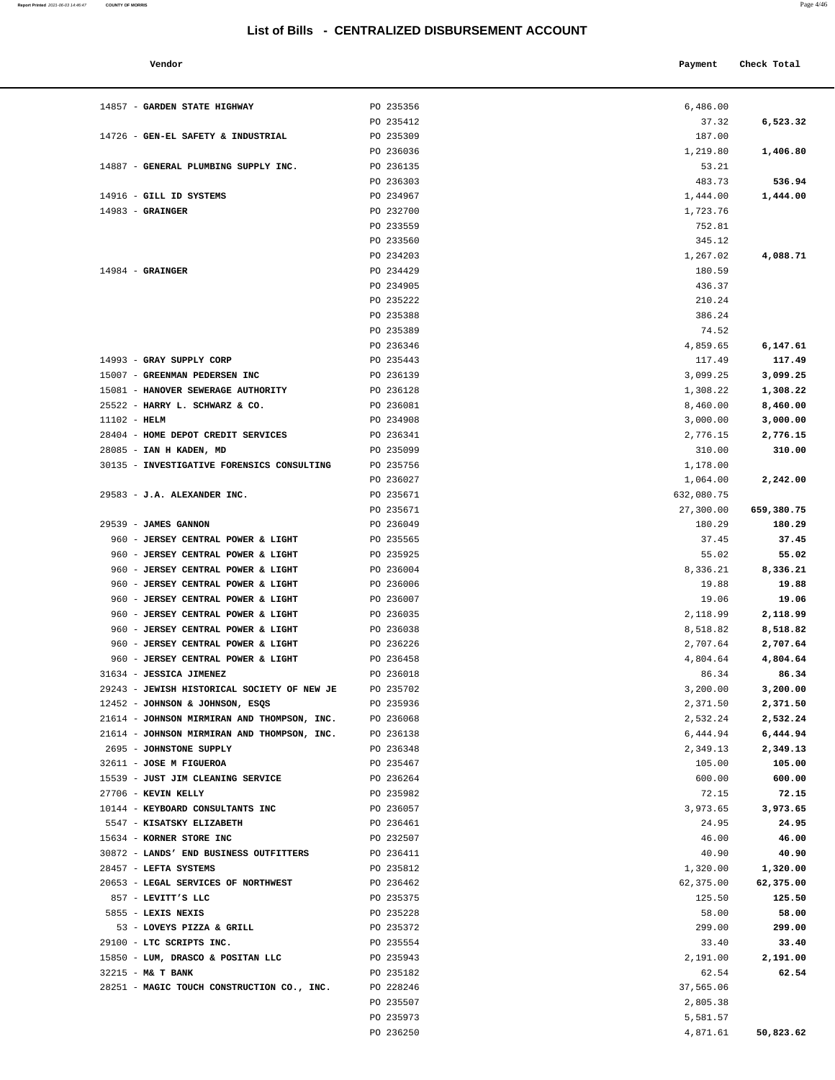| endot |
|-------|
|-------|

| Vendor                     |                  | Payment  | Check Total |
|----------------------------|------------------|----------|-------------|
| GARDEN STATE HIGHWAY       | PO 235356        | 6,486.00 |             |
|                            | PO 235412        | 37.32    | 6,523.32    |
| CEN-EL SAFETY & INDUSTRIAL | <b>PO 235309</b> | 187 NO   |             |

PO 236036 1,219.80 **1,406.80**

14857 - **GARDEN STATE HIGHWAY PO 235356** 

14726 - **GEN-EL SAFETY & INDUSTRIAL** PO 235309

| 14887 - GENERAL PLUMBING SUPPLY INC.        | PO 236135 | 53.21      |            |
|---------------------------------------------|-----------|------------|------------|
|                                             | PO 236303 | 483.73     | 536.94     |
| 14916 - GILL ID SYSTEMS                     | PO 234967 | 1,444.00   | 1,444.00   |
| $14983$ - GRAINGER                          | PO 232700 | 1,723.76   |            |
|                                             | PO 233559 | 752.81     |            |
|                                             | PO 233560 | 345.12     |            |
|                                             | PO 234203 | 1,267.02   | 4,088.71   |
| $14984$ - GRAINGER                          | PO 234429 | 180.59     |            |
|                                             | PO 234905 | 436.37     |            |
|                                             | PO 235222 | 210.24     |            |
|                                             | PO 235388 | 386.24     |            |
|                                             | PO 235389 | 74.52      |            |
|                                             | PO 236346 | 4,859.65   | 6,147.61   |
| 14993 - GRAY SUPPLY CORP                    | PO 235443 | 117.49     | 117.49     |
| 15007 - GREENMAN PEDERSEN INC               | PO 236139 | 3,099.25   | 3,099.25   |
| 15081 - HANOVER SEWERAGE AUTHORITY          | PO 236128 | 1,308.22   | 1,308.22   |
| 25522 - HARRY L. SCHWARZ & CO.              | PO 236081 | 8,460.00   | 8,460.00   |
| $11102 - HELM$                              | PO 234908 | 3,000.00   | 3,000.00   |
| 28404 - HOME DEPOT CREDIT SERVICES          | PO 236341 | 2,776.15   | 2,776.15   |
| 28085 - IAN H KADEN, MD                     | PO 235099 | 310.00     | 310.00     |
| 30135 - INVESTIGATIVE FORENSICS CONSULTING  | PO 235756 | 1,178.00   |            |
|                                             | PO 236027 | 1,064.00   | 2,242.00   |
| 29583 - J.A. ALEXANDER INC.                 | PO 235671 | 632,080.75 |            |
|                                             | PO 235671 | 27,300.00  | 659,380.75 |
| 29539 - JAMES GANNON                        | PO 236049 | 180.29     | 180.29     |
| 960 - JERSEY CENTRAL POWER & LIGHT          | PO 235565 | 37.45      | 37.45      |
| 960 - JERSEY CENTRAL POWER & LIGHT          | PO 235925 | 55.02      | 55.02      |
| 960 - JERSEY CENTRAL POWER & LIGHT          | PO 236004 | 8,336.21   | 8,336.21   |
| 960 - JERSEY CENTRAL POWER & LIGHT          | PO 236006 | 19.88      | 19.88      |
| 960 - JERSEY CENTRAL POWER & LIGHT          | PO 236007 | 19.06      | 19.06      |
| 960 - JERSEY CENTRAL POWER & LIGHT          | PO 236035 | 2,118.99   | 2,118.99   |
| 960 - JERSEY CENTRAL POWER & LIGHT          | PO 236038 | 8,518.82   | 8,518.82   |
| 960 - JERSEY CENTRAL POWER & LIGHT          | PO 236226 | 2,707.64   | 2,707.64   |
| 960 - JERSEY CENTRAL POWER & LIGHT          | PO 236458 | 4,804.64   | 4,804.64   |
| 31634 - JESSICA JIMENEZ                     | PO 236018 | 86.34      | 86.34      |
| 29243 - JEWISH HISTORICAL SOCIETY OF NEW JE | PO 235702 | 3,200.00   | 3,200.00   |
| 12452 - JOHNSON & JOHNSON, ESQS             | PO 235936 | 2,371.50   | 2,371.50   |
| 21614 - JOHNSON MIRMIRAN AND THOMPSON, INC. | PO 236068 | 2,532.24   | 2,532.24   |
| 21614 - JOHNSON MIRMIRAN AND THOMPSON, INC. | PO 236138 | 6,444.94   | 6,444.94   |
| 2695 - JOHNSTONE SUPPLY                     | PO 236348 | 2,349.13   | 2,349.13   |
| 32611 - JOSE M FIGUEROA                     | PO 235467 | 105.00     | 105.00     |
| 15539 - JUST JIM CLEANING SERVICE           | PO 236264 | 600.00     | 600.00     |
| 27706 - KEVIN KELLY                         | PO 235982 | 72.15      | 72.15      |
| 10144 - KEYBOARD CONSULTANTS INC            | PO 236057 | 3,973.65   | 3,973.65   |
| 5547 - KISATSKY ELIZABETH                   | PO 236461 | 24.95      | 24.95      |
| 15634 - KORNER STORE INC                    | PO 232507 | 46.00      | 46.00      |
| 30872 - LANDS' END BUSINESS OUTFITTERS      | PO 236411 | 40.90      | 40.90      |
| 28457 - LEFTA SYSTEMS                       | PO 235812 | 1,320.00   | 1,320.00   |
| 20653 - LEGAL SERVICES OF NORTHWEST         | PO 236462 | 62,375.00  | 62,375.00  |
| 857 - LEVITT'S LLC                          | PO 235375 | 125.50     | 125.50     |
| 5855 - LEXIS NEXIS                          | PO 235228 | 58.00      | 58.00      |
| 53 - LOVEYS PIZZA & GRILL                   | PO 235372 | 299.00     | 299.00     |
| 29100 - LTC SCRIPTS INC.                    | PO 235554 | 33.40      | 33.40      |
| 15850 - LUM, DRASCO & POSITAN LLC           | PO 235943 | 2,191.00   | 2,191.00   |
| 32215 - M& T BANK                           | PO 235182 | 62.54      | 62.54      |
| 28251 - MAGIC TOUCH CONSTRUCTION CO., INC.  | PO 228246 | 37,565.06  |            |

PO 235507 PO 235973 PO 236250 4,871.61 **50,823.62** 

| 483.73     | 536.94     |
|------------|------------|
| 1,444.00   | 1,444.00   |
| 1,723.76   |            |
| 752.81     |            |
| 345.12     |            |
| 1,267.02   | 4,088.71   |
| 180.59     |            |
| 436.37     |            |
| 210.24     |            |
| 386.24     |            |
|            |            |
| 74.52      |            |
| 4,859.65   | 6,147.61   |
| 117.49     | 117.49     |
| 3,099.25   | 3,099.25   |
| 1,308.22   | 1,308.22   |
| 8,460.00   | 8,460.00   |
| 3,000.00   | 3,000.00   |
| 2,776.15   | 2,776.15   |
| 310.00     | 310.00     |
| 1,178.00   |            |
| 1,064.00   | 2,242.00   |
| 632,080.75 |            |
| 27,300.00  | 659,380.75 |
| 180.29     | 180.29     |
| 37.45      | 37.45      |
| 55.02      | 55.02      |
| 8,336.21   | 8,336.21   |
| 19.88      | 19.88      |
| 19.06      | 19.06      |
| 2,118.99   | 2,118.99   |
| 8,518.82   | 8,518.82   |
| 2,707.64   | 2,707.64   |
| 4,804.64   | 4,804.64   |
| 86.34      | 86.34      |
| 3,200.00   | 3,200.00   |
| 2,371.50   | 2,371.50   |
| 2,532.24   | 2,532.24   |
| 6,444.94   | 6,444.94   |
| 2,349.13   | 2,349.13   |
| 105.00     | 105.00     |
| 600.00     | 600.00     |
| 72.15      | 72.15      |
| 3,973.65   | 3,973.65   |
| 24.95      | 24.95      |
| 46.00      | 46.00      |
| 40.90      | 40.90      |
| 1,320.00   | 1,320.00   |
| 62, 375.00 | 62,375.00  |
|            |            |
| 125.50     | 125.50     |
| 58.00      | 58.00      |
| 299.00     | 299.00     |
| 33.40      | 33.40      |
| 2.191.00   | 2,191.00   |
| 62.54      | 62.54      |
| 37,565.06  |            |
| 2,805.38   |            |
| 5,581.57   |            |
| 4,871.61   | 50,823.62  |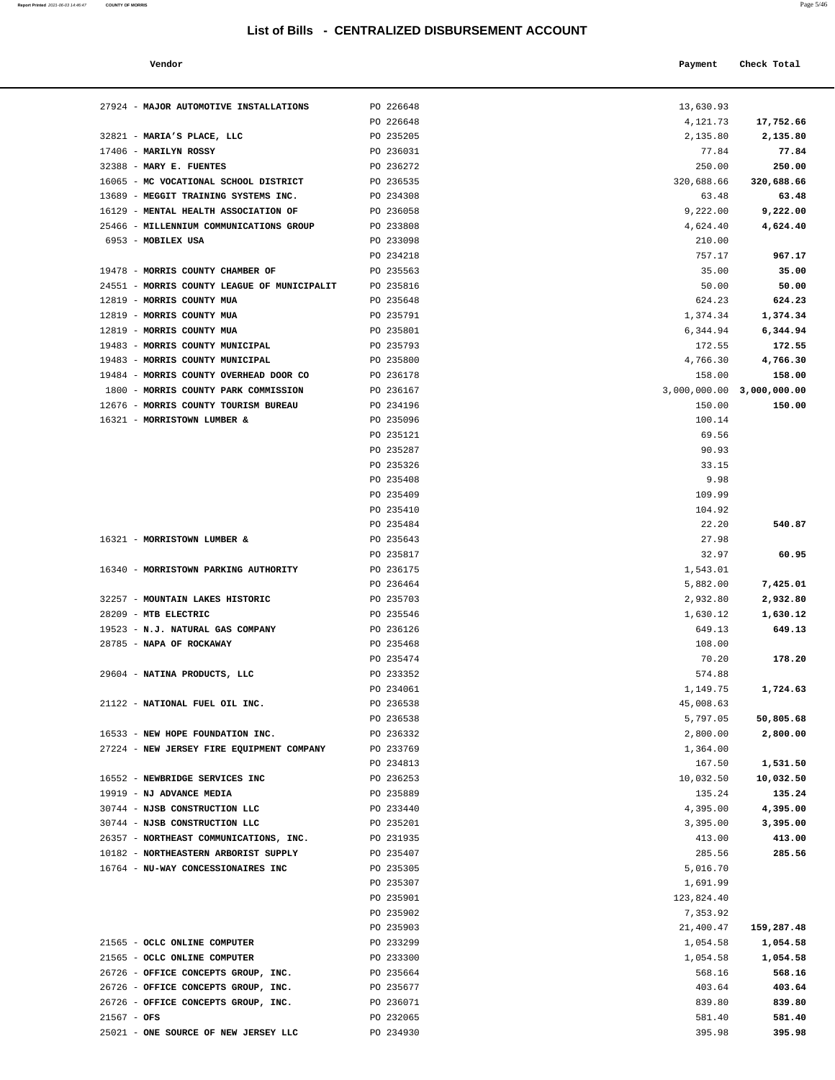#### **Vendor Payment Check Total**

| 27924 - MAJOR AUTOMOTIVE INSTALLATIONS                                   | PO 226648              | 13,630.93                 |                       |
|--------------------------------------------------------------------------|------------------------|---------------------------|-----------------------|
|                                                                          | PO 226648              | 4,121.73                  | 17,752.66             |
| 32821 - MARIA'S PLACE, LLC                                               | PO 235205              | 2,135.80                  | 2,135.80              |
| $17406$ - MARILYN ROSSY                                                  | PO 236031              | 77.84                     | 77.84                 |
| 32388 - MARY E. FUENTES                                                  | PO 236272              | 250.00                    | 250.00                |
| 16065 - MC VOCATIONAL SCHOOL DISTRICT                                    | PO 236535              | 320,688.66                | 320,688.66            |
| 13689 - MEGGIT TRAINING SYSTEMS INC.                                     | PO 234308              | 63.48                     | 63.48                 |
| 16129 - MENTAL HEALTH ASSOCIATION OF                                     | PO 236058              | 9,222.00                  | 9,222.00              |
| 25466 - MILLENNIUM COMMUNICATIONS GROUP                                  | PO 233808              | 4,624.40                  | 4,624.40              |
| 6953 - MOBILEX USA                                                       | PO 233098              | 210.00                    |                       |
|                                                                          | PO 234218              | 757.17                    | 967.17                |
| 19478 - MORRIS COUNTY CHAMBER OF                                         | PO 235563              | 35.00                     | 35.00                 |
| 24551 - MORRIS COUNTY LEAGUE OF MUNICIPALIT<br>12819 - MORRIS COUNTY MUA | PO 235816<br>PO 235648 | 50.00<br>624.23           | 50.00<br>624.23       |
| 12819 - MORRIS COUNTY MUA                                                | PO 235791              | 1,374.34                  | 1,374.34              |
| 12819 - MORRIS COUNTY MUA                                                | PO 235801              | 6,344.94                  | 6,344.94              |
| 19483 - MORRIS COUNTY MUNICIPAL                                          | PO 235793              | 172.55                    | 172.55                |
| 19483 - MORRIS COUNTY MUNICIPAL                                          | PO 235800              | 4,766.30                  | 4,766.30              |
| 19484 - MORRIS COUNTY OVERHEAD DOOR CO                                   | PO 236178              | 158.00                    | 158.00                |
| 1800 - MORRIS COUNTY PARK COMMISSION                                     | PO 236167              | 3,000,000.00 3,000,000.00 |                       |
| 12676 - MORRIS COUNTY TOURISM BUREAU                                     | PO 234196              | 150.00                    | 150.00                |
| 16321 - MORRISTOWN LUMBER &                                              | PO 235096              | 100.14                    |                       |
|                                                                          | PO 235121              | 69.56                     |                       |
|                                                                          | PO 235287              | 90.93                     |                       |
|                                                                          | PO 235326              | 33.15                     |                       |
|                                                                          | PO 235408              | 9.98                      |                       |
|                                                                          | PO 235409<br>PO 235410 | 109.99<br>104.92          |                       |
|                                                                          | PO 235484              | 22.20                     | 540.87                |
| 16321 - MORRISTOWN LUMBER &                                              | PO 235643              | 27.98                     |                       |
|                                                                          | PO 235817              | 32.97                     | 60.95                 |
| 16340 - MORRISTOWN PARKING AUTHORITY                                     | PO 236175              | 1,543.01                  |                       |
|                                                                          | PO 236464              | 5,882.00                  | 7,425.01              |
| 32257 - MOUNTAIN LAKES HISTORIC                                          | PO 235703              | 2,932.80                  | 2,932.80              |
| 28209 - MTB ELECTRIC                                                     | PO 235546              | 1,630.12                  | 1,630.12              |
| 19523 - N.J. NATURAL GAS COMPANY                                         | PO 236126              | 649.13                    | 649.13                |
| 28785 - NAPA OF ROCKAWAY                                                 | PO 235468              | 108.00                    |                       |
|                                                                          | PO 235474              | 70.20                     | 178.20                |
| 29604 - NATINA PRODUCTS, LLC                                             | PO 233352              | 574.88                    |                       |
|                                                                          | PO 234061              | 1,149.75                  | 1,724.63              |
| 21122 - NATIONAL FUEL OIL INC.                                           | PO 236538              | 45,008.63                 |                       |
| 16533 - NEW HOPE FOUNDATION INC.                                         | PO 236538<br>PO 236332 | 5,797.05<br>2,800.00      | 50,805.68<br>2,800.00 |
| 27224 - NEW JERSEY FIRE EQUIPMENT COMPANY                                | PO 233769              | 1,364.00                  |                       |
|                                                                          | PO 234813              | 167.50                    | 1,531.50              |
| 16552 - NEWBRIDGE SERVICES INC                                           | PO 236253              | 10,032.50                 | 10,032.50             |
| 19919 - NJ ADVANCE MEDIA                                                 | PO 235889              | 135.24                    | 135.24                |
| 30744 - NJSB CONSTRUCTION LLC                                            | PO 233440              | 4,395.00                  | 4,395.00              |
| 30744 - NJSB CONSTRUCTION LLC                                            | PO 235201              | 3,395.00                  | 3,395.00              |
| 26357 - NORTHEAST COMMUNICATIONS, INC.                                   | PO 231935              | 413.00                    | 413.00                |
| 10182 - NORTHEASTERN ARBORIST SUPPLY                                     | PO 235407              | 285.56                    | 285.56                |
| 16764 - NU-WAY CONCESSIONAIRES INC                                       | PO 235305              | 5,016.70                  |                       |
|                                                                          | PO 235307              | 1,691.99                  |                       |
|                                                                          | PO 235901              | 123,824.40                |                       |
|                                                                          | PO 235902              | 7,353.92                  |                       |
| 21565 - OCLC ONLINE COMPUTER                                             | PO 235903<br>PO 233299 | 21,400.47                 | 159,287.48            |
| 21565 - OCLC ONLINE COMPUTER                                             | PO 233300              | 1,054.58<br>1,054.58      | 1,054.58<br>1,054.58  |
| 26726 - OFFICE CONCEPTS GROUP, INC.                                      | PO 235664              | 568.16                    | 568.16                |
| 26726 - OFFICE CONCEPTS GROUP, INC.                                      | PO 235677              | 403.64                    | 403.64                |
| 26726 - OFFICE CONCEPTS GROUP, INC.                                      | PO 236071              | 839.80                    | 839.80                |
| $21567 - OFS$                                                            | PO 232065              | 581.40                    | 581.40                |

25021 - **ONE SOURCE OF NEW JERSEY LLC** PO 234930 395.98 **395.98**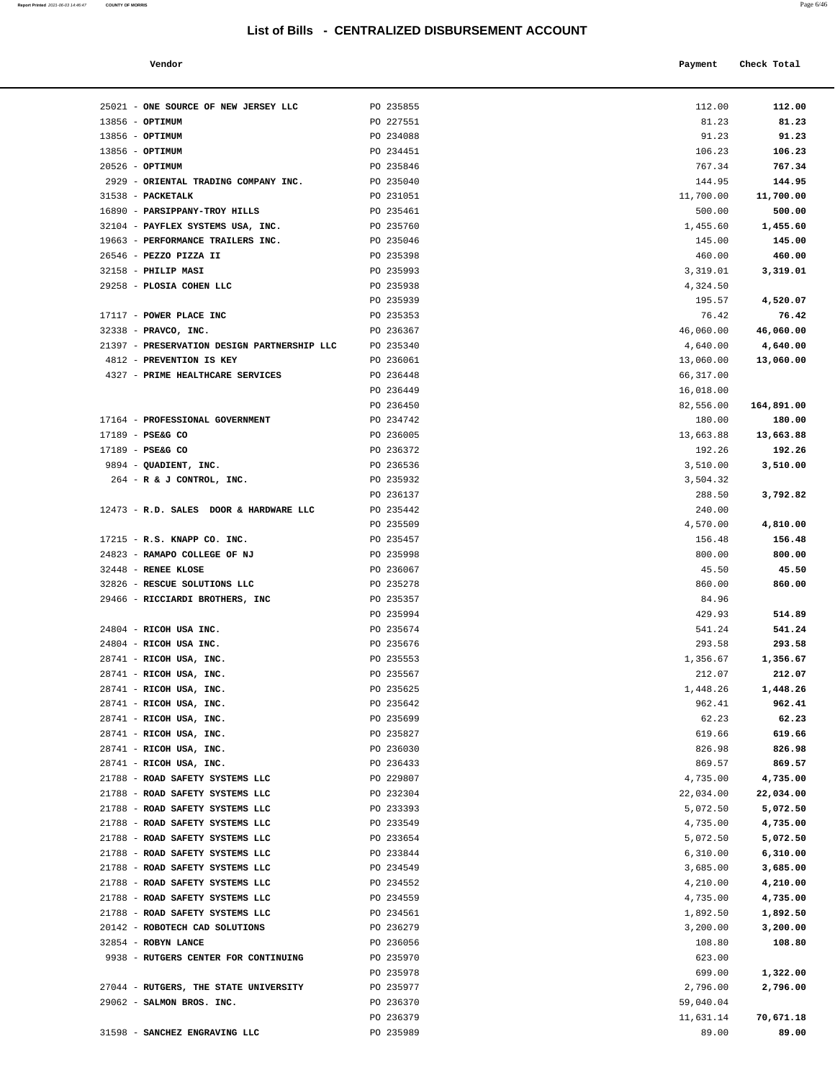| Report Printed 2021-06-03 14:46:47 COUNTY OF MORRIS |  |  | Page 6/46 |
|-----------------------------------------------------|--|--|-----------|
|                                                     |  |  |           |

| Vendor | Payment Check Total |
|--------|---------------------|
|        |                     |

| 25021 - ONE SOURCE OF NEW JERSEY LLC                               | PO 235855              | 112.00                 | 112.00                |
|--------------------------------------------------------------------|------------------------|------------------------|-----------------------|
| 13856 - OPTIMUM                                                    | PO 227551              | 81.23                  | 81.23                 |
| 13856 - OPTIMUM                                                    | PO 234088              | 91.23                  | 91.23                 |
| 13856 - OPTIMUM                                                    | PO 234451              | 106.23                 | 106.23                |
| $20526$ - OPTIMUM                                                  | PO 235846              | 767.34                 | 767.34                |
| 2929 - ORIENTAL TRADING COMPANY INC.                               | PO 235040              | 144.95                 | 144.95                |
| 31538 - PACKETALK                                                  | PO 231051              | 11,700.00              | 11,700.00             |
| 16890 - PARSIPPANY-TROY HILLS<br>32104 - PAYFLEX SYSTEMS USA, INC. | PO 235461              | 500.00                 | 500.00                |
| 19663 - PERFORMANCE TRAILERS INC.                                  | PO 235760<br>PO 235046 | 1,455.60<br>145.00     | 1,455.60<br>145.00    |
| 26546 - PEZZO PIZZA II                                             | PO 235398              | 460.00                 | 460.00                |
| 32158 - PHILIP MASI                                                | PO 235993              | 3,319.01               | 3,319.01              |
| 29258 - PLOSIA COHEN LLC                                           | PO 235938              | 4,324.50               |                       |
|                                                                    | PO 235939              | 195.57                 | 4,520.07              |
| 17117 - POWER PLACE INC                                            | PO 235353              | 76.42                  | 76.42                 |
| 32338 - PRAVCO, INC.                                               | PO 236367              | 46,060.00              | 46,060.00             |
| 21397 - PRESERVATION DESIGN PARTNERSHIP LLC                        | PO 235340              | 4,640.00               | 4,640.00              |
| 4812 - PREVENTION IS KEY                                           | PO 236061              | 13,060.00              | 13,060.00             |
| 4327 - PRIME HEALTHCARE SERVICES                                   | PO 236448              | 66,317.00              |                       |
|                                                                    | PO 236449              | 16,018.00              |                       |
|                                                                    | PO 236450              | 82,556.00              | 164,891.00            |
| 17164 - PROFESSIONAL GOVERNMENT<br>17189 - PSE&G CO                | PO 234742<br>PO 236005 | 180.00<br>13,663.88    | 180.00<br>13,663.88   |
| 17189 - PSE&G CO                                                   | PO 236372              | 192.26                 | 192.26                |
| 9894 - QUADIENT, INC.                                              | PO 236536              | 3,510.00               | 3,510.00              |
| $264$ - R & J CONTROL, INC.                                        | PO 235932              | 3,504.32               |                       |
|                                                                    | PO 236137              | 288.50                 | 3,792.82              |
| 12473 - R.D. SALES DOOR & HARDWARE LLC                             | PO 235442              | 240.00                 |                       |
|                                                                    | PO 235509              | 4,570.00               | 4,810.00              |
| 17215 - R.S. KNAPP CO. INC.                                        | PO 235457              | 156.48                 | 156.48                |
| 24823 - RAMAPO COLLEGE OF NJ                                       | PO 235998              | 800.00                 | 800.00                |
| 32448 - RENEE KLOSE                                                | PO 236067              | 45.50                  | 45.50                 |
| 32826 - RESCUE SOLUTIONS LLC                                       | PO 235278              | 860.00                 | 860.00                |
| 29466 - RICCIARDI BROTHERS, INC                                    | PO 235357              | 84.96                  |                       |
| 24804 - RICOH USA INC.                                             | PO 235994<br>PO 235674 | 429.93<br>541.24       | 514.89<br>541.24      |
| 24804 - RICOH USA INC.                                             | PO 235676              | 293.58                 | 293.58                |
| 28741 - RICOH USA, INC.                                            | PO 235553              | 1,356.67               | 1,356.67              |
| 28741 - RICOH USA, INC.                                            | PO 235567              | 212.07                 | 212.07                |
| 28741 - RICOH USA, INC.                                            | PO 235625              | 1,448.26               | 1,448.26              |
| 28741 - RICOH USA, INC.                                            | PO 235642              | 962.41                 | 962.41                |
| 28741 - RICOH USA, INC.                                            | PO 235699              | 62.23                  | 62.23                 |
| 28741 - RICOH USA, INC.                                            | PO 235827              | 619.66                 | 619.66                |
| 28741 - RICOH USA, INC.                                            | PO 236030              | 826.98                 | 826.98                |
| 28741 - RICOH USA, INC.                                            | PO 236433              | 869.57                 | 869.57                |
| 21788 - ROAD SAFETY SYSTEMS LLC                                    | PO 229807              | 4,735.00               | 4,735.00              |
| 21788 - ROAD SAFETY SYSTEMS LLC<br>21788 - ROAD SAFETY SYSTEMS LLC | PO 232304<br>PO 233393 | 22,034.00<br>5,072.50  | 22,034.00<br>5,072.50 |
| 21788 - ROAD SAFETY SYSTEMS LLC                                    | PO 233549              | 4,735.00               | 4,735.00              |
| 21788 - ROAD SAFETY SYSTEMS LLC                                    | PO 233654              | 5,072.50               | 5,072.50              |
| 21788 - ROAD SAFETY SYSTEMS LLC                                    | PO 233844              | 6,310.00               | 6,310.00              |
| 21788 - ROAD SAFETY SYSTEMS LLC                                    | PO 234549              | 3,685.00               | 3,685.00              |
| 21788 - ROAD SAFETY SYSTEMS LLC                                    | PO 234552              | 4,210.00               | 4,210.00              |
| 21788 - ROAD SAFETY SYSTEMS LLC                                    | PO 234559              | 4,735.00               | 4,735.00              |
| 21788 - ROAD SAFETY SYSTEMS LLC                                    | PO 234561              | 1,892.50               | 1,892.50              |
| 20142 - ROBOTECH CAD SOLUTIONS                                     | PO 236279              | 3,200.00               | 3,200.00              |
| 32854 - ROBYN LANCE                                                | PO 236056              | 108.80                 | 108.80                |
| 9938 - RUTGERS CENTER FOR CONTINUING                               | PO 235970              | 623.00                 |                       |
|                                                                    | PO 235978              | 699.00                 | 1,322.00              |
| 27044 - RUTGERS, THE STATE UNIVERSITY<br>29062 - SALMON BROS. INC. | PO 235977<br>PO 236370 | 2,796.00               | 2,796.00              |
|                                                                    | PO 236379              | 59,040.04<br>11,631.14 | 70,671.18             |
| 31598 - SANCHEZ ENGRAVING LLC                                      | PO 235989              | 89.00                  | 89.00                 |
|                                                                    |                        |                        |                       |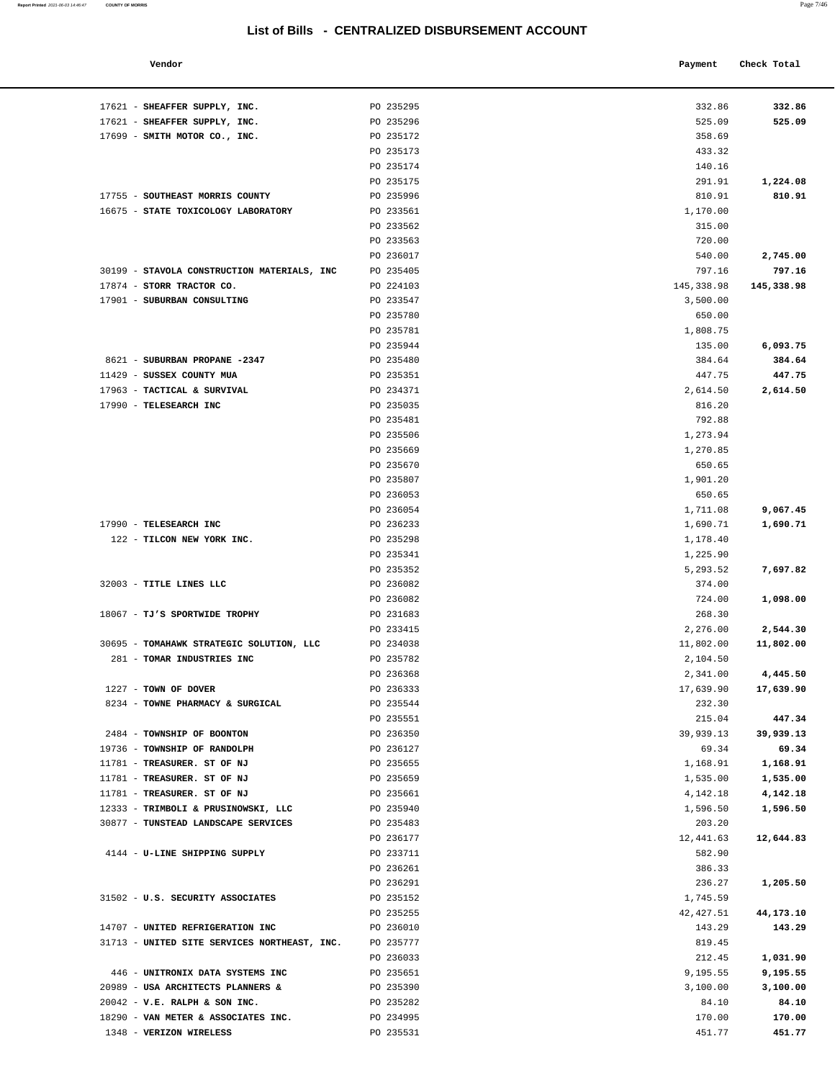| Vendor | Payment | Check Total |
|--------|---------|-------------|
|        |         |             |

| 17621 - SHEAFFER SUPPLY, INC.                | PO 235295              | 332.86              | 332.86                |
|----------------------------------------------|------------------------|---------------------|-----------------------|
| 17621 - SHEAFFER SUPPLY, INC.                | PO 235296              | 525.09              | 525.09                |
| 17699 - SMITH MOTOR CO., INC.                | PO 235172              | 358.69              |                       |
|                                              | PO 235173              | 433.32              |                       |
|                                              | PO 235174              | 140.16              |                       |
|                                              | PO 235175              | 291.91              | 1,224.08              |
| 17755 - SOUTHEAST MORRIS COUNTY              | PO 235996              | 810.91              | 810.91                |
| 16675 - STATE TOXICOLOGY LABORATORY          | PO 233561              | 1,170.00            |                       |
|                                              | PO 233562<br>PO 233563 | 315.00<br>720.00    |                       |
|                                              | PO 236017              | 540.00              | 2,745.00              |
| 30199 - STAVOLA CONSTRUCTION MATERIALS, INC  | PO 235405              | 797.16              | 797.16                |
| 17874 - STORR TRACTOR CO.                    | PO 224103              | 145,338.98          | 145,338.98            |
| 17901 - SUBURBAN CONSULTING                  | PO 233547              | 3,500.00            |                       |
|                                              | PO 235780              | 650.00              |                       |
|                                              | PO 235781              | 1,808.75            |                       |
|                                              | PO 235944              | 135.00              | 6,093.75              |
| 8621 - SUBURBAN PROPANE -2347                | PO 235480              | 384.64              | 384.64                |
| 11429 - SUSSEX COUNTY MUA                    | PO 235351              | 447.75              | 447.75                |
| 17963 - TACTICAL & SURVIVAL                  | PO 234371              | 2,614.50            | 2,614.50              |
| 17990 - TELESEARCH INC                       | PO 235035              | 816.20              |                       |
|                                              | PO 235481              | 792.88              |                       |
|                                              | PO 235506              | 1,273.94            |                       |
|                                              | PO 235669              | 1,270.85            |                       |
|                                              | PO 235670              | 650.65              |                       |
|                                              | PO 235807              | 1,901.20            |                       |
|                                              | PO 236053              | 650.65              |                       |
|                                              | PO 236054              | 1,711.08            | 9,067.45              |
| 17990 - TELESEARCH INC                       | PO 236233              | 1,690.71            | 1,690.71              |
| 122 - TILCON NEW YORK INC.                   | PO 235298              | 1,178.40            |                       |
|                                              | PO 235341              | 1,225.90            |                       |
|                                              | PO 235352              | 5,293.52            | 7,697.82              |
| 32003 - TITLE LINES LLC                      | PO 236082              | 374.00              |                       |
|                                              | PO 236082              | 724.00              | 1,098.00              |
| 18067 - TJ'S SPORTWIDE TROPHY                | PO 231683<br>PO 233415 | 268.30<br>2,276.00  |                       |
| 30695 - TOMAHAWK STRATEGIC SOLUTION, LLC     | PO 234038              | 11,802.00           | 2,544.30<br>11,802.00 |
| 281 - TOMAR INDUSTRIES INC                   | PO 235782              | 2,104.50            |                       |
|                                              | PO 236368              | 2,341.00            | 4,445.50              |
| $1227$ - TOWN OF DOVER                       | PO 236333              | 17,639.90           | 17,639.90             |
| 8234 - TOWNE PHARMACY & SURGICAL             | PO 235544              | 232.30              |                       |
|                                              | PO 235551              | 215.04              | 447.34                |
| 2484 - TOWNSHIP OF BOONTON                   | PO 236350              | 39,939.13           | 39,939.13             |
| 19736 - TOWNSHIP OF RANDOLPH                 | PO 236127              | 69.34               | 69.34                 |
| 11781 - TREASURER. ST OF NJ                  | PO 235655              | 1,168.91            | 1,168.91              |
| 11781 - TREASURER. ST OF NJ                  | PO 235659              | 1,535.00            | 1,535.00              |
| 11781 - TREASURER. ST OF NJ                  | PO 235661              | 4,142.18            | 4,142.18              |
| 12333 - TRIMBOLI & PRUSINOWSKI, LLC          | PO 235940              | 1,596.50            | 1,596.50              |
| 30877 - TUNSTEAD LANDSCAPE SERVICES          | PO 235483              | 203.20              |                       |
|                                              | PO 236177              | 12,441.63           | 12,644.83             |
| 4144 - U-LINE SHIPPING SUPPLY                | PO 233711              | 582.90              |                       |
|                                              | PO 236261              | 386.33              |                       |
|                                              | PO 236291              | 236.27              | 1,205.50              |
| 31502 - U.S. SECURITY ASSOCIATES             | PO 235152<br>PO 235255 | 1,745.59            |                       |
| 14707 - UNITED REFRIGERATION INC             | PO 236010              | 42,427.51<br>143.29 | 44,173.10<br>143.29   |
| 31713 - UNITED SITE SERVICES NORTHEAST, INC. | PO 235777              | 819.45              |                       |
|                                              | PO 236033              | 212.45              | 1,031.90              |
| 446 - UNITRONIX DATA SYSTEMS INC             | PO 235651              | 9,195.55            | 9,195.55              |
| 20989 - USA ARCHITECTS PLANNERS &            | PO 235390              | 3,100.00            | 3,100.00              |
| $20042$ - V.E. RALPH & SON INC.              | PO 235282              | 84.10               | 84.10                 |
| 18290 - VAN METER & ASSOCIATES INC.          | PO 234995              | 170.00              | 170.00                |
| 1348 - VERIZON WIRELESS                      | PO 235531              | 451.77              | 451.77                |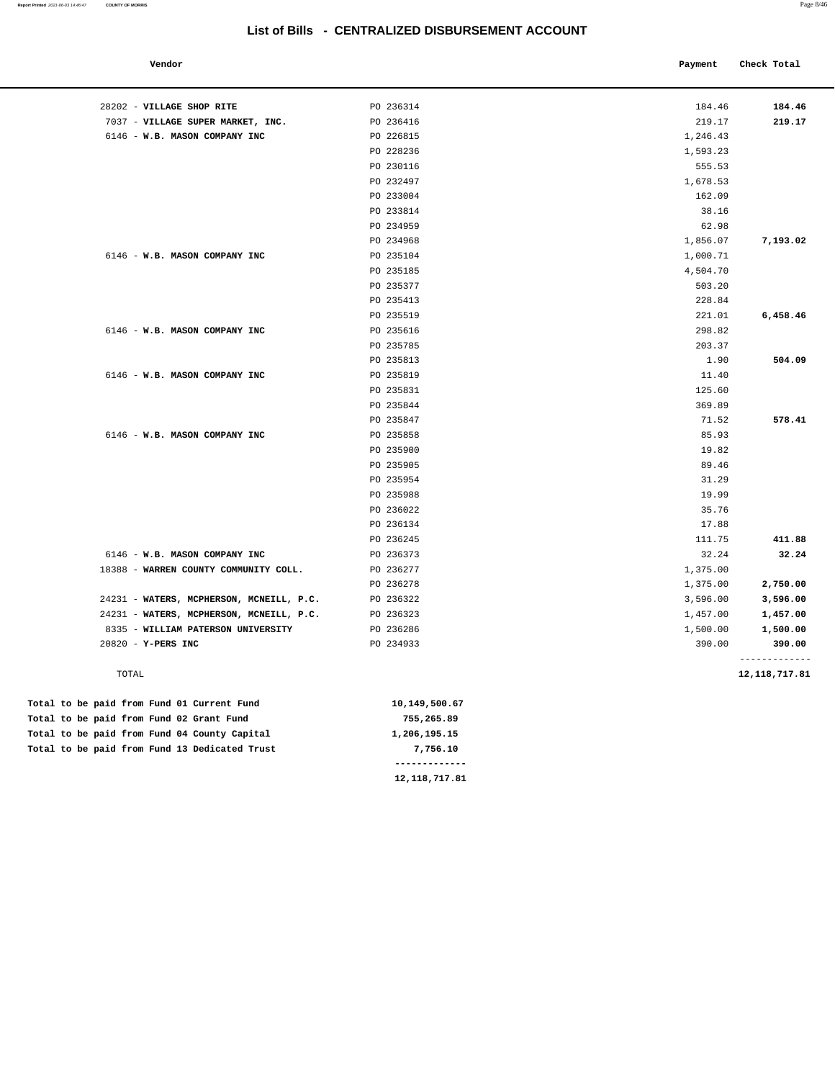| o۱ | nn | ı |
|----|----|---|

| Vendor                                   |               | Payment  | Check Total             |
|------------------------------------------|---------------|----------|-------------------------|
|                                          |               |          |                         |
| 28202 - VILLAGE SHOP RITE                | PO 236314     | 184.46   | 184.46                  |
| 7037 - VILLAGE SUPER MARKET, INC.        | PO 236416     | 219.17   | 219.17                  |
| 6146 - W.B. MASON COMPANY INC            | PO 226815     | 1,246.43 |                         |
|                                          | PO 228236     | 1,593.23 |                         |
|                                          | PO 230116     | 555.53   |                         |
|                                          | PO 232497     | 1,678.53 |                         |
|                                          | PO 233004     | 162.09   |                         |
|                                          | PO 233814     | 38.16    |                         |
|                                          | PO 234959     | 62.98    |                         |
|                                          | PO 234968     | 1,856.07 | 7,193.02                |
| 6146 - W.B. MASON COMPANY INC            | PO 235104     | 1,000.71 |                         |
|                                          | PO 235185     | 4,504.70 |                         |
|                                          | PO 235377     | 503.20   |                         |
|                                          | PO 235413     | 228.84   |                         |
|                                          | PO 235519     | 221.01   | 6,458.46                |
| 6146 - W.B. MASON COMPANY INC            | PO 235616     | 298.82   |                         |
|                                          | PO 235785     | 203.37   |                         |
|                                          | PO 235813     | 1.90     | 504.09                  |
| 6146 - W.B. MASON COMPANY INC            | PO 235819     | 11.40    |                         |
|                                          | PO 235831     | 125.60   |                         |
|                                          | PO 235844     | 369.89   |                         |
|                                          | PO 235847     | 71.52    | 578.41                  |
| 6146 - W.B. MASON COMPANY INC            | PO 235858     | 85.93    |                         |
|                                          | PO 235900     | 19.82    |                         |
|                                          | PO 235905     | 89.46    |                         |
|                                          | PO 235954     | 31.29    |                         |
|                                          | PO 235988     | 19.99    |                         |
|                                          | PO 236022     | 35.76    |                         |
|                                          | PO 236134     | 17.88    |                         |
|                                          | PO 236245     | 111.75   | 411.88                  |
| 6146 - W.B. MASON COMPANY INC            | PO 236373     | 32.24    | 32.24                   |
| 18388 - WARREN COUNTY COMMUNITY COLL.    | PO 236277     | 1,375.00 |                         |
|                                          | PO 236278     | 1,375.00 | 2,750.00                |
| 24231 - WATERS, MCPHERSON, MCNEILL, P.C. | PO 236322     | 3,596.00 | 3,596.00                |
| 24231 - WATERS, MCPHERSON, MCNEILL, P.C. | PO 236323     | 1,457.00 | 1,457.00                |
| 8335 - WILLIAM PATERSON UNIVERSITY       | PO 236286     | 1,500.00 | 1,500.00                |
| 20820 - Y-PERS INC                       | PO 234933     | 390.00   | 390.00<br>------------- |
| TOTAL                                    |               |          | 12, 118, 717.81         |
| paid from Fund 01 Current Fund           | 10,149,500.67 |          |                         |
| paid from Eund 02 Grant Eund             | 755.265.89    |          |                         |

Total to be Total to be paid from Fund 02 Grant Fund 755,2 Total to be paid from Fund 04 County Capital 1,206,195.15 Total to be paid from Fund 13 Dedicated Trust **7,756.10** 

 **------------- 12,118,717.81**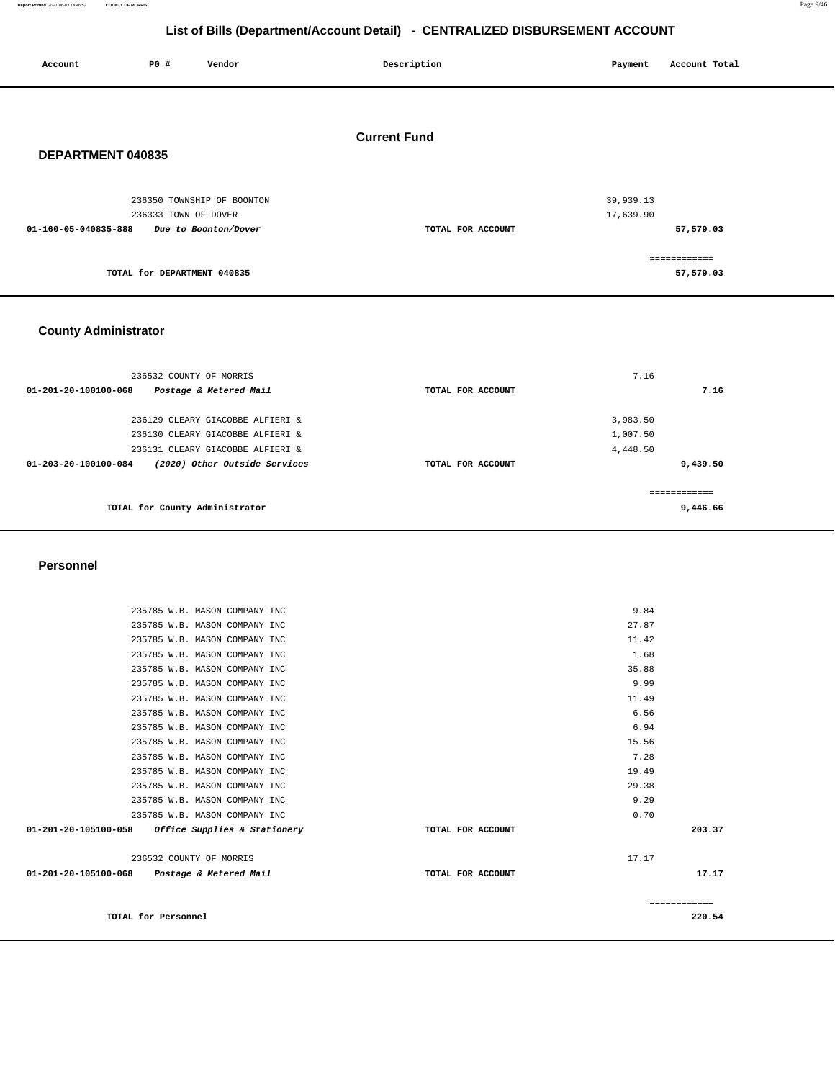**Report Printed** 2021-06-03 14:46:52 **COUNTY OF MORRIS** Page 9/46

# **List of Bills (Department/Account Detail) - CENTRALIZED DISBURSEMENT ACCOUNT**

| Account              | P0 #                        | Vendor                     | Description         | Payment   | Account Total |  |
|----------------------|-----------------------------|----------------------------|---------------------|-----------|---------------|--|
|                      |                             |                            |                     |           |               |  |
|                      |                             |                            | <b>Current Fund</b> |           |               |  |
| DEPARTMENT 040835    |                             |                            |                     |           |               |  |
|                      |                             | 236350 TOWNSHIP OF BOONTON |                     | 39,939.13 |               |  |
|                      | 236333 TOWN OF DOVER        |                            |                     | 17,639.90 |               |  |
| 01-160-05-040835-888 |                             | Due to Boonton/Dover       | TOTAL FOR ACCOUNT   |           | 57,579.03     |  |
|                      |                             |                            |                     |           | ============  |  |
|                      | TOTAL for DEPARTMENT 040835 |                            |                     |           | 57,579.03     |  |
|                      |                             |                            |                     |           |               |  |

## **County Administrator**

| 236532 COUNTY OF MORRIS                               |                   | 7.16     |
|-------------------------------------------------------|-------------------|----------|
| Postage & Metered Mail<br>01-201-20-100100-068        | TOTAL FOR ACCOUNT | 7.16     |
| 236129 CLEARY GIACOBBE ALFIERI &                      |                   | 3,983.50 |
| 236130 CLEARY GIACOBBE ALFIERI &                      |                   | 1,007.50 |
| 236131 CLEARY GIACOBBE ALFIERI &                      |                   | 4,448.50 |
| (2020) Other Outside Services<br>01-203-20-100100-084 | TOTAL FOR ACCOUNT | 9,439.50 |
| TOTAL for County Administrator                        |                   | 9,446.66 |

#### **Personnel**

| TOTAL for Personnel                                            |                   | ============<br>220.54 |
|----------------------------------------------------------------|-------------------|------------------------|
| 01-201-20-105100-068 Postage & Metered Mail                    | TOTAL FOR ACCOUNT | 17.17                  |
| 236532 COUNTY OF MORRIS                                        |                   | 17.17                  |
| 01-201-20-105100-058 Office Supplies & Stationery              | TOTAL FOR ACCOUNT | 203.37                 |
| 235785 W.B. MASON COMPANY INC                                  |                   | 0.70                   |
| 235785 W.B. MASON COMPANY INC                                  |                   | 9.29                   |
| 235785 W.B. MASON COMPANY INC                                  |                   | 29.38                  |
| 235785 W.B. MASON COMPANY INC                                  |                   | 19.49                  |
| 235785 W.B. MASON COMPANY INC                                  |                   | 7.28                   |
| 235785 W.B. MASON COMPANY INC                                  |                   | 15.56                  |
| 235785 W.B. MASON COMPANY INC                                  |                   | 6.94                   |
| 235785 W.B. MASON COMPANY INC<br>235785 W.B. MASON COMPANY INC |                   | 6.56                   |
| 235785 W.B. MASON COMPANY INC                                  |                   | 9.99<br>11.49          |
| 235785 W.B. MASON COMPANY INC                                  |                   | 35.88                  |
| 235785 W.B. MASON COMPANY INC                                  |                   | 1.68                   |
| 235785 W.B. MASON COMPANY INC                                  |                   | 11.42                  |
| 235785 W.B. MASON COMPANY INC                                  |                   | 27.87                  |
| 235785 W.B. MASON COMPANY INC                                  |                   | 9.84                   |
|                                                                |                   |                        |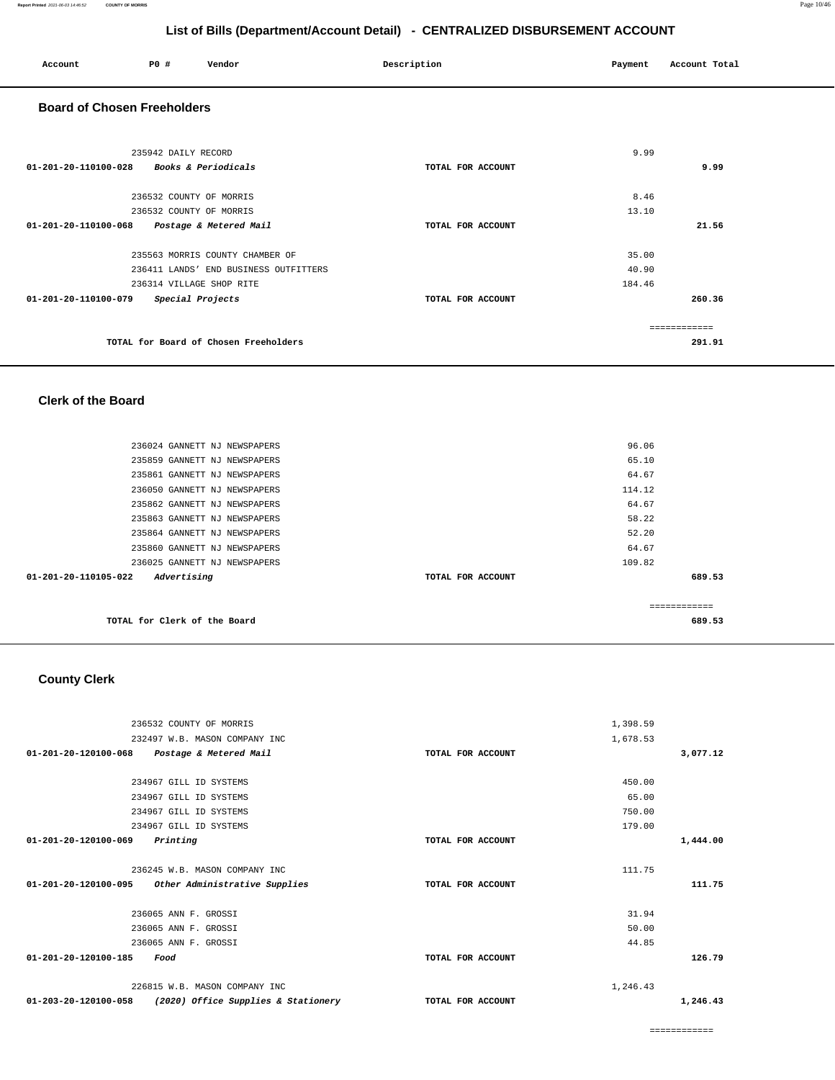| Account                                  | <b>PO #</b>                                        | Vendor                                                                                                                         | Description       | Payment                  | Account Total                    |
|------------------------------------------|----------------------------------------------------|--------------------------------------------------------------------------------------------------------------------------------|-------------------|--------------------------|----------------------------------|
| <b>Board of Chosen Freeholders</b>       |                                                    |                                                                                                                                |                   |                          |                                  |
| 01-201-20-110100-028 Books & Periodicals | 235942 DAILY RECORD                                |                                                                                                                                | TOTAL FOR ACCOUNT | 9.99                     | 9.99                             |
| 01-201-20-110100-068                     | 236532 COUNTY OF MORRIS<br>236532 COUNTY OF MORRIS |                                                                                                                                | TOTAL FOR ACCOUNT | 8.46<br>13.10            | 21.56                            |
|                                          |                                                    | Postage & Metered Mail<br>235563 MORRIS COUNTY CHAMBER OF<br>236411 LANDS' END BUSINESS OUTFITTERS<br>236314 VILLAGE SHOP RITE |                   | 35.00<br>40.90<br>184.46 |                                  |
| 01-201-20-110100-079                     |                                                    | Special Projects<br>TOTAL for Board of Chosen Freeholders                                                                      | TOTAL FOR ACCOUNT |                          | 260.36<br>============<br>291.91 |
|                                          |                                                    |                                                                                                                                |                   |                          |                                  |

#### **Clerk of the Board**

|                      | TOTAL for Clerk of the Board |                   | -------------<br>689.53 |
|----------------------|------------------------------|-------------------|-------------------------|
|                      | Advertising                  | TOTAL FOR ACCOUNT |                         |
| 01-201-20-110105-022 |                              |                   | 689.53                  |
|                      | 236025 GANNETT NJ NEWSPAPERS | 109.82            |                         |
|                      | 235860 GANNETT NJ NEWSPAPERS | 64.67             |                         |
|                      | 235864 GANNETT NJ NEWSPAPERS | 52.20             |                         |
|                      | 235863 GANNETT NJ NEWSPAPERS | 58.22             |                         |
|                      | 235862 GANNETT NJ NEWSPAPERS | 64.67             |                         |
|                      | 236050 GANNETT NJ NEWSPAPERS | 114.12            |                         |
|                      | 235861 GANNETT NJ NEWSPAPERS | 64.67             |                         |
|                      | 235859 GANNETT NJ NEWSPAPERS | 65.10             |                         |
|                      | 236024 GANNETT NJ NEWSPAPERS | 96.06             |                         |
|                      |                              |                   |                         |

## **County Clerk**

| 236532 COUNTY OF MORRIS                                               |                   | 1,398.59 |          |
|-----------------------------------------------------------------------|-------------------|----------|----------|
| 232497 W.B. MASON COMPANY INC                                         |                   | 1,678.53 |          |
| $01 - 201 - 20 - 120100 - 068$<br>Postage & Metered Mail              | TOTAL FOR ACCOUNT |          | 3,077.12 |
|                                                                       |                   |          |          |
| 234967 GILL ID SYSTEMS                                                |                   | 450.00   |          |
| 234967 GILL ID SYSTEMS                                                |                   | 65.00    |          |
| 234967 GILL ID SYSTEMS                                                |                   | 750.00   |          |
| 234967 GILL ID SYSTEMS                                                |                   | 179.00   |          |
| 01-201-20-120100-069<br>Printing                                      | TOTAL FOR ACCOUNT |          | 1,444.00 |
| 236245 W.B. MASON COMPANY INC                                         |                   | 111.75   |          |
| 01-201-20-120100-095<br>Other Administrative Supplies                 | TOTAL FOR ACCOUNT |          | 111.75   |
| 236065 ANN F. GROSSI                                                  |                   | 31.94    |          |
| 236065 ANN F. GROSSI                                                  |                   | 50.00    |          |
| 236065 ANN F. GROSSI                                                  |                   | 44.85    |          |
| 01-201-20-120100-185<br>Food                                          | TOTAL FOR ACCOUNT |          | 126.79   |
| 226815 W.B. MASON COMPANY INC                                         |                   | 1,246.43 |          |
| $01 - 203 - 20 - 120100 - 058$<br>(2020) Office Supplies & Stationery | TOTAL FOR ACCOUNT |          | 1,246.43 |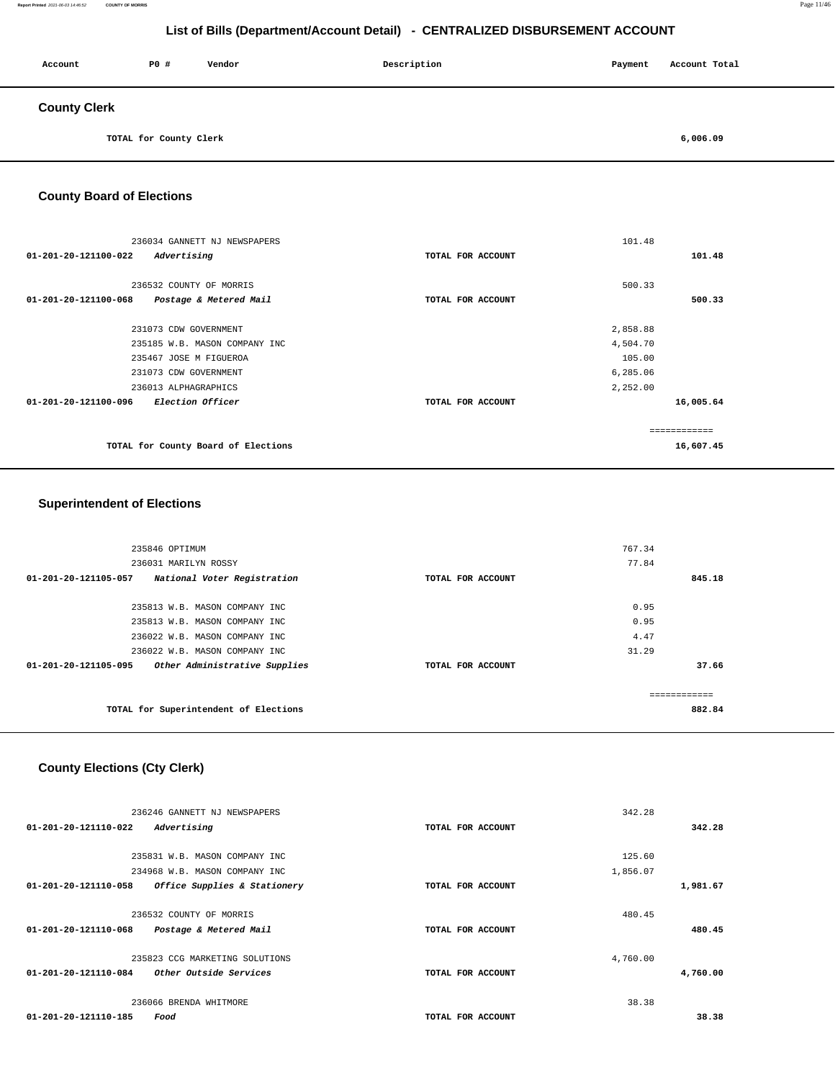#### **Report Printed** 2021-06-03 14:46:52 **COUNTY OF MORRIS** Page 11/46

# **List of Bills (Department/Account Detail) - CENTRALIZED DISBURSEMENT ACCOUNT**

| Account             | <b>PO #</b>            | Vendor | Description | Payment | Account Total |
|---------------------|------------------------|--------|-------------|---------|---------------|
| <b>County Clerk</b> |                        |        |             |         |               |
|                     | TOTAL for County Clerk |        |             |         | 6,006.09      |

## **County Board of Elections**

|                                | 236034 GANNETT NJ NEWSPAPERS        |                   | 101.48        |           |
|--------------------------------|-------------------------------------|-------------------|---------------|-----------|
| $01 - 201 - 20 - 121100 - 022$ | Advertising                         | TOTAL FOR ACCOUNT |               | 101.48    |
|                                |                                     |                   |               |           |
|                                | 236532 COUNTY OF MORRIS             |                   | 500.33        |           |
| 01-201-20-121100-068           | Postage & Metered Mail              | TOTAL FOR ACCOUNT |               | 500.33    |
|                                |                                     |                   |               |           |
|                                | 231073 CDW GOVERNMENT               |                   | 2,858.88      |           |
|                                | 235185 W.B. MASON COMPANY INC       |                   | 4,504.70      |           |
|                                | 235467 JOSE M FIGUEROA              |                   | 105.00        |           |
|                                | 231073 CDW GOVERNMENT               |                   | 6,285.06      |           |
|                                | 236013 ALPHAGRAPHICS                |                   | 2,252.00      |           |
| $01 - 201 - 20 - 121100 - 096$ | <i>Election Officer</i>             | TOTAL FOR ACCOUNT |               | 16,005.64 |
|                                |                                     |                   |               |           |
|                                |                                     |                   | ------------- |           |
|                                | TOTAL for County Board of Elections |                   |               | 16,607.45 |
|                                |                                     |                   |               |           |

## **Superintendent of Elections**

| 235846 OPTIMUM                                                |                   | 767.34 |        |
|---------------------------------------------------------------|-------------------|--------|--------|
| 236031 MARILYN ROSSY                                          |                   | 77.84  |        |
| $01 - 201 - 20 - 121105 - 057$<br>National Voter Registration | TOTAL FOR ACCOUNT |        | 845.18 |
|                                                               |                   |        |        |
| 235813 W.B. MASON COMPANY INC                                 |                   | 0.95   |        |
| 235813 W.B. MASON COMPANY INC                                 |                   | 0.95   |        |
| 236022 W.B. MASON COMPANY INC                                 |                   | 4.47   |        |
| 236022 W.B. MASON COMPANY INC                                 |                   | 31.29  |        |
| Other Administrative Supplies<br>01-201-20-121105-095         | TOTAL FOR ACCOUNT |        | 37.66  |
|                                                               |                   |        |        |
|                                                               |                   |        |        |
| TOTAL for Superintendent of Elections                         |                   |        | 882.84 |
|                                                               |                   |        |        |

## **County Elections (Cty Clerk)**

|                      | 236246 GANNETT NJ NEWSPAPERS   |                   | 342.28   |          |
|----------------------|--------------------------------|-------------------|----------|----------|
| 01-201-20-121110-022 | Advertising                    | TOTAL FOR ACCOUNT |          | 342.28   |
|                      |                                |                   |          |          |
|                      | 235831 W.B. MASON COMPANY INC  |                   | 125.60   |          |
|                      | 234968 W.B. MASON COMPANY INC  |                   | 1,856.07 |          |
| 01-201-20-121110-058 | Office Supplies & Stationery   | TOTAL FOR ACCOUNT |          | 1,981.67 |
|                      |                                |                   |          |          |
|                      | 236532 COUNTY OF MORRIS        |                   | 480.45   |          |
| 01-201-20-121110-068 | Postage & Metered Mail         | TOTAL FOR ACCOUNT |          | 480.45   |
|                      |                                |                   |          |          |
|                      | 235823 CCG MARKETING SOLUTIONS |                   | 4,760.00 |          |
| 01-201-20-121110-084 | Other Outside Services         | TOTAL FOR ACCOUNT |          | 4,760.00 |
|                      |                                |                   |          |          |
|                      | 236066 BRENDA WHITMORE         |                   | 38.38    |          |
| 01-201-20-121110-185 | Food                           | TOTAL FOR ACCOUNT |          | 38.38    |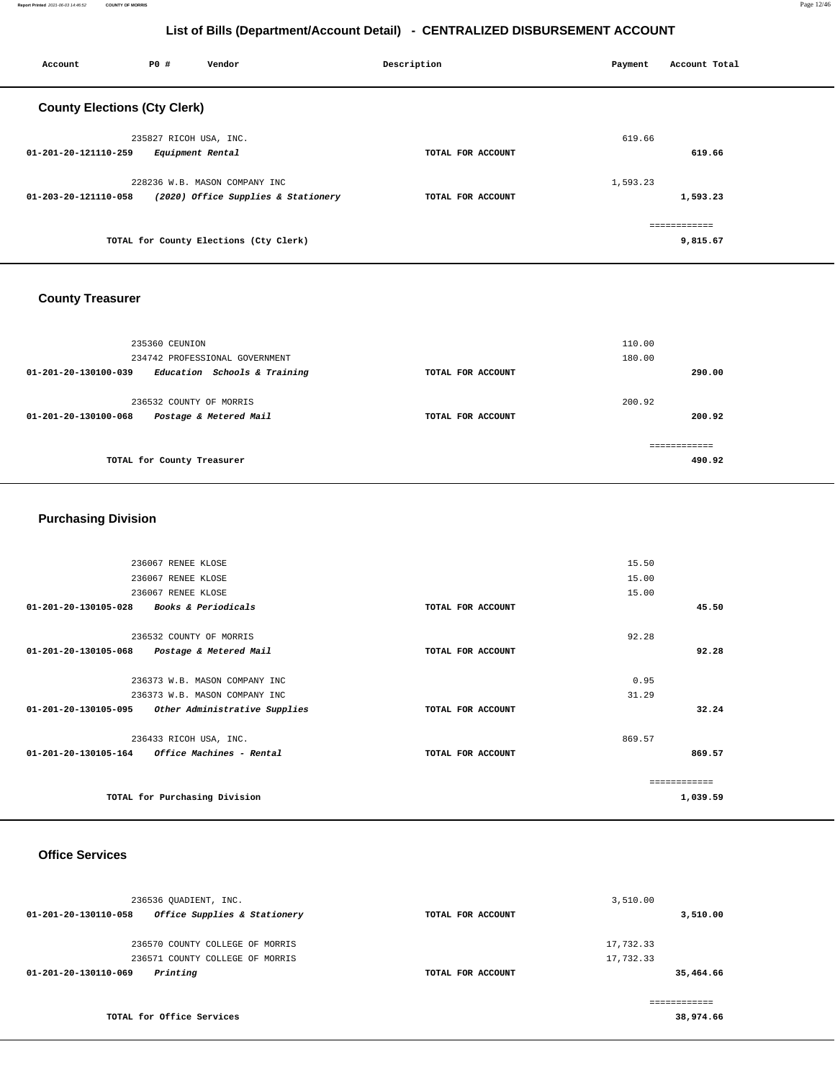**Report Printed** 2021-06-03 14:46:52 **COUNTY OF MORRIS** Page 12/46

# **List of Bills (Department/Account Detail) - CENTRALIZED DISBURSEMENT ACCOUNT**

| Account                             | PO#                     | Vendor                                 | Description       | Payment  | Account Total |
|-------------------------------------|-------------------------|----------------------------------------|-------------------|----------|---------------|
| <b>County Elections (Cty Clerk)</b> |                         |                                        |                   |          |               |
|                                     | 235827 RICOH USA, INC.  |                                        |                   | 619.66   |               |
| 01-201-20-121110-259                | Equipment Rental        |                                        | TOTAL FOR ACCOUNT |          | 619.66        |
|                                     |                         | 228236 W.B. MASON COMPANY INC          |                   | 1,593.23 |               |
| 01-203-20-121110-058                |                         | (2020) Office Supplies & Stationery    | TOTAL FOR ACCOUNT |          | 1,593.23      |
|                                     |                         |                                        |                   |          | ============  |
|                                     |                         | TOTAL for County Elections (Cty Clerk) |                   |          | 9,815.67      |
| <b>County Treasurer</b>             |                         |                                        |                   |          |               |
|                                     | 235360 CEUNION          |                                        |                   | 110.00   |               |
|                                     |                         | 234742 PROFESSIONAL GOVERNMENT         |                   | 180.00   |               |
| 01-201-20-130100-039                |                         | Education Schools & Training           | TOTAL FOR ACCOUNT |          | 290.00        |
|                                     | 236532 COUNTY OF MORRIS |                                        |                   | 200.92   |               |
| 01-201-20-130100-068                |                         | Postage & Metered Mail                 | TOTAL FOR ACCOUNT |          | 200.92        |

| ------------<br>------------ |
|------------------------------|
| 490.92<br>.                  |
|                              |

# **Purchasing Division**

| TOTAL for Purchasing Division                                    |                   |        | 1,039.59      |
|------------------------------------------------------------------|-------------------|--------|---------------|
|                                                                  |                   |        | ------------- |
| 01-201-20-130105-164 Office Machines - Rental                    | TOTAL FOR ACCOUNT |        | 869.57        |
| 236433 RICOH USA, INC.                                           |                   | 869.57 |               |
| 01-201-20-130105-095<br>Other Administrative Supplies            | TOTAL FOR ACCOUNT |        | 32.24         |
| 236373 W.B. MASON COMPANY INC                                    |                   | 31.29  |               |
| 236373 W.B. MASON COMPANY INC                                    |                   | 0.95   |               |
| 01-201-20-130105-068<br>Postage & Metered Mail                   | TOTAL FOR ACCOUNT |        | 92.28         |
| 236532 COUNTY OF MORRIS                                          |                   | 92.28  |               |
| $01 - 201 - 20 - 130105 - 028$<br><b>Books &amp; Periodicals</b> | TOTAL FOR ACCOUNT |        | 45.50         |
| 236067 RENEE KLOSE                                               |                   | 15.00  |               |
| 236067 RENEE KLOSE                                               |                   | 15.00  |               |
| 236067 RENEE KLOSE                                               |                   | 15.50  |               |
|                                                                  |                   |        |               |

## **Office Services**

| 236536 OUADIENT, INC.                                |                   | 3,510.00     |
|------------------------------------------------------|-------------------|--------------|
| Office Supplies & Stationery<br>01-201-20-130110-058 | TOTAL FOR ACCOUNT | 3,510.00     |
| 236570 COUNTY COLLEGE OF MORRIS                      |                   | 17,732.33    |
| 236571 COUNTY COLLEGE OF MORRIS                      |                   | 17,732.33    |
| Printing<br>01-201-20-130110-069                     | TOTAL FOR ACCOUNT | 35,464.66    |
|                                                      |                   | ------------ |
| TOTAL for Office Services                            |                   | 38,974.66    |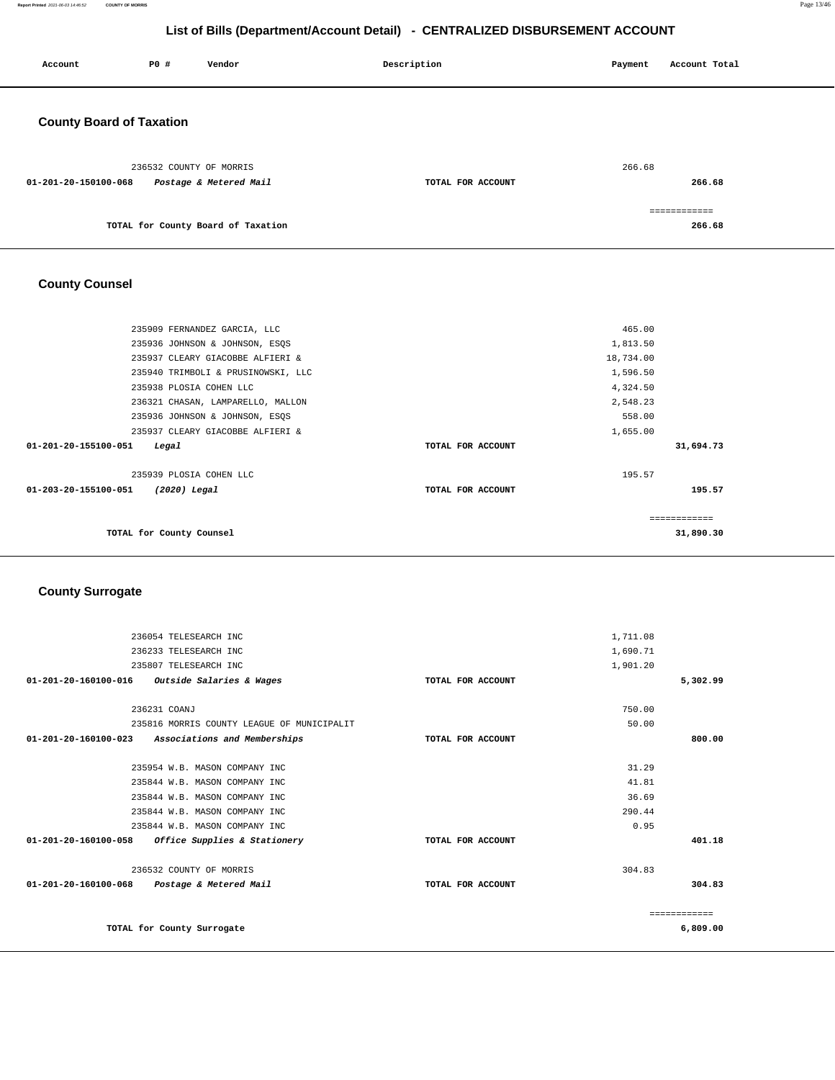**Report Printed** 2021-06-03 14:46:52 **COUNTY OF MORRIS** Page 13/46

**266.68**

# **List of Bills (Department/Account Detail) - CENTRALIZED DISBURSEMENT ACCOUNT**

| Account                         | P0 # | Vendor                                            | Description       | Payment | Account Total |  |
|---------------------------------|------|---------------------------------------------------|-------------------|---------|---------------|--|
| <b>County Board of Taxation</b> |      |                                                   |                   |         |               |  |
| 01-201-20-150100-068            |      | 236532 COUNTY OF MORRIS<br>Postage & Metered Mail | TOTAL FOR ACCOUNT | 266.68  | 266.68        |  |
|                                 |      |                                                   |                   |         | ============  |  |

# **County Counsel**

**TOTAL for County Board of Taxation** 

| 235909 FERNANDEZ GARCIA, LLC           |                   | 465.00    |
|----------------------------------------|-------------------|-----------|
|                                        |                   |           |
| 235936 JOHNSON & JOHNSON, ESQS         |                   | 1,813.50  |
| 235937 CLEARY GIACOBBE ALFIERI &       |                   | 18,734.00 |
| 235940 TRIMBOLI & PRUSINOWSKI, LLC     |                   | 1,596.50  |
| 235938 PLOSIA COHEN LLC                |                   | 4,324.50  |
| 236321 CHASAN, LAMPARELLO, MALLON      |                   | 2,548.23  |
| 235936 JOHNSON & JOHNSON, ESQS         |                   | 558.00    |
| 235937 CLEARY GIACOBBE ALFIERI &       |                   | 1,655.00  |
| 01-201-20-155100-051<br>Legal          | TOTAL FOR ACCOUNT | 31,694.73 |
|                                        |                   |           |
| 235939 PLOSIA COHEN LLC                |                   | 195.57    |
| 01-203-20-155100-051<br>$(2020)$ Legal | TOTAL FOR ACCOUNT | 195.57    |
|                                        |                   |           |
|                                        |                   |           |
| TOTAL for County Counsel               |                   | 31,890.30 |
|                                        |                   |           |

#### **County Surrogate**

| 236054 TELESEARCH INC                                |                   | 1,711.08 |              |
|------------------------------------------------------|-------------------|----------|--------------|
| 236233 TELESEARCH INC                                |                   | 1,690.71 |              |
| 235807 TELESEARCH INC                                |                   | 1,901.20 |              |
| $01-201-20-160100-016$ Outside Salaries & Wages      | TOTAL FOR ACCOUNT |          | 5,302.99     |
|                                                      |                   |          |              |
| 236231 COANJ                                         |                   | 750.00   |              |
| 235816 MORRIS COUNTY LEAGUE OF MUNICIPALIT           |                   | 50.00    |              |
| 01-201-20-160100-023<br>Associations and Memberships | TOTAL FOR ACCOUNT |          | 800.00       |
|                                                      |                   |          |              |
| 235954 W.B. MASON COMPANY INC                        |                   | 31.29    |              |
| 235844 W.B. MASON COMPANY INC                        |                   | 41.81    |              |
| 235844 W.B. MASON COMPANY INC                        |                   | 36.69    |              |
| 235844 W.B. MASON COMPANY INC                        |                   | 290.44   |              |
| 235844 W.B. MASON COMPANY INC                        |                   | 0.95     |              |
| 01-201-20-160100-058<br>Office Supplies & Stationery | TOTAL FOR ACCOUNT |          | 401.18       |
| 236532 COUNTY OF MORRIS                              |                   | 304.83   |              |
|                                                      |                   |          |              |
| 01-201-20-160100-068<br>Postage & Metered Mail       | TOTAL FOR ACCOUNT |          | 304.83       |
|                                                      |                   |          | ============ |
| TOTAL for County Surrogate                           |                   |          | 6,809.00     |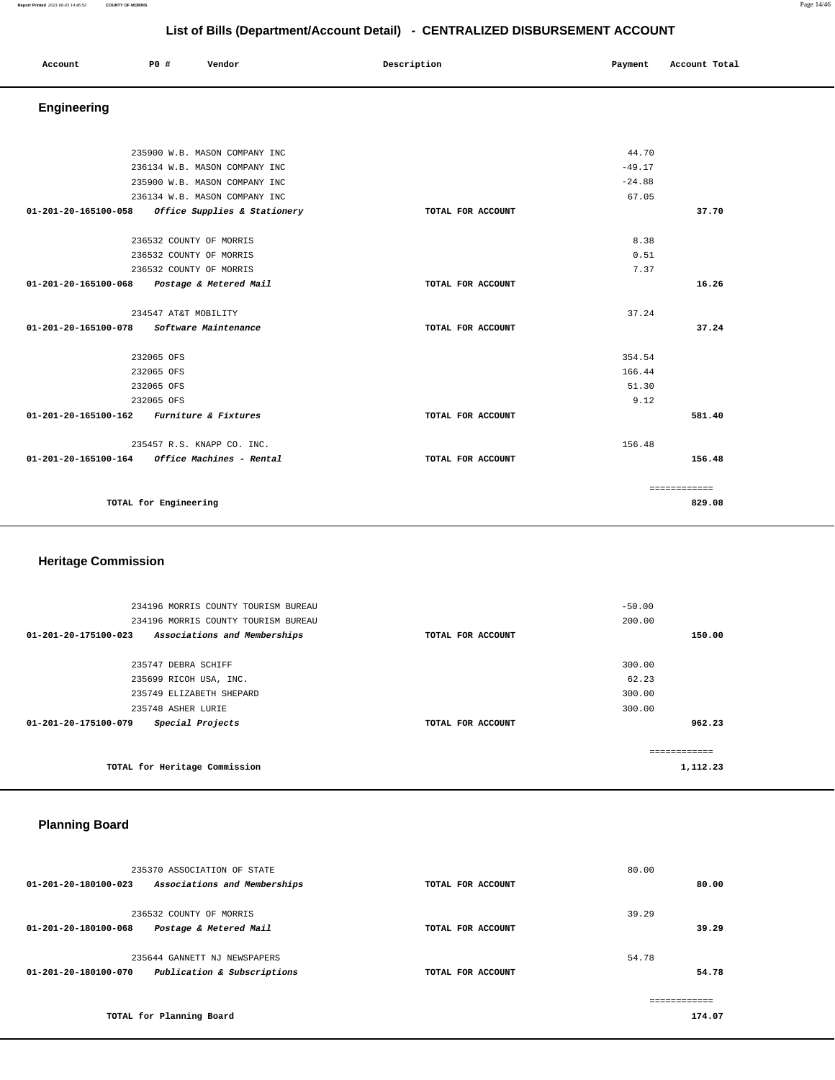| Account<br>. | P0 # | Vendor | Description | Payment | Account Total |
|--------------|------|--------|-------------|---------|---------------|
|              |      |        |             |         |               |

# **Engineering**

|                                           | 235900 W.B. MASON COMPANY INC               |                   | 44.70    |              |
|-------------------------------------------|---------------------------------------------|-------------------|----------|--------------|
|                                           | 236134 W.B. MASON COMPANY INC               |                   | $-49.17$ |              |
|                                           | 235900 W.B. MASON COMPANY INC               |                   | $-24.88$ |              |
|                                           | 236134 W.B. MASON COMPANY INC               |                   | 67.05    |              |
| 01-201-20-165100-058                      | Office Supplies & Stationery                | TOTAL FOR ACCOUNT |          | 37.70        |
|                                           |                                             |                   |          |              |
|                                           | 236532 COUNTY OF MORRIS                     |                   | 8.38     |              |
|                                           | 236532 COUNTY OF MORRIS                     |                   | 0.51     |              |
|                                           | 236532 COUNTY OF MORRIS                     |                   | 7.37     |              |
|                                           | 01-201-20-165100-068 Postage & Metered Mail | TOTAL FOR ACCOUNT |          | 16.26        |
|                                           | 234547 AT&T MOBILITY                        |                   | 37.24    |              |
| 01-201-20-165100-078                      | Software Maintenance                        | TOTAL FOR ACCOUNT |          | 37.24        |
|                                           | 232065 OFS                                  |                   | 354.54   |              |
|                                           | 232065 OFS                                  |                   | 166.44   |              |
|                                           | 232065 OFS                                  |                   | 51.30    |              |
|                                           | 232065 OFS                                  |                   | 9.12     |              |
| 01-201-20-165100-162 Furniture & Fixtures |                                             | TOTAL FOR ACCOUNT |          | 581.40       |
|                                           |                                             |                   |          |              |
|                                           | 235457 R.S. KNAPP CO. INC.                  |                   | 156.48   |              |
| 01-201-20-165100-164                      | Office Machines - Rental                    | TOTAL FOR ACCOUNT |          | 156.48       |
|                                           |                                             |                   |          | ============ |
|                                           | TOTAL for Engineering                       |                   |          | 829.08       |
|                                           |                                             |                   |          |              |

# **Heritage Commission**

| 234196 MORRIS COUNTY TOURISM BUREAU<br>234196 MORRIS COUNTY TOURISM BUREAU |                   | $-50.00$<br>200.00 |
|----------------------------------------------------------------------------|-------------------|--------------------|
| 01-201-20-175100-023<br>Associations and Memberships                       | TOTAL FOR ACCOUNT | 150.00             |
|                                                                            |                   |                    |
| 235747 DEBRA SCHIFF                                                        |                   | 300.00             |
| 235699 RICOH USA, INC.                                                     |                   | 62.23              |
| 235749 ELIZABETH SHEPARD                                                   |                   | 300.00             |
| 235748 ASHER LURIE                                                         |                   | 300.00             |
| Special Projects<br>01-201-20-175100-079                                   | TOTAL FOR ACCOUNT | 962.23             |
|                                                                            |                   | ------------       |
| TOTAL for Heritage Commission                                              |                   | 1,112.23           |

# **Planning Board**

|                      | 235370 ASSOCIATION OF STATE  |                   | 80.00 |        |
|----------------------|------------------------------|-------------------|-------|--------|
| 01-201-20-180100-023 | Associations and Memberships | TOTAL FOR ACCOUNT |       | 80.00  |
|                      | 236532 COUNTY OF MORRIS      |                   | 39.29 |        |
| 01-201-20-180100-068 | Postage & Metered Mail       | TOTAL FOR ACCOUNT |       | 39.29  |
|                      | 235644 GANNETT NJ NEWSPAPERS |                   | 54.78 |        |
| 01-201-20-180100-070 | Publication & Subscriptions  | TOTAL FOR ACCOUNT |       | 54.78  |
|                      |                              |                   |       |        |
|                      | TOTAL for Planning Board     |                   |       | 174.07 |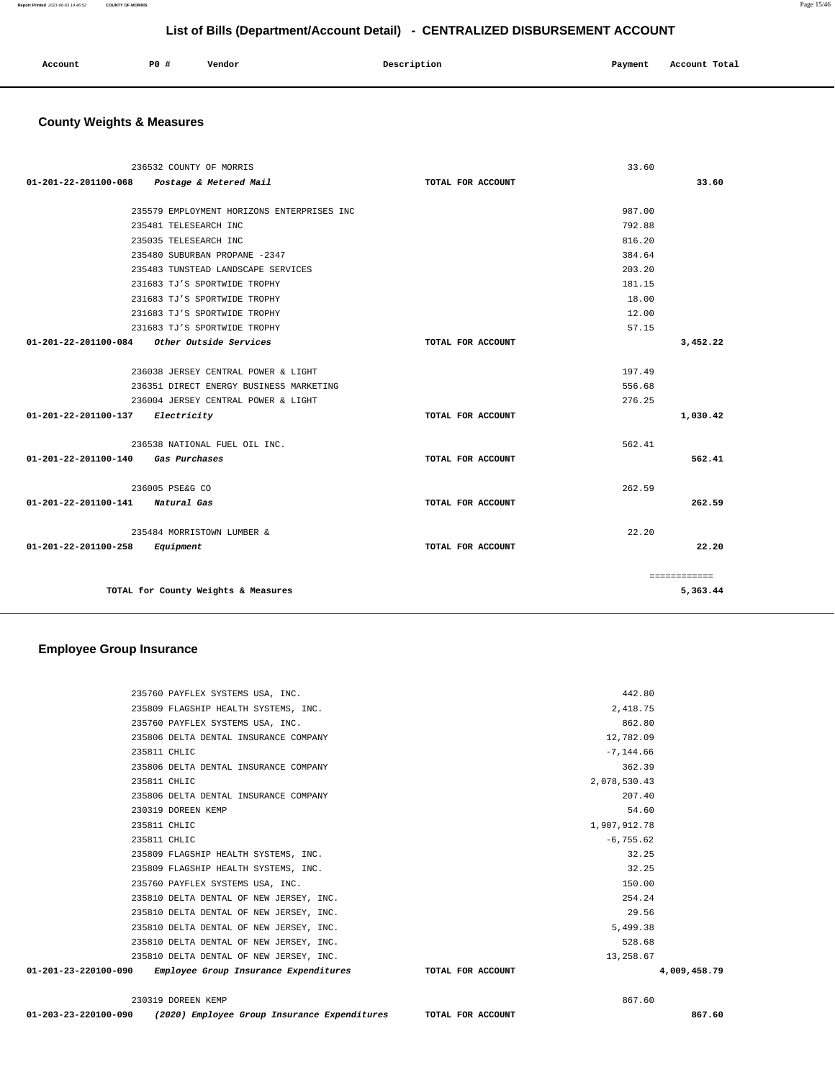| Account | P0 # | Vendor | Description | Payment | Account Total |
|---------|------|--------|-------------|---------|---------------|
|         |      |        |             |         |               |

# **County Weights & Measures**

|                                  | 236532 COUNTY OF MORRIS                       |                   | 33.60  |              |
|----------------------------------|-----------------------------------------------|-------------------|--------|--------------|
| 01-201-22-201100-068             | Postage & Metered Mail                        | TOTAL FOR ACCOUNT |        | 33.60        |
|                                  |                                               |                   |        |              |
|                                  | 235579 EMPLOYMENT HORIZONS ENTERPRISES INC    |                   | 987.00 |              |
|                                  | 235481 TELESEARCH INC                         |                   | 792.88 |              |
|                                  | 235035 TELESEARCH INC                         |                   | 816.20 |              |
|                                  | 235480 SUBURBAN PROPANE -2347                 |                   | 384.64 |              |
|                                  | 235483 TUNSTEAD LANDSCAPE SERVICES            |                   | 203.20 |              |
|                                  | 231683 TJ'S SPORTWIDE TROPHY                  |                   | 181.15 |              |
|                                  | 231683 TJ'S SPORTWIDE TROPHY                  |                   | 18.00  |              |
|                                  | 231683 TJ'S SPORTWIDE TROPHY                  |                   | 12.00  |              |
|                                  | 231683 TJ'S SPORTWIDE TROPHY                  |                   | 57.15  |              |
|                                  | $01-201-22-201100-084$ Other Outside Services | TOTAL FOR ACCOUNT |        | 3,452.22     |
|                                  |                                               |                   |        |              |
|                                  | 236038 JERSEY CENTRAL POWER & LIGHT           |                   | 197.49 |              |
|                                  | 236351 DIRECT ENERGY BUSINESS MARKETING       |                   | 556.68 |              |
|                                  | 236004 JERSEY CENTRAL POWER & LIGHT           |                   | 276.25 |              |
| 01-201-22-201100-137 Electricity |                                               | TOTAL FOR ACCOUNT |        | 1,030.42     |
|                                  |                                               |                   |        |              |
|                                  | 236538 NATIONAL FUEL OIL INC.                 |                   | 562.41 |              |
| 01-201-22-201100-140             | Gas Purchases                                 | TOTAL FOR ACCOUNT |        | 562.41       |
|                                  |                                               |                   |        |              |
|                                  | 236005 PSE&G CO                               |                   | 262.59 |              |
| 01-201-22-201100-141 Natural Gas |                                               | TOTAL FOR ACCOUNT |        | 262.59       |
|                                  |                                               |                   |        |              |
|                                  | 235484 MORRISTOWN LUMBER &                    |                   | 22.20  |              |
| 01-201-22-201100-258             | Equipment                                     | TOTAL FOR ACCOUNT |        | 22.20        |
|                                  |                                               |                   |        |              |
|                                  |                                               |                   |        | ============ |
|                                  | TOTAL for County Weights & Measures           |                   |        | 5,363.44     |

## **Employee Group Insurance**

| 01-203-23-220100-090 | (2020) Employee Group Insurance Expenditures            | TOTAL FOR ACCOUNT |              | 867.60       |
|----------------------|---------------------------------------------------------|-------------------|--------------|--------------|
|                      | 230319 DOREEN KEMP                                      |                   | 867.60       |              |
| 01-201-23-220100-090 | Employee Group Insurance Expenditures TOTAL FOR ACCOUNT |                   |              | 4,009,458.79 |
|                      | 235810 DELTA DENTAL OF NEW JERSEY, INC.                 |                   | 13,258.67    |              |
|                      | 235810 DELTA DENTAL OF NEW JERSEY, INC.                 |                   | 528.68       |              |
|                      | 235810 DELTA DENTAL OF NEW JERSEY, INC.                 |                   | 5,499.38     |              |
|                      | 235810 DELTA DENTAL OF NEW JERSEY, INC.                 |                   | 29.56        |              |
|                      | 235810 DELTA DENTAL OF NEW JERSEY, INC.                 |                   | 254.24       |              |
|                      | 235760 PAYFLEX SYSTEMS USA, INC.                        |                   | 150.00       |              |
|                      | 235809 FLAGSHIP HEALTH SYSTEMS, INC.                    |                   | 32.25        |              |
|                      | 235809 FLAGSHIP HEALTH SYSTEMS, INC.                    |                   | 32.25        |              |
|                      | 235811 CHLIC                                            |                   | $-6, 755.62$ |              |
|                      | 235811 CHLIC                                            |                   | 1,907,912.78 |              |
|                      | 230319 DOREEN KEMP                                      |                   | 54.60        |              |
|                      | 235806 DELTA DENTAL INSURANCE COMPANY                   |                   | 207.40       |              |
|                      | 235811 CHLIC                                            |                   | 2,078,530.43 |              |
|                      | 235806 DELTA DENTAL INSURANCE COMPANY                   |                   | 362.39       |              |
|                      | 235811 CHLIC                                            |                   | $-7, 144.66$ |              |
|                      | 235806 DELTA DENTAL INSURANCE COMPANY                   |                   | 12,782.09    |              |
|                      | 235760 PAYFLEX SYSTEMS USA, INC.                        |                   | 862.80       |              |
|                      | 235809 FLAGSHIP HEALTH SYSTEMS, INC.                    |                   | 2,418.75     |              |
|                      | 235760 PAYFLEX SYSTEMS USA, INC.                        |                   | 442.80       |              |
|                      |                                                         |                   |              |              |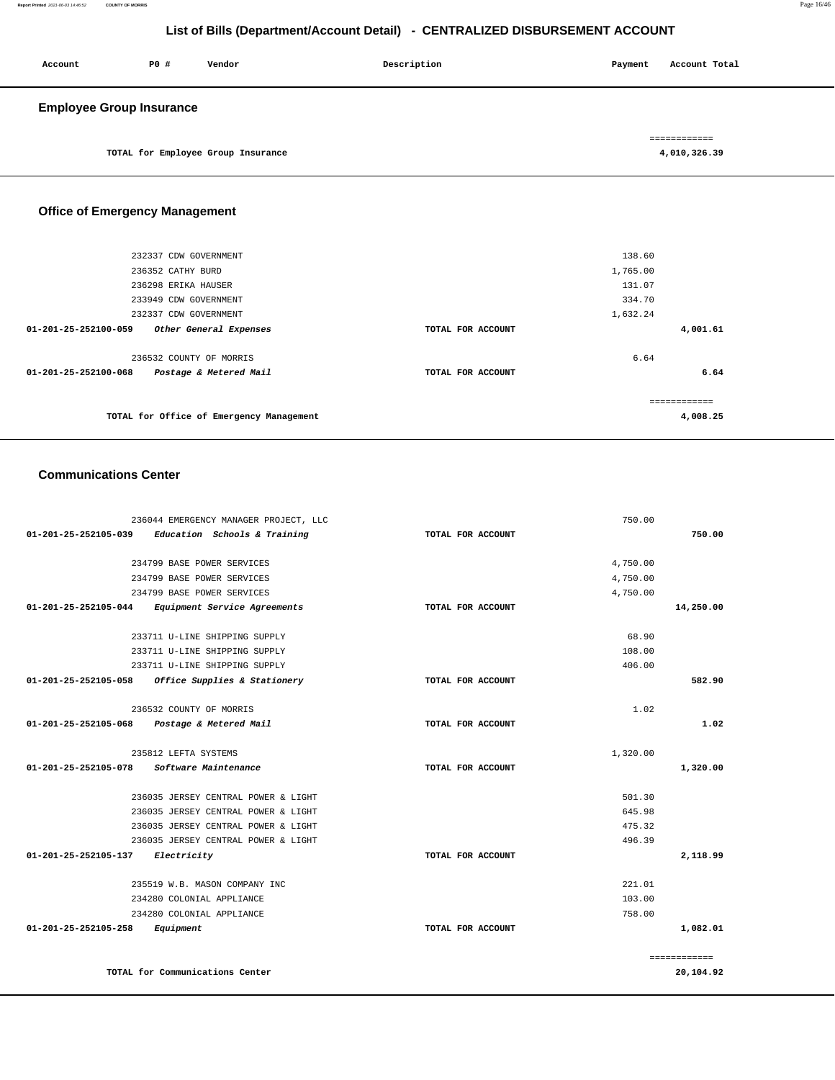| Account                         | P0 # | Vendor                             | Description | Account Total<br>Payment |
|---------------------------------|------|------------------------------------|-------------|--------------------------|
| <b>Employee Group Insurance</b> |      |                                    |             |                          |
|                                 |      |                                    |             | ============             |
|                                 |      | TOTAL for Employee Group Insurance |             | 4,010,326.39             |

# **Office of Emergency Management**

| 4,001.61 |
|----------|
|          |
|          |
| 6.64     |
|          |
|          |
| 4,008.25 |
|          |

#### **Communications Center**

| 236044 EMERGENCY MANAGER PROJECT, LLC                |                   | 750.00       |
|------------------------------------------------------|-------------------|--------------|
| 01-201-25-252105-039<br>Education Schools & Training | TOTAL FOR ACCOUNT | 750.00       |
| 234799 BASE POWER SERVICES                           |                   | 4,750.00     |
| 234799 BASE POWER SERVICES                           |                   | 4,750.00     |
| 234799 BASE POWER SERVICES                           |                   | 4,750.00     |
| 01-201-25-252105-044<br>Equipment Service Agreements | TOTAL FOR ACCOUNT | 14,250.00    |
| 233711 U-LINE SHIPPING SUPPLY                        |                   | 68.90        |
| 233711 U-LINE SHIPPING SUPPLY                        |                   | 108.00       |
| 233711 U-LINE SHIPPING SUPPLY                        |                   | 406.00       |
| 01-201-25-252105-058<br>Office Supplies & Stationery | TOTAL FOR ACCOUNT | 582.90       |
| 236532 COUNTY OF MORRIS                              |                   | 1.02         |
| 01-201-25-252105-068<br>Postage & Metered Mail       | TOTAL FOR ACCOUNT | 1.02         |
| 235812 LEFTA SYSTEMS                                 |                   | 1,320.00     |
| Software Maintenance<br>01-201-25-252105-078         | TOTAL FOR ACCOUNT | 1,320.00     |
| 236035 JERSEY CENTRAL POWER & LIGHT                  |                   | 501.30       |
| 236035 JERSEY CENTRAL POWER & LIGHT                  |                   | 645.98       |
| 236035 JERSEY CENTRAL POWER & LIGHT                  |                   | 475.32       |
| 236035 JERSEY CENTRAL POWER & LIGHT                  |                   | 496.39       |
| 01-201-25-252105-137<br>Electricity                  | TOTAL FOR ACCOUNT | 2,118.99     |
| 235519 W.B. MASON COMPANY INC                        |                   | 221.01       |
| 234280 COLONIAL APPLIANCE                            |                   | 103.00       |
| 234280 COLONIAL APPLIANCE                            |                   | 758.00       |
| 01-201-25-252105-258<br>Equipment                    | TOTAL FOR ACCOUNT | 1,082.01     |
|                                                      |                   | ============ |
| TOTAL for Communications Center                      |                   | 20,104.92    |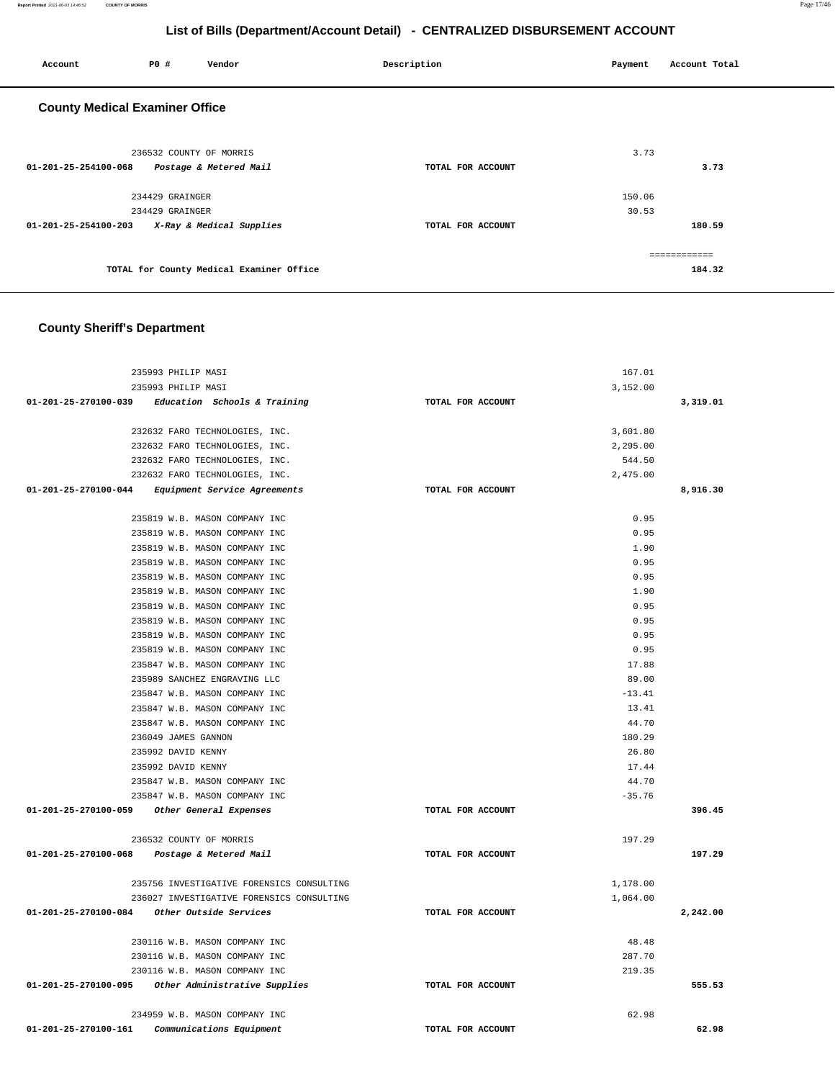| Account                               | P0 #                    | Vendor                                   | Description       | Payment | Account Total |
|---------------------------------------|-------------------------|------------------------------------------|-------------------|---------|---------------|
| <b>County Medical Examiner Office</b> |                         |                                          |                   |         |               |
|                                       | 236532 COUNTY OF MORRIS |                                          |                   | 3.73    |               |
| 01-201-25-254100-068                  |                         | Postage & Metered Mail                   | TOTAL FOR ACCOUNT |         | 3.73          |
|                                       | 234429 GRAINGER         |                                          |                   | 150.06  |               |
|                                       | 234429 GRAINGER         |                                          |                   | 30.53   |               |
| 01-201-25-254100-203                  |                         | X-Ray & Medical Supplies                 | TOTAL FOR ACCOUNT |         | 180.59        |
|                                       |                         |                                          |                   |         | ============  |
|                                       |                         | TOTAL for County Medical Examiner Office |                   |         | 184.32        |

# **County Sheriff's Department**

| 235993 PHILIP MASI                                 |                   | 167.01   |          |
|----------------------------------------------------|-------------------|----------|----------|
| 235993 PHILIP MASI                                 |                   | 3,152.00 |          |
| 01-201-25-270100-039 Education Schools & Training  | TOTAL FOR ACCOUNT |          | 3,319.01 |
|                                                    |                   |          |          |
| 232632 FARO TECHNOLOGIES, INC.                     |                   | 3,601.80 |          |
| 232632 FARO TECHNOLOGIES, INC.                     |                   | 2,295.00 |          |
| 232632 FARO TECHNOLOGIES, INC.                     |                   | 544.50   |          |
| 232632 FARO TECHNOLOGIES, INC.                     |                   | 2,475.00 |          |
| 01-201-25-270100-044 Equipment Service Agreements  | TOTAL FOR ACCOUNT |          | 8,916.30 |
|                                                    |                   |          |          |
| 235819 W.B. MASON COMPANY INC                      |                   | 0.95     |          |
| 235819 W.B. MASON COMPANY INC                      |                   | 0.95     |          |
| 235819 W.B. MASON COMPANY INC                      |                   | 1.90     |          |
| 235819 W.B. MASON COMPANY INC                      |                   | 0.95     |          |
| 235819 W.B. MASON COMPANY INC                      |                   | 0.95     |          |
| 235819 W.B. MASON COMPANY INC                      |                   | 1.90     |          |
| 235819 W.B. MASON COMPANY INC                      |                   | 0.95     |          |
| 235819 W.B. MASON COMPANY INC                      |                   | 0.95     |          |
| 235819 W.B. MASON COMPANY INC                      |                   | 0.95     |          |
| 235819 W.B. MASON COMPANY INC                      |                   | 0.95     |          |
| 235847 W.B. MASON COMPANY INC                      |                   | 17.88    |          |
| 235989 SANCHEZ ENGRAVING LLC                       |                   | 89.00    |          |
| 235847 W.B. MASON COMPANY INC                      |                   | $-13.41$ |          |
| 235847 W.B. MASON COMPANY INC                      |                   | 13.41    |          |
| 235847 W.B. MASON COMPANY INC                      |                   | 44.70    |          |
| 236049 JAMES GANNON                                |                   | 180.29   |          |
| 235992 DAVID KENNY                                 |                   | 26.80    |          |
| 235992 DAVID KENNY                                 |                   | 17.44    |          |
| 235847 W.B. MASON COMPANY INC                      |                   | 44.70    |          |
| 235847 W.B. MASON COMPANY INC                      |                   | $-35.76$ |          |
| 01-201-25-270100-059 Other General Expenses        | TOTAL FOR ACCOUNT |          | 396.45   |
|                                                    |                   |          |          |
| 236532 COUNTY OF MORRIS                            |                   | 197.29   |          |
| 01-201-25-270100-068 Postage & Metered Mail        | TOTAL FOR ACCOUNT |          | 197.29   |
| 235756 INVESTIGATIVE FORENSICS CONSULTING          |                   | 1,178.00 |          |
| 236027 INVESTIGATIVE FORENSICS CONSULTING          |                   | 1,064.00 |          |
| 01-201-25-270100-084 Other Outside Services        | TOTAL FOR ACCOUNT |          | 2,242.00 |
|                                                    |                   |          |          |
| 230116 W.B. MASON COMPANY INC                      |                   | 48.48    |          |
| 230116 W.B. MASON COMPANY INC                      |                   | 287.70   |          |
| 230116 W.B. MASON COMPANY INC                      |                   | 219.35   |          |
| 01-201-25-270100-095 Other Administrative Supplies | TOTAL FOR ACCOUNT |          | 555.53   |
|                                                    |                   |          |          |
| 234959 W.B. MASON COMPANY INC                      |                   | 62.98    |          |
| 01-201-25-270100-161 Communications Equipment      | TOTAL FOR ACCOUNT |          | 62.98    |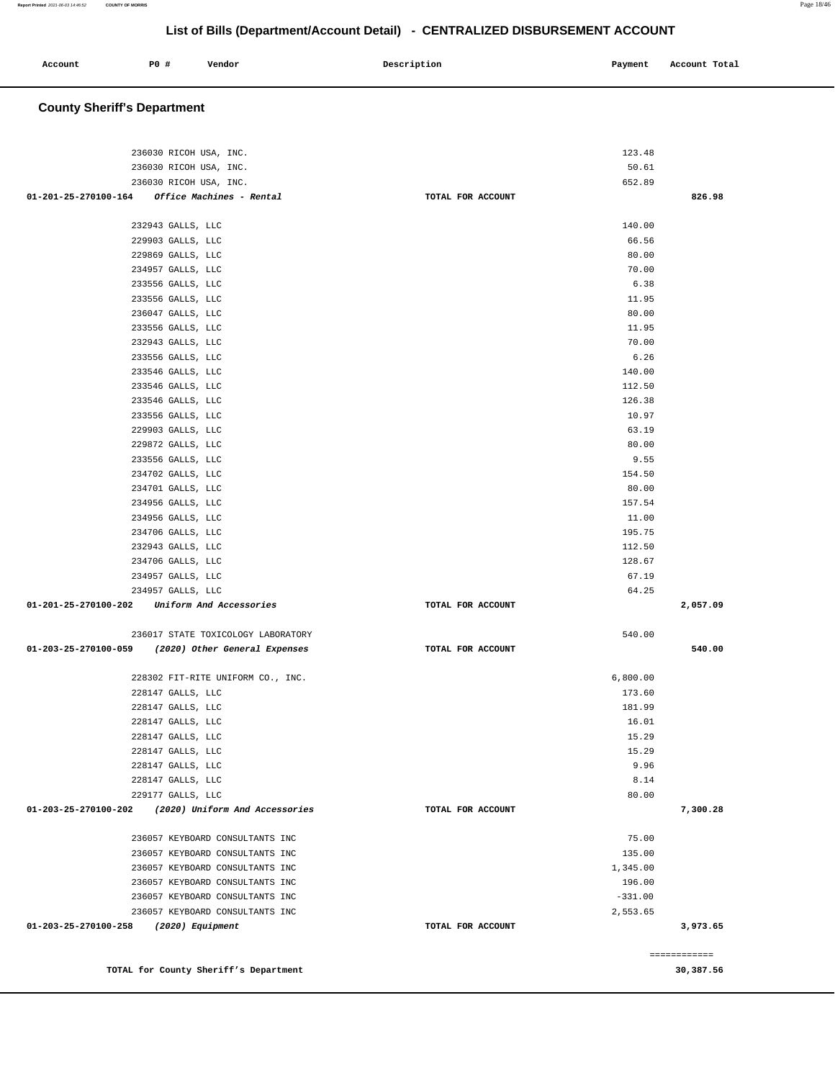| Account | P0 # | Vendor | Description | Payment | Account Total |
|---------|------|--------|-------------|---------|---------------|
|         |      |        |             |         |               |

# **County Sheriff's Department**

| 236030 RICOH USA, INC.<br>236030 RICOH USA, INC.                        |                   | 123.48<br>50.61 |                           |
|-------------------------------------------------------------------------|-------------------|-----------------|---------------------------|
|                                                                         |                   |                 |                           |
| 236030 RICOH USA, INC.<br>01-201-25-270100-164 Office Machines - Rental | TOTAL FOR ACCOUNT | 652.89          | 826.98                    |
|                                                                         |                   |                 |                           |
| 232943 GALLS, LLC                                                       |                   | 140.00          |                           |
| 229903 GALLS, LLC                                                       |                   | 66.56           |                           |
| 229869 GALLS, LLC                                                       |                   | 80.00           |                           |
| 234957 GALLS, LLC                                                       |                   | 70.00           |                           |
| 233556 GALLS, LLC                                                       |                   | 6.38            |                           |
| 233556 GALLS, LLC                                                       |                   | 11.95           |                           |
| 236047 GALLS, LLC                                                       |                   | 80.00           |                           |
| 233556 GALLS, LLC                                                       |                   | 11.95           |                           |
| 232943 GALLS, LLC                                                       |                   | 70.00           |                           |
| 233556 GALLS, LLC                                                       |                   | 6.26            |                           |
| 233546 GALLS, LLC                                                       |                   | 140.00          |                           |
| 233546 GALLS, LLC                                                       |                   | 112.50          |                           |
|                                                                         |                   | 126.38          |                           |
| 233546 GALLS, LLC<br>233556 GALLS, LLC                                  |                   | 10.97           |                           |
| 229903 GALLS, LLC                                                       |                   | 63.19           |                           |
| 229872 GALLS, LLC                                                       |                   | 80.00           |                           |
|                                                                         |                   | 9.55            |                           |
| 233556 GALLS, LLC                                                       |                   |                 |                           |
| 234702 GALLS, LLC                                                       |                   | 154.50          |                           |
| 234701 GALLS, LLC                                                       |                   | 80.00           |                           |
| 234956 GALLS, LLC                                                       |                   | 157.54          |                           |
| 234956 GALLS, LLC                                                       |                   | 11.00           |                           |
| 234706 GALLS, LLC                                                       |                   | 195.75          |                           |
| 232943 GALLS, LLC                                                       |                   | 112.50          |                           |
| 234706 GALLS, LLC                                                       |                   | 128.67          |                           |
| 234957 GALLS, LLC                                                       |                   | 67.19           |                           |
| 234957 GALLS, LLC                                                       |                   | 64.25           |                           |
| 01-201-25-270100-202 Uniform And Accessories                            | TOTAL FOR ACCOUNT |                 | 2,057.09                  |
| 236017 STATE TOXICOLOGY LABORATORY                                      |                   | 540.00          |                           |
| 01-203-25-270100-059 (2020) Other General Expenses                      | TOTAL FOR ACCOUNT |                 | 540.00                    |
|                                                                         |                   |                 |                           |
| 228302 FIT-RITE UNIFORM CO., INC.                                       |                   | 6,800.00        |                           |
| 228147 GALLS, LLC                                                       |                   | 173.60          |                           |
| 228147 GALLS, LLC                                                       |                   | 181.99          |                           |
| 228147 GALLS, LLC                                                       |                   | 16.01           |                           |
| 228147 GALLS, LLC                                                       |                   | 15.29           |                           |
| 228147 GALLS, LLC                                                       |                   | 15.29           |                           |
| 228147 GALLS, LLC                                                       |                   | 9.96            |                           |
| 228147 GALLS, LLC                                                       |                   | 8.14            |                           |
| 229177 GALLS, LLC                                                       |                   | 80.00           |                           |
| 01-203-25-270100-202 (2020) Uniform And Accessories                     | TOTAL FOR ACCOUNT |                 | 7,300.28                  |
|                                                                         |                   |                 |                           |
| 236057 KEYBOARD CONSULTANTS INC                                         |                   | 75.00           |                           |
| 236057 KEYBOARD CONSULTANTS INC                                         |                   | 135.00          |                           |
| 236057 KEYBOARD CONSULTANTS INC                                         |                   | 1,345.00        |                           |
| 236057 KEYBOARD CONSULTANTS INC                                         |                   | 196.00          |                           |
| 236057 KEYBOARD CONSULTANTS INC                                         |                   | $-331.00$       |                           |
| 236057 KEYBOARD CONSULTANTS INC                                         |                   | 2,553.65        |                           |
| 01-203-25-270100-258 (2020) Equipment                                   | TOTAL FOR ACCOUNT |                 | 3,973.65                  |
|                                                                         |                   |                 |                           |
| TOTAL for County Sheriff's Department                                   |                   |                 | ------------<br>30,387.56 |
|                                                                         |                   |                 |                           |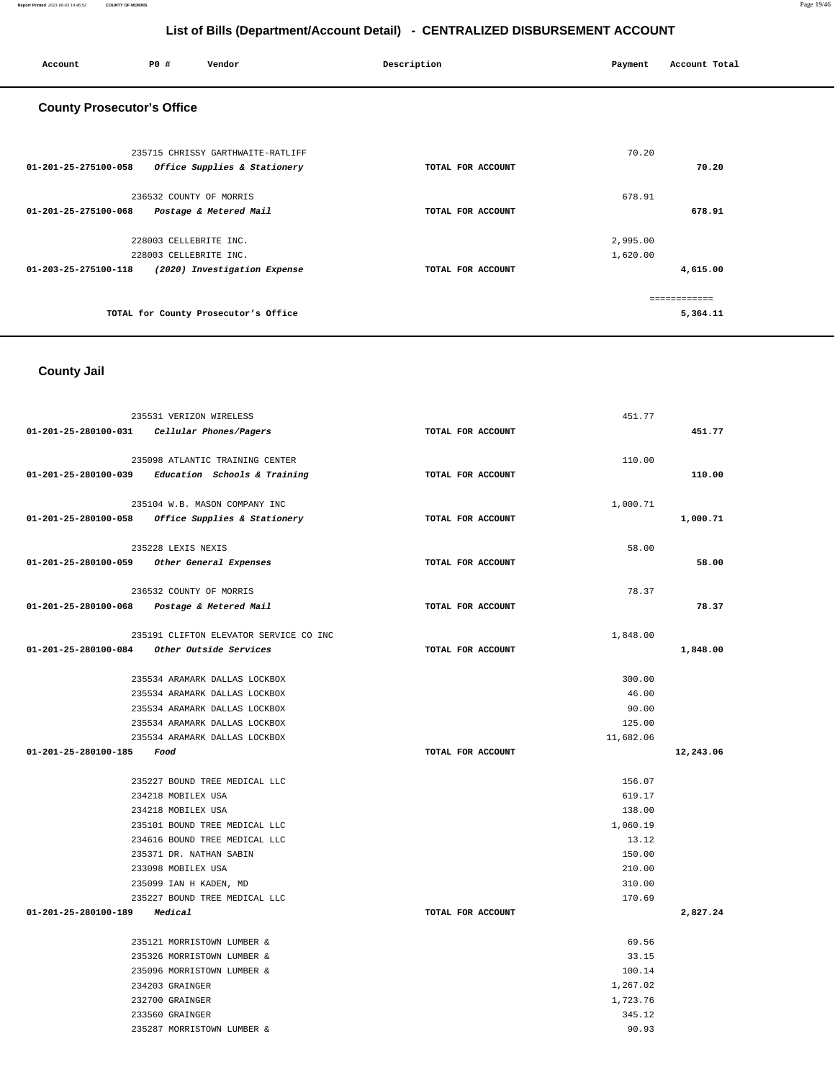| Account                           | <b>PO #</b>                                      | Vendor                                                            | Description       | Payment              | Account Total            |
|-----------------------------------|--------------------------------------------------|-------------------------------------------------------------------|-------------------|----------------------|--------------------------|
| <b>County Prosecutor's Office</b> |                                                  |                                                                   |                   |                      |                          |
| 01-201-25-275100-058              |                                                  | 235715 CHRISSY GARTHWAITE-RATLIFF<br>Office Supplies & Stationery | TOTAL FOR ACCOUNT | 70.20                | 70.20                    |
| 01-201-25-275100-068              | 236532 COUNTY OF MORRIS                          | Postage & Metered Mail                                            | TOTAL FOR ACCOUNT | 678.91               | 678.91                   |
| 01-203-25-275100-118              | 228003 CELLEBRITE INC.<br>228003 CELLEBRITE INC. | (2020) Investigation Expense                                      | TOTAL FOR ACCOUNT | 2,995.00<br>1,620.00 | 4,615.00                 |
|                                   |                                                  | TOTAL for County Prosecutor's Office                              |                   |                      | ============<br>5,364.11 |

# **County Jail**

|                              | 235531 VERIZON WIRELESS                                  |                   | 451.77    |           |
|------------------------------|----------------------------------------------------------|-------------------|-----------|-----------|
|                              | 01-201-25-280100-031 Cellular Phones/Pagers              | TOTAL FOR ACCOUNT |           | 451.77    |
|                              | 235098 ATLANTIC TRAINING CENTER                          |                   | 110.00    |           |
|                              | $01-201-25-280100-039$ Education Schools & Training      | TOTAL FOR ACCOUNT |           | 110.00    |
|                              |                                                          |                   |           |           |
|                              | 235104 W.B. MASON COMPANY INC                            |                   | 1,000.71  |           |
|                              | 01-201-25-280100-058 Office Supplies & Stationery        | TOTAL FOR ACCOUNT |           | 1,000.71  |
|                              | 235228 LEXIS NEXIS                                       |                   | 58.00     |           |
|                              | 01-201-25-280100-059 Other General Expenses              | TOTAL FOR ACCOUNT |           | 58.00     |
|                              | 236532 COUNTY OF MORRIS                                  |                   | 78.37     |           |
|                              | 01-201-25-280100-068 Postage & Metered Mail              | TOTAL FOR ACCOUNT |           | 78.37     |
|                              | 235191 CLIFTON ELEVATOR SERVICE CO INC                   |                   | 1,848.00  |           |
|                              | $01-201-25-280100-084$ Other Outside Services            | TOTAL FOR ACCOUNT |           | 1,848.00  |
|                              |                                                          |                   |           |           |
|                              | 235534 ARAMARK DALLAS LOCKBOX                            |                   | 300.00    |           |
|                              | 235534 ARAMARK DALLAS LOCKBOX                            |                   | 46.00     |           |
|                              | 235534 ARAMARK DALLAS LOCKBOX                            |                   | 90.00     |           |
|                              | 235534 ARAMARK DALLAS LOCKBOX                            |                   | 125.00    |           |
|                              | 235534 ARAMARK DALLAS LOCKBOX                            |                   | 11,682.06 |           |
| 01-201-25-280100-185         | Food                                                     | TOTAL FOR ACCOUNT |           | 12,243.06 |
|                              | 235227 BOUND TREE MEDICAL LLC                            |                   | 156.07    |           |
|                              | 234218 MOBILEX USA                                       |                   | 619.17    |           |
|                              | 234218 MOBILEX USA                                       |                   | 138.00    |           |
|                              | 235101 BOUND TREE MEDICAL LLC                            |                   | 1,060.19  |           |
|                              | 234616 BOUND TREE MEDICAL LLC                            |                   | 13.12     |           |
|                              | 235371 DR. NATHAN SABIN                                  |                   | 150.00    |           |
|                              | 233098 MOBILEX USA                                       |                   | 210.00    |           |
|                              | 235099 IAN H KADEN, MD                                   |                   | 310.00    |           |
|                              | 235227 BOUND TREE MEDICAL LLC                            |                   | 170.69    |           |
| 01-201-25-280100-189 Medical |                                                          | TOTAL FOR ACCOUNT |           | 2,827.24  |
|                              |                                                          |                   | 69.56     |           |
|                              | 235121 MORRISTOWN LUMBER &<br>235326 MORRISTOWN LUMBER & |                   | 33.15     |           |
|                              | 235096 MORRISTOWN LUMBER &                               |                   | 100.14    |           |
|                              | 234203 GRAINGER                                          |                   | 1,267.02  |           |
|                              | 232700 GRAINGER                                          |                   | 1,723.76  |           |
|                              | 233560 GRAINGER                                          |                   | 345.12    |           |
|                              | 235287 MORRISTOWN LUMBER &                               |                   | 90.93     |           |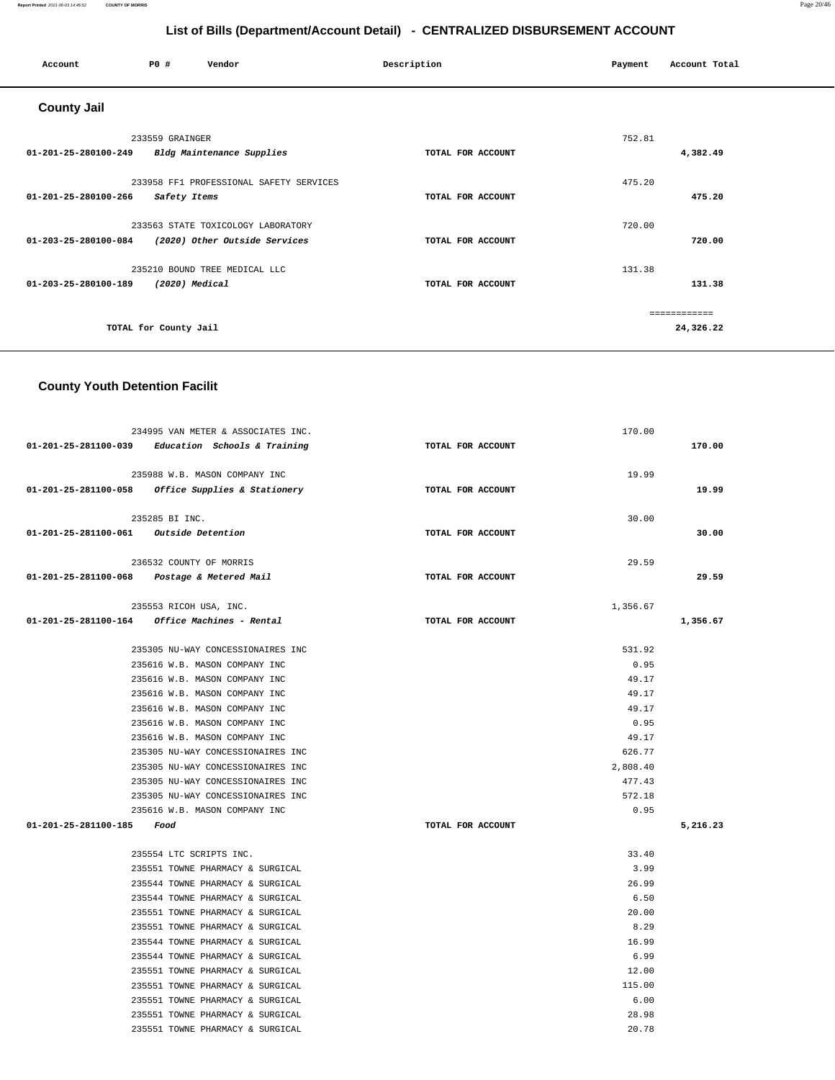#### **Report Printed** 2021-06-03 14:46:52 **COUNTY OF MORRIS** Page 20/46

# **List of Bills (Department/Account Detail) - CENTRALIZED DISBURSEMENT ACCOUNT**

| Account              | P0#                   | Vendor                                                              | Description       | Payment | Account Total |
|----------------------|-----------------------|---------------------------------------------------------------------|-------------------|---------|---------------|
| <b>County Jail</b>   |                       |                                                                     |                   |         |               |
|                      | 233559 GRAINGER       |                                                                     |                   | 752.81  |               |
| 01-201-25-280100-249 |                       | Bldg Maintenance Supplies                                           | TOTAL FOR ACCOUNT |         | 4,382.49      |
|                      |                       | 233958 FF1 PROFESSIONAL SAFETY SERVICES                             |                   | 475.20  |               |
| 01-201-25-280100-266 | Safety Items          |                                                                     | TOTAL FOR ACCOUNT |         | 475.20        |
|                      |                       |                                                                     |                   | 720.00  |               |
| 01-203-25-280100-084 |                       | 233563 STATE TOXICOLOGY LABORATORY<br>(2020) Other Outside Services | TOTAL FOR ACCOUNT |         | 720.00        |
|                      |                       |                                                                     |                   |         |               |
|                      |                       | 235210 BOUND TREE MEDICAL LLC                                       |                   | 131.38  |               |
| 01-203-25-280100-189 | $(2020)$ Medical      |                                                                     | TOTAL FOR ACCOUNT |         | 131.38        |
|                      |                       |                                                                     |                   |         | ============  |
|                      | TOTAL for County Jail |                                                                     |                   |         | 24,326.22     |
|                      |                       |                                                                     |                   |         |               |

## **County Youth Detention Facilit**

|                                        | 234995 VAN METER & ASSOCIATES INC.                  |                   | 170.00   |          |
|----------------------------------------|-----------------------------------------------------|-------------------|----------|----------|
|                                        | $01-201-25-281100-039$ Education Schools & Training | TOTAL FOR ACCOUNT |          | 170.00   |
|                                        |                                                     |                   |          |          |
|                                        | 235988 W.B. MASON COMPANY INC                       |                   | 19.99    |          |
|                                        | 01-201-25-281100-058 Office Supplies & Stationery   | TOTAL FOR ACCOUNT |          | 19.99    |
|                                        | 235285 BI INC.                                      |                   | 30.00    |          |
| 01-201-25-281100-061 Outside Detention |                                                     | TOTAL FOR ACCOUNT |          | 30.00    |
|                                        |                                                     |                   |          |          |
|                                        | 236532 COUNTY OF MORRIS                             |                   | 29.59    |          |
|                                        | 01-201-25-281100-068 Postage & Metered Mail         | TOTAL FOR ACCOUNT |          | 29.59    |
|                                        | 235553 RICOH USA, INC.                              |                   | 1,356.67 |          |
|                                        | 01-201-25-281100-164 Office Machines - Rental       | TOTAL FOR ACCOUNT |          | 1,356.67 |
|                                        |                                                     |                   |          |          |
|                                        | 235305 NU-WAY CONCESSIONAIRES INC                   |                   | 531.92   |          |
|                                        | 235616 W.B. MASON COMPANY INC                       |                   | 0.95     |          |
|                                        | 235616 W.B. MASON COMPANY INC                       |                   | 49.17    |          |
|                                        | 235616 W.B. MASON COMPANY INC                       |                   | 49.17    |          |
|                                        | 235616 W.B. MASON COMPANY INC                       |                   | 49.17    |          |
|                                        | 235616 W.B. MASON COMPANY INC                       |                   | 0.95     |          |
|                                        | 235616 W.B. MASON COMPANY INC                       |                   | 49.17    |          |
|                                        | 235305 NU-WAY CONCESSIONAIRES INC                   |                   | 626.77   |          |
|                                        | 235305 NU-WAY CONCESSIONAIRES INC                   |                   | 2,808.40 |          |
|                                        | 235305 NU-WAY CONCESSIONAIRES INC                   |                   | 477.43   |          |
|                                        | 235305 NU-WAY CONCESSIONAIRES INC                   |                   | 572.18   |          |
|                                        | 235616 W.B. MASON COMPANY INC                       |                   | 0.95     |          |
| 01-201-25-281100-185 Food              |                                                     | TOTAL FOR ACCOUNT |          | 5,216.23 |
|                                        |                                                     |                   |          |          |
|                                        | 235554 LTC SCRIPTS INC.                             |                   | 33.40    |          |
|                                        | 235551 TOWNE PHARMACY & SURGICAL                    |                   | 3.99     |          |
|                                        | 235544 TOWNE PHARMACY & SURGICAL                    |                   | 26.99    |          |
|                                        | 235544 TOWNE PHARMACY & SURGICAL                    |                   | 6.50     |          |
|                                        | 235551 TOWNE PHARMACY & SURGICAL                    |                   | 20.00    |          |
|                                        | 235551 TOWNE PHARMACY & SURGICAL                    |                   | 8.29     |          |
|                                        | 235544 TOWNE PHARMACY & SURGICAL                    |                   | 16.99    |          |
|                                        | 235544 TOWNE PHARMACY & SURGICAL                    |                   | 6.99     |          |
|                                        | 235551 TOWNE PHARMACY & SURGICAL                    |                   | 12.00    |          |
|                                        | 235551 TOWNE PHARMACY & SURGICAL                    |                   | 115.00   |          |
|                                        | 235551 TOWNE PHARMACY & SURGICAL                    |                   | 6.00     |          |
|                                        | 235551 TOWNE PHARMACY & SURGICAL                    |                   | 28.98    |          |
|                                        | 235551 TOWNE PHARMACY & SURGICAL                    |                   | 20.78    |          |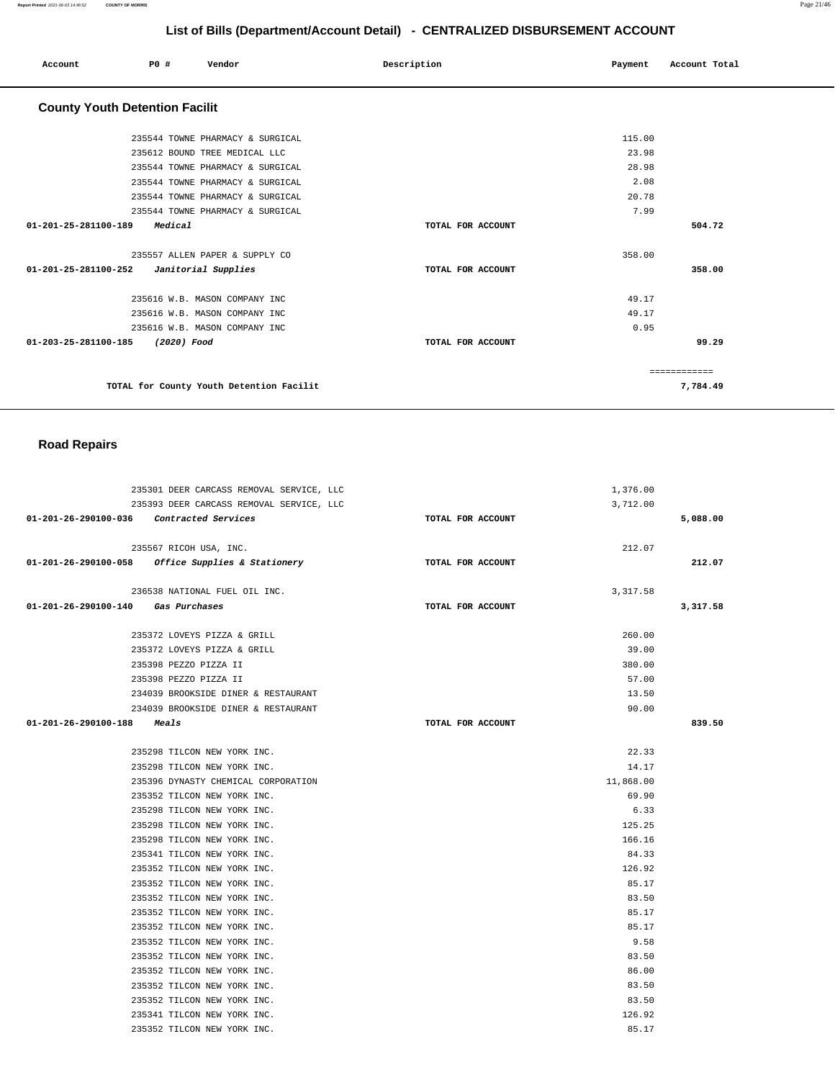| Account                               | PO#         | Vendor                                                                                                                                                                        | Description       | Payment                                   | Account Total           |
|---------------------------------------|-------------|-------------------------------------------------------------------------------------------------------------------------------------------------------------------------------|-------------------|-------------------------------------------|-------------------------|
| <b>County Youth Detention Facilit</b> |             |                                                                                                                                                                               |                   |                                           |                         |
|                                       |             | 235544 TOWNE PHARMACY & SURGICAL<br>235612 BOUND TREE MEDICAL LLC<br>235544 TOWNE PHARMACY & SURGICAL<br>235544 TOWNE PHARMACY & SURGICAL<br>235544 TOWNE PHARMACY & SURGICAL |                   | 115.00<br>23.98<br>28.98<br>2.08<br>20.78 |                         |
| 01-201-25-281100-189                  | Medical     | 235544 TOWNE PHARMACY & SURGICAL                                                                                                                                              | TOTAL FOR ACCOUNT | 7.99                                      | 504.72                  |
| 01-201-25-281100-252                  |             | 235557 ALLEN PAPER & SUPPLY CO<br>Janitorial Supplies                                                                                                                         | TOTAL FOR ACCOUNT | 358.00                                    | 358.00                  |
| 01-203-25-281100-185                  | (2020) Food | 235616 W.B. MASON COMPANY INC<br>235616 W.B. MASON COMPANY INC<br>235616 W.B. MASON COMPANY INC                                                                               | TOTAL FOR ACCOUNT | 49.17<br>49.17<br>0.95                    | 99.29                   |
|                                       |             | TOTAL for County Youth Detention Facilit                                                                                                                                      |                   |                                           | ===========<br>7,784.49 |

## **Road Repairs**

|                                          | 235301 DEER CARCASS REMOVAL SERVICE, LLC          |                   | 1,376.00  |          |
|------------------------------------------|---------------------------------------------------|-------------------|-----------|----------|
|                                          | 235393 DEER CARCASS REMOVAL SERVICE, LLC          |                   | 3,712.00  |          |
| 01-201-26-290100-036 Contracted Services |                                                   | TOTAL FOR ACCOUNT |           | 5,088.00 |
|                                          |                                                   |                   |           |          |
|                                          | 235567 RICOH USA, INC.                            |                   | 212.07    |          |
|                                          | 01-201-26-290100-058 Office Supplies & Stationery | TOTAL FOR ACCOUNT |           | 212.07   |
|                                          |                                                   |                   |           |          |
|                                          | 236538 NATIONAL FUEL OIL INC.                     |                   | 3, 317.58 |          |
| 01-201-26-290100-140 Gas Purchases       |                                                   | TOTAL FOR ACCOUNT |           | 3,317.58 |
|                                          | 235372 LOVEYS PIZZA & GRILL                       |                   | 260.00    |          |
|                                          | 235372 LOVEYS PIZZA & GRILL                       |                   | 39.00     |          |
|                                          | 235398 PEZZO PIZZA II                             |                   | 380.00    |          |
|                                          | 235398 PEZZO PIZZA II                             |                   | 57.00     |          |
|                                          | 234039 BROOKSIDE DINER & RESTAURANT               |                   | 13.50     |          |
|                                          | 234039 BROOKSIDE DINER & RESTAURANT               |                   | 90.00     |          |
| $01 - 201 - 26 - 290100 - 188$ Meals     |                                                   | TOTAL FOR ACCOUNT |           | 839.50   |
|                                          |                                                   |                   |           |          |
|                                          | 235298 TILCON NEW YORK INC.                       |                   | 22.33     |          |
|                                          | 235298 TILCON NEW YORK INC.                       |                   | 14.17     |          |
|                                          | 235396 DYNASTY CHEMICAL CORPORATION               |                   | 11,868.00 |          |
|                                          | 235352 TILCON NEW YORK INC.                       |                   | 69.90     |          |
|                                          | 235298 TILCON NEW YORK INC.                       |                   | 6.33      |          |
|                                          | 235298 TILCON NEW YORK INC.                       |                   | 125.25    |          |
|                                          | 235298 TILCON NEW YORK INC.                       |                   | 166.16    |          |
|                                          | 235341 TILCON NEW YORK INC.                       |                   | 84.33     |          |
|                                          | 235352 TILCON NEW YORK INC.                       |                   | 126.92    |          |
|                                          | 235352 TILCON NEW YORK INC.                       |                   | 85.17     |          |
|                                          | 235352 TILCON NEW YORK INC.                       |                   | 83.50     |          |
|                                          | 235352 TILCON NEW YORK INC.                       |                   | 85.17     |          |
|                                          | 235352 TILCON NEW YORK INC.                       |                   | 85.17     |          |
|                                          | 235352 TILCON NEW YORK INC.                       |                   | 9.58      |          |
|                                          | 235352 TILCON NEW YORK INC.                       |                   | 83.50     |          |
|                                          | 235352 TILCON NEW YORK INC.                       |                   | 86.00     |          |
|                                          | 235352 TILCON NEW YORK INC.                       |                   | 83.50     |          |
|                                          | 235352 TILCON NEW YORK INC.                       |                   | 83.50     |          |
|                                          | 235341 TILCON NEW YORK INC.                       |                   | 126.92    |          |
|                                          | 235352 TILCON NEW YORK INC.                       |                   | 85.17     |          |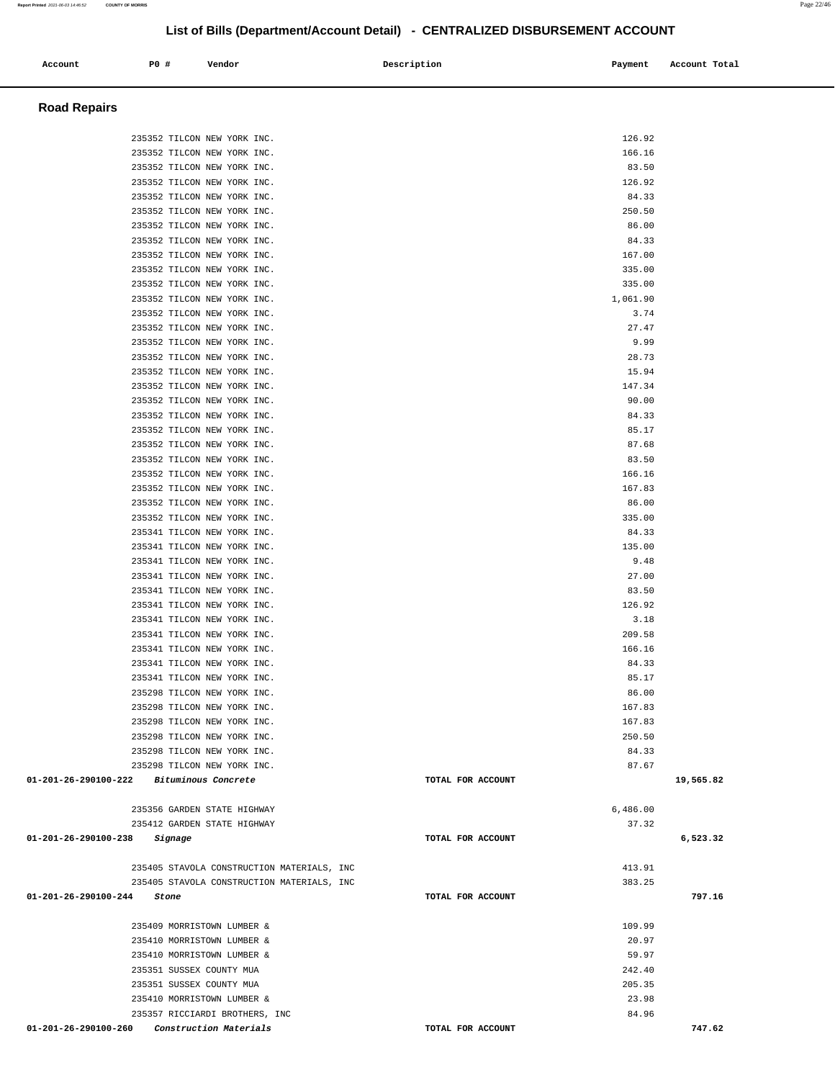| Account                                  | P0 # |         | Vendor                                                     |                                            | Description |                   | Payment          | Account Total |
|------------------------------------------|------|---------|------------------------------------------------------------|--------------------------------------------|-------------|-------------------|------------------|---------------|
| <b>Road Repairs</b>                      |      |         |                                                            |                                            |             |                   |                  |               |
|                                          |      |         | 235352 TILCON NEW YORK INC.                                |                                            |             |                   | 126.92           |               |
|                                          |      |         | 235352 TILCON NEW YORK INC.                                |                                            |             |                   | 166.16           |               |
|                                          |      |         | 235352 TILCON NEW YORK INC.                                |                                            |             |                   | 83.50            |               |
|                                          |      |         | 235352 TILCON NEW YORK INC.                                |                                            |             |                   | 126.92           |               |
|                                          |      |         | 235352 TILCON NEW YORK INC.                                |                                            |             |                   | 84.33            |               |
|                                          |      |         | 235352 TILCON NEW YORK INC.                                |                                            |             |                   | 250.50           |               |
|                                          |      |         | 235352 TILCON NEW YORK INC.<br>235352 TILCON NEW YORK INC. |                                            |             |                   | 86.00<br>84.33   |               |
|                                          |      |         | 235352 TILCON NEW YORK INC.                                |                                            |             |                   | 167.00           |               |
|                                          |      |         | 235352 TILCON NEW YORK INC.                                |                                            |             |                   | 335.00           |               |
|                                          |      |         | 235352 TILCON NEW YORK INC.                                |                                            |             |                   | 335.00           |               |
|                                          |      |         | 235352 TILCON NEW YORK INC.                                |                                            |             |                   | 1,061.90         |               |
|                                          |      |         | 235352 TILCON NEW YORK INC.<br>235352 TILCON NEW YORK INC. |                                            |             |                   | 3.74<br>27.47    |               |
|                                          |      |         | 235352 TILCON NEW YORK INC.                                |                                            |             |                   | 9.99             |               |
|                                          |      |         | 235352 TILCON NEW YORK INC.                                |                                            |             |                   | 28.73            |               |
|                                          |      |         | 235352 TILCON NEW YORK INC.                                |                                            |             |                   | 15.94            |               |
|                                          |      |         | 235352 TILCON NEW YORK INC.                                |                                            |             |                   | 147.34           |               |
|                                          |      |         | 235352 TILCON NEW YORK INC.                                |                                            |             |                   | 90.00            |               |
|                                          |      |         | 235352 TILCON NEW YORK INC.<br>235352 TILCON NEW YORK INC. |                                            |             |                   | 84.33<br>85.17   |               |
|                                          |      |         | 235352 TILCON NEW YORK INC.                                |                                            |             |                   | 87.68            |               |
|                                          |      |         | 235352 TILCON NEW YORK INC.                                |                                            |             |                   | 83.50            |               |
|                                          |      |         | 235352 TILCON NEW YORK INC.                                |                                            |             |                   | 166.16           |               |
|                                          |      |         | 235352 TILCON NEW YORK INC.                                |                                            |             |                   | 167.83           |               |
|                                          |      |         | 235352 TILCON NEW YORK INC.                                |                                            |             |                   | 86.00            |               |
|                                          |      |         | 235352 TILCON NEW YORK INC.                                |                                            |             |                   | 335.00           |               |
|                                          |      |         | 235341 TILCON NEW YORK INC.<br>235341 TILCON NEW YORK INC. |                                            |             |                   | 84.33<br>135.00  |               |
|                                          |      |         | 235341 TILCON NEW YORK INC.                                |                                            |             |                   | 9.48             |               |
|                                          |      |         | 235341 TILCON NEW YORK INC.                                |                                            |             |                   | 27.00            |               |
|                                          |      |         | 235341 TILCON NEW YORK INC.                                |                                            |             |                   | 83.50            |               |
|                                          |      |         | 235341 TILCON NEW YORK INC.                                |                                            |             |                   | 126.92           |               |
|                                          |      |         | 235341 TILCON NEW YORK INC.                                |                                            |             |                   | 3.18             |               |
|                                          |      |         | 235341 TILCON NEW YORK INC.<br>235341 TILCON NEW YORK INC. |                                            |             |                   | 209.58<br>166.16 |               |
|                                          |      |         | 235341 TILCON NEW YORK INC                                 |                                            |             |                   | 84.33            |               |
|                                          |      |         | 235341 TILCON NEW YORK INC.                                |                                            |             |                   | 85.17            |               |
|                                          |      |         | 235298 TILCON NEW YORK INC.                                |                                            |             |                   | 86.00            |               |
|                                          |      |         | 235298 TILCON NEW YORK INC.                                |                                            |             |                   | 167.83           |               |
|                                          |      |         | 235298 TILCON NEW YORK INC.                                |                                            |             |                   | 167.83           |               |
|                                          |      |         | 235298 TILCON NEW YORK INC.<br>235298 TILCON NEW YORK INC. |                                            |             |                   | 250.50<br>84.33  |               |
|                                          |      |         | 235298 TILCON NEW YORK INC.                                |                                            |             |                   | 87.67            |               |
| 01-201-26-290100-222 Bituminous Concrete |      |         |                                                            |                                            |             | TOTAL FOR ACCOUNT |                  | 19,565.82     |
|                                          |      |         | 235356 GARDEN STATE HIGHWAY                                |                                            |             |                   | 6,486.00         |               |
|                                          |      |         | 235412 GARDEN STATE HIGHWAY                                |                                            |             |                   | 37.32            |               |
| 01-201-26-290100-238                     |      | Signage |                                                            |                                            |             | TOTAL FOR ACCOUNT |                  | 6,523.32      |
|                                          |      |         |                                                            | 235405 STAVOLA CONSTRUCTION MATERIALS, INC |             |                   | 413.91           |               |
| 01-201-26-290100-244                     |      | Stone   |                                                            | 235405 STAVOLA CONSTRUCTION MATERIALS, INC |             | TOTAL FOR ACCOUNT | 383.25           | 797.16        |
|                                          |      |         |                                                            |                                            |             |                   |                  |               |
|                                          |      |         | 235409 MORRISTOWN LUMBER &                                 |                                            |             |                   | 109.99           |               |
|                                          |      |         | 235410 MORRISTOWN LUMBER &                                 |                                            |             |                   | 20.97            |               |
|                                          |      |         | 235410 MORRISTOWN LUMBER &                                 |                                            |             |                   | 59.97            |               |
|                                          |      |         | 235351 SUSSEX COUNTY MUA                                   |                                            |             |                   | 242.40           |               |
|                                          |      |         | 235351 SUSSEX COUNTY MUA<br>235410 MORRISTOWN LUMBER &     |                                            |             |                   | 205.35<br>23.98  |               |
|                                          |      |         | 235357 RICCIARDI BROTHERS, INC                             |                                            |             |                   | 84.96            |               |
| 01-201-26-290100-260                     |      |         | Construction Materials                                     |                                            |             | TOTAL FOR ACCOUNT |                  | 747.62        |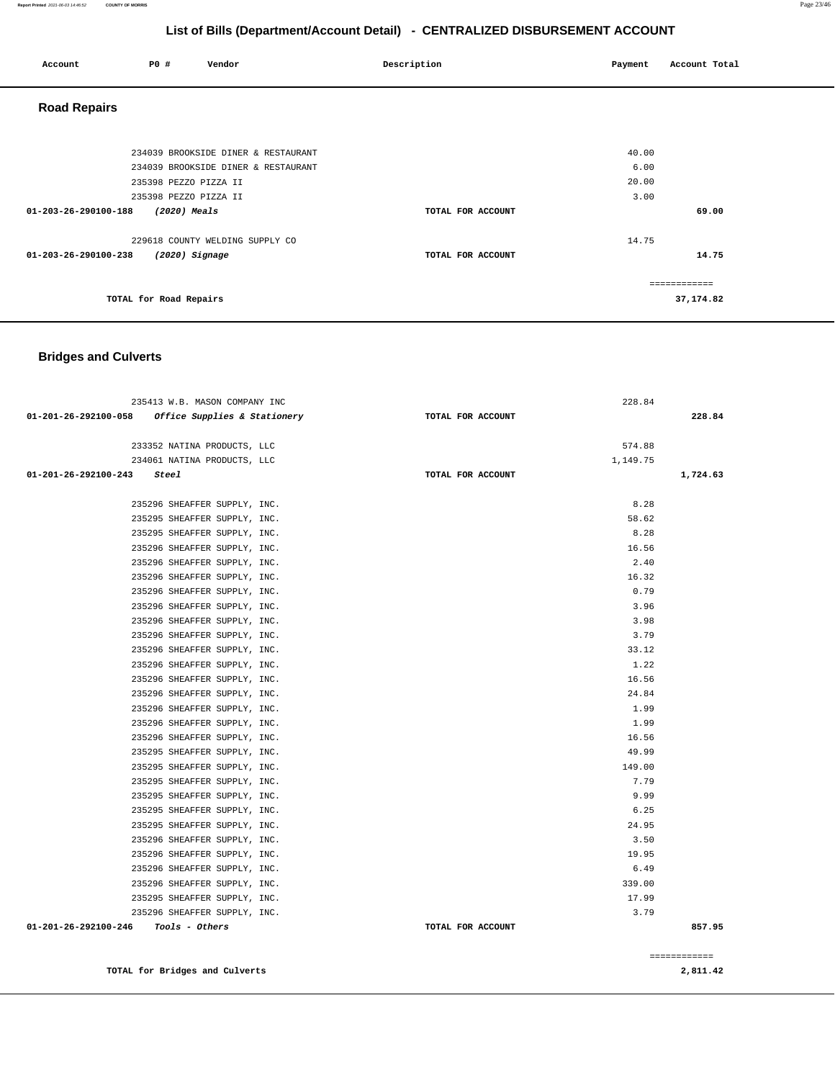| Account              | P0 #                   | Vendor                              | Description       | Payment | Account Total |
|----------------------|------------------------|-------------------------------------|-------------------|---------|---------------|
| <b>Road Repairs</b>  |                        |                                     |                   |         |               |
|                      |                        |                                     |                   |         |               |
|                      |                        | 234039 BROOKSIDE DINER & RESTAURANT |                   | 40.00   |               |
|                      |                        | 234039 BROOKSIDE DINER & RESTAURANT |                   | 6.00    |               |
|                      | 235398 PEZZO PIZZA II  |                                     |                   | 20.00   |               |
|                      | 235398 PEZZO PIZZA II  |                                     |                   | 3.00    |               |
| 01-203-26-290100-188 | (2020) Meals           |                                     | TOTAL FOR ACCOUNT |         | 69.00         |
|                      |                        | 229618 COUNTY WELDING SUPPLY CO     |                   | 14.75   |               |
| 01-203-26-290100-238 | $(2020)$ Signage       |                                     | TOTAL FOR ACCOUNT |         | 14.75         |
|                      |                        |                                     |                   |         | ============  |
|                      | TOTAL for Road Repairs |                                     |                   |         | 37, 174.82    |

# **Bridges and Culverts**

| 235413 W.B. MASON COMPANY INC                       |                   | 228.84   |              |
|-----------------------------------------------------|-------------------|----------|--------------|
| $01-201-26-292100-058$ Office Supplies & Stationery | TOTAL FOR ACCOUNT |          | 228.84       |
|                                                     |                   |          |              |
| 233352 NATINA PRODUCTS, LLC                         |                   | 574.88   |              |
| 234061 NATINA PRODUCTS, LLC                         |                   | 1,149.75 |              |
| $01-201-26-292100-243$ Steel                        | TOTAL FOR ACCOUNT |          | 1,724.63     |
|                                                     |                   |          |              |
| 235296 SHEAFFER SUPPLY, INC.                        |                   | 8.28     |              |
| 235295 SHEAFFER SUPPLY, INC.                        |                   | 58.62    |              |
| 235295 SHEAFFER SUPPLY, INC.                        |                   | 8.28     |              |
| 235296 SHEAFFER SUPPLY, INC.                        |                   | 16.56    |              |
| 235296 SHEAFFER SUPPLY, INC.                        |                   | 2.40     |              |
| 235296 SHEAFFER SUPPLY, INC.                        |                   | 16.32    |              |
| 235296 SHEAFFER SUPPLY, INC.                        |                   | 0.79     |              |
| 235296 SHEAFFER SUPPLY, INC.                        |                   | 3.96     |              |
| 235296 SHEAFFER SUPPLY, INC.                        |                   | 3.98     |              |
| 235296 SHEAFFER SUPPLY, INC.                        |                   | 3.79     |              |
| 235296 SHEAFFER SUPPLY, INC.                        |                   | 33.12    |              |
| 235296 SHEAFFER SUPPLY, INC.                        |                   | 1.22     |              |
| 235296 SHEAFFER SUPPLY, INC.                        |                   | 16.56    |              |
| 235296 SHEAFFER SUPPLY, INC.                        |                   | 24.84    |              |
| 235296 SHEAFFER SUPPLY, INC.                        |                   | 1.99     |              |
| 235296 SHEAFFER SUPPLY, INC.                        |                   | 1.99     |              |
| 235296 SHEAFFER SUPPLY, INC.                        |                   | 16.56    |              |
| 235295 SHEAFFER SUPPLY, INC.                        |                   | 49.99    |              |
| 235295 SHEAFFER SUPPLY, INC.                        |                   | 149.00   |              |
| 235295 SHEAFFER SUPPLY, INC.                        |                   | 7.79     |              |
| 235295 SHEAFFER SUPPLY, INC.                        |                   | 9.99     |              |
| 235295 SHEAFFER SUPPLY, INC.                        |                   | 6.25     |              |
| 235295 SHEAFFER SUPPLY, INC.                        |                   | 24.95    |              |
| 235296 SHEAFFER SUPPLY, INC.                        |                   | 3.50     |              |
| 235296 SHEAFFER SUPPLY, INC.                        |                   | 19.95    |              |
| 235296 SHEAFFER SUPPLY, INC.                        |                   | 6.49     |              |
| 235296 SHEAFFER SUPPLY, INC.                        |                   | 339.00   |              |
| 235295 SHEAFFER SUPPLY, INC.                        |                   | 17.99    |              |
| 235296 SHEAFFER SUPPLY, INC.                        |                   | 3.79     |              |
| $01 - 201 - 26 - 292100 - 246$ Tools - Others       | TOTAL FOR ACCOUNT |          | 857.95       |
|                                                     |                   |          |              |
|                                                     |                   |          | ============ |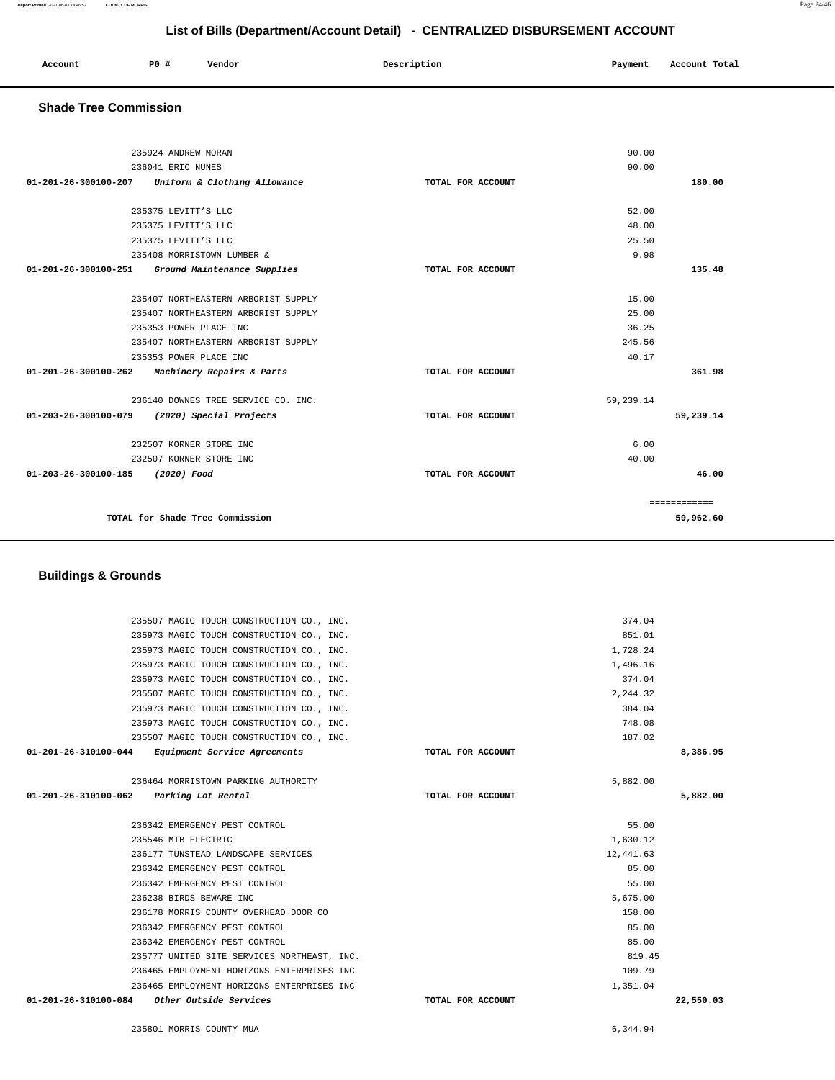235973 MAGIC TOUCH CONSTRUCTION CO., INC. 384.04 235973 MAGIC TOUCH CONSTRUCTION CO., INC. 748.08 235507 MAGIC TOUCH CONSTRUCTION CO., INC. 187.02  **01-201-26-310100-044 Equipment Service Agreements TOTAL FOR ACCOUNT 8,386.95** 236464 MORRISTOWN PARKING AUTHORITY 5,882.00  **01-201-26-310100-062 Parking Lot Rental TOTAL FOR ACCOUNT 5,882.00** 236342 EMERGENCY PEST CONTROL 55.00 235546 MTB ELECTRIC 1,630.12 236177 TUNSTEAD LANDSCAPE SERVICES 12,441.63 236342 EMERGENCY PEST CONTROL 85.00 236342 EMERGENCY PEST CONTROL 55.00 236238 BIRDS BEWARE INC 5,675.00 236178 MORRIS COUNTY OVERHEAD DOOR CO 158.00 236342 EMERGENCY PEST CONTROL 85.00 236342 EMERGENCY PEST CONTROL 85.00 235777 UNITED SITE SERVICES NORTHEAST, INC. 819.45 236465 EMPLOYMENT HORIZONS ENTERPRISES INC 109.79 236465 EMPLOYMENT HORIZONS ENTERPRISES INC 1,351.04  **01-201-26-310100-084 Other Outside Services TOTAL FOR ACCOUNT 22,550.03**

235507 MAGIC TOUCH CONSTRUCTION CO., INC. 374.04 235973 MAGIC TOUCH CONSTRUCTION CO., INC. 851.01 235973 MAGIC TOUCH CONSTRUCTION CO., INC. 1,728.24 235973 MAGIC TOUCH CONSTRUCTION CO., INC. 1,496.16 235973 MAGIC TOUCH CONSTRUCTION CO., INC. 374.04 235507 MAGIC TOUCH CONSTRUCTION CO., INC. 2,244.32

#### **Buildings & Grounds**

| 235924 ANDREW MORAN                                            | 90.00             |           |              |
|----------------------------------------------------------------|-------------------|-----------|--------------|
| 236041 ERIC NUNES                                              |                   | 90.00     |              |
| Uniform & Clothing Allowance<br>$01 - 201 - 26 - 300100 - 207$ | TOTAL FOR ACCOUNT |           | 180.00       |
| 235375 LEVITT'S LLC                                            |                   | 52.00     |              |
| 235375 LEVITT'S LLC                                            |                   | 48.00     |              |
| 235375 LEVITT'S LLC                                            |                   | 25.50     |              |
| 235408 MORRISTOWN LUMBER &                                     |                   | 9.98      |              |
| 01-201-26-300100-251<br>Ground Maintenance Supplies            | TOTAL FOR ACCOUNT |           | 135.48       |
| 235407 NORTHEASTERN ARBORIST SUPPLY                            |                   | 15.00     |              |
| 235407 NORTHEASTERN ARBORIST SUPPLY                            |                   | 25.00     |              |
| 235353 POWER PLACE INC                                         |                   | 36.25     |              |
| 235407 NORTHEASTERN ARBORIST SUPPLY                            |                   | 245.56    |              |
| 235353 POWER PLACE INC                                         |                   | 40.17     |              |
| $01 - 201 - 26 - 300100 - 262$<br>Machinery Repairs & Parts    | TOTAL FOR ACCOUNT |           | 361.98       |
| 236140 DOWNES TREE SERVICE CO. INC.                            |                   | 59,239.14 |              |
| $01 - 203 - 26 - 300100 - 079$<br>(2020) Special Projects      | TOTAL FOR ACCOUNT |           | 59,239.14    |
| 232507 KORNER STORE INC                                        |                   | 6.00      |              |
| 232507 KORNER STORE INC                                        |                   | 40.00     |              |
| 01-203-26-300100-185<br>(2020) Food                            | TOTAL FOR ACCOUNT |           | 46.00        |
|                                                                |                   |           | ============ |
| TOTAL for Shade Tree Commission                                |                   |           | 59,962.60    |

**List of Bills (Department/Account Detail) - CENTRALIZED DISBURSEMENT ACCOUNT**

 **Account P0 # Vendor Description Payment Account Total**

# **Shade Tree Commission**

235801 MORRIS COUNTY MUA [6,344.94](https://6,344.94)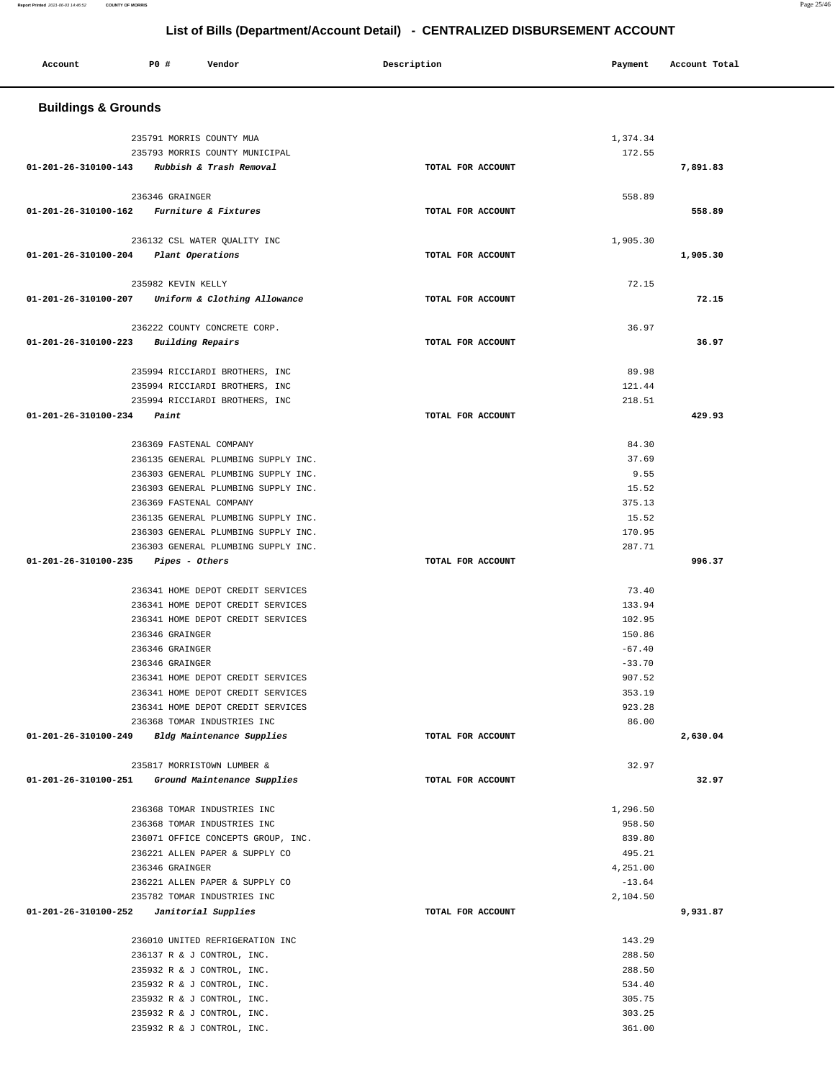| Account                                        | <b>PO #</b>              | Vendor                                                                     | Description       | Payment              | Account Total |
|------------------------------------------------|--------------------------|----------------------------------------------------------------------------|-------------------|----------------------|---------------|
| <b>Buildings &amp; Grounds</b>                 |                          |                                                                            |                   |                      |               |
|                                                | 235791 MORRIS COUNTY MUA |                                                                            |                   | 1,374.34             |               |
|                                                |                          | 235793 MORRIS COUNTY MUNICIPAL                                             |                   | 172.55               |               |
| 01-201-26-310100-143 Rubbish & Trash Removal   |                          |                                                                            | TOTAL FOR ACCOUNT |                      | 7,891.83      |
|                                                | 236346 GRAINGER          |                                                                            |                   | 558.89               |               |
| 01-201-26-310100-162 Furniture & Fixtures      |                          |                                                                            | TOTAL FOR ACCOUNT |                      | 558.89        |
|                                                |                          | 236132 CSL WATER QUALITY INC                                               |                   | 1,905.30             |               |
| 01-201-26-310100-204                           | Plant Operations         |                                                                            | TOTAL FOR ACCOUNT |                      | 1,905.30      |
|                                                |                          |                                                                            |                   |                      |               |
|                                                | 235982 KEVIN KELLY       |                                                                            |                   | 72.15                |               |
| 01-201-26-310100-207                           |                          | Uniform & Clothing Allowance                                               | TOTAL FOR ACCOUNT |                      | 72.15         |
|                                                |                          | 236222 COUNTY CONCRETE CORP.                                               |                   | 36.97                |               |
| 01-201-26-310100-223                           |                          | Building Repairs                                                           | TOTAL FOR ACCOUNT |                      | 36.97         |
|                                                |                          |                                                                            |                   |                      |               |
|                                                |                          | 235994 RICCIARDI BROTHERS, INC                                             |                   | 89.98                |               |
|                                                |                          | 235994 RICCIARDI BROTHERS, INC<br>235994 RICCIARDI BROTHERS, INC           |                   | 121.44<br>218.51     |               |
| 01-201-26-310100-234                           | Paint                    |                                                                            | TOTAL FOR ACCOUNT |                      | 429.93        |
|                                                |                          |                                                                            |                   |                      |               |
|                                                | 236369 FASTENAL COMPANY  |                                                                            |                   | 84.30                |               |
|                                                |                          | 236135 GENERAL PLUMBING SUPPLY INC.                                        |                   | 37.69                |               |
|                                                |                          | 236303 GENERAL PLUMBING SUPPLY INC.                                        |                   | 9.55                 |               |
|                                                |                          | 236303 GENERAL PLUMBING SUPPLY INC.                                        |                   | 15.52                |               |
|                                                | 236369 FASTENAL COMPANY  |                                                                            |                   | 375.13               |               |
|                                                |                          | 236135 GENERAL PLUMBING SUPPLY INC.<br>236303 GENERAL PLUMBING SUPPLY INC. |                   | 15.52<br>170.95      |               |
|                                                |                          | 236303 GENERAL PLUMBING SUPPLY INC.                                        |                   | 287.71               |               |
| 01-201-26-310100-235                           | Pipes - Others           |                                                                            | TOTAL FOR ACCOUNT |                      | 996.37        |
|                                                |                          |                                                                            |                   |                      |               |
|                                                |                          | 236341 HOME DEPOT CREDIT SERVICES                                          |                   | 73.40                |               |
|                                                |                          | 236341 HOME DEPOT CREDIT SERVICES                                          |                   | 133.94               |               |
|                                                |                          | 236341 HOME DEPOT CREDIT SERVICES                                          |                   | 102.95               |               |
|                                                | 236346 GRAINGER          |                                                                            |                   | 150.86               |               |
|                                                | 236346 GRAINGER          |                                                                            |                   | $-67.40$<br>$-33.70$ |               |
|                                                | 236346 GRAINGER          | 236341 HOME DEPOT CREDIT SERVICES                                          |                   | 907.52               |               |
|                                                |                          | 236341 HOME DEPOT CREDIT SERVICES                                          |                   | 353.19               |               |
|                                                |                          | 236341 HOME DEPOT CREDIT SERVICES                                          |                   | 923.28               |               |
|                                                |                          | 236368 TOMAR INDUSTRIES INC                                                |                   | 86.00                |               |
| 01-201-26-310100-249 Bldg Maintenance Supplies |                          |                                                                            | TOTAL FOR ACCOUNT |                      | 2,630.04      |
|                                                |                          | 235817 MORRISTOWN LUMBER &                                                 |                   | 32.97                |               |
| 01-201-26-310100-251                           |                          | Ground Maintenance Supplies                                                | TOTAL FOR ACCOUNT |                      | 32.97         |
|                                                |                          | 236368 TOMAR INDUSTRIES INC                                                |                   | 1,296.50             |               |
|                                                |                          | 236368 TOMAR INDUSTRIES INC                                                |                   | 958.50               |               |
|                                                |                          | 236071 OFFICE CONCEPTS GROUP, INC.                                         |                   | 839.80               |               |
|                                                |                          | 236221 ALLEN PAPER & SUPPLY CO                                             |                   | 495.21               |               |
|                                                | 236346 GRAINGER          |                                                                            |                   | 4,251.00             |               |
|                                                |                          | 236221 ALLEN PAPER & SUPPLY CO                                             |                   | $-13.64$             |               |
| 01-201-26-310100-252                           |                          | 235782 TOMAR INDUSTRIES INC<br>Janitorial Supplies                         | TOTAL FOR ACCOUNT | 2,104.50             | 9,931.87      |
|                                                |                          |                                                                            |                   |                      |               |
|                                                |                          | 236010 UNITED REFRIGERATION INC                                            |                   | 143.29               |               |
|                                                |                          | 236137 R & J CONTROL, INC.                                                 |                   | 288.50               |               |
|                                                |                          | 235932 R & J CONTROL, INC.                                                 |                   | 288.50               |               |
|                                                |                          | 235932 R & J CONTROL, INC.                                                 |                   | 534.40               |               |
|                                                |                          | 235932 R & J CONTROL, INC.                                                 |                   | 305.75               |               |
|                                                |                          | 235932 R & J CONTROL, INC.                                                 |                   | 303.25               |               |
|                                                |                          | 235932 R & J CONTROL, INC.                                                 |                   | 361.00               |               |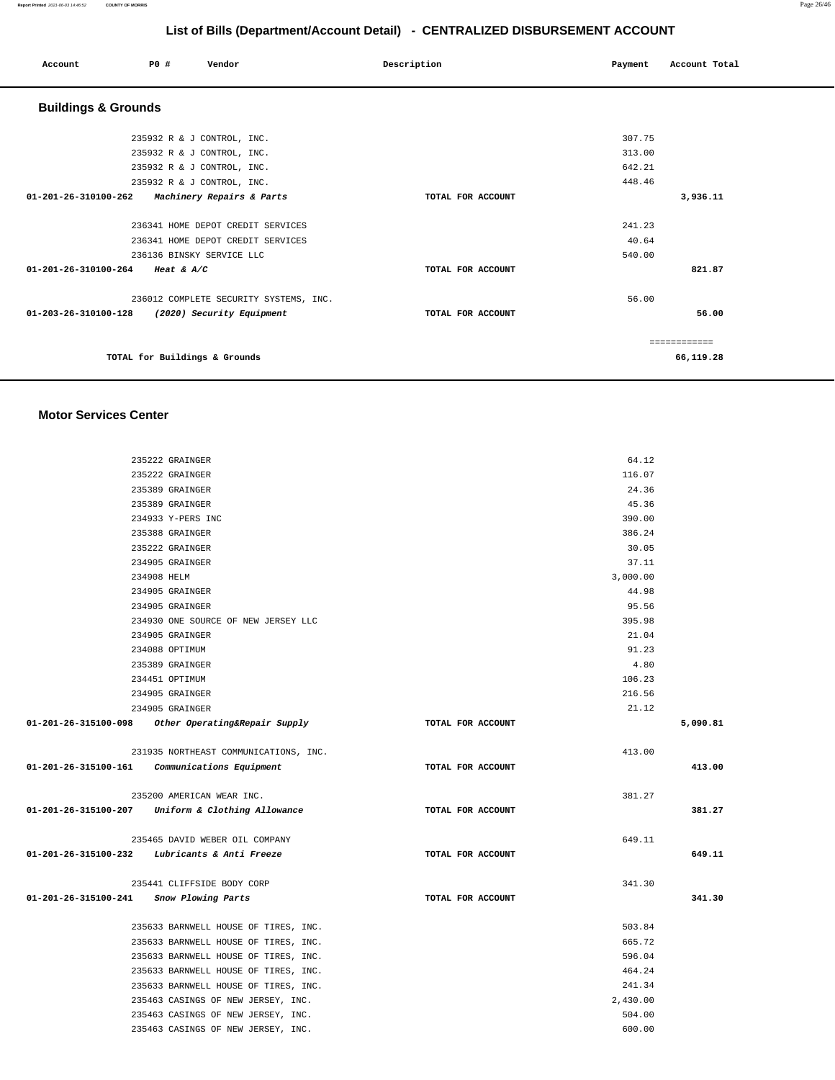#### **Report Printed** 2021-06-03 14:46:52 **COUNTY OF MORRIS** Page 26/46

# **List of Bills (Department/Account Detail) - CENTRALIZED DISBURSEMENT ACCOUNT**

| P0 #<br>Vendor<br>Account                         | Description       | Payment | Account Total |
|---------------------------------------------------|-------------------|---------|---------------|
| <b>Buildings &amp; Grounds</b>                    |                   |         |               |
| 235932 R & J CONTROL, INC.                        |                   | 307.75  |               |
| 235932 R & J CONTROL, INC.                        |                   | 313.00  |               |
| 235932 R & J CONTROL, INC.                        |                   | 642.21  |               |
| 235932 R & J CONTROL, INC.                        |                   | 448.46  |               |
| 01-201-26-310100-262<br>Machinery Repairs & Parts | TOTAL FOR ACCOUNT |         | 3,936.11      |
| 236341 HOME DEPOT CREDIT SERVICES                 |                   | 241.23  |               |
| 236341 HOME DEPOT CREDIT SERVICES                 |                   | 40.64   |               |
| 236136 BINSKY SERVICE LLC                         |                   | 540.00  |               |
| 01-201-26-310100-264<br>Heat & $A/C$              | TOTAL FOR ACCOUNT |         | 821.87        |
| 236012 COMPLETE SECURITY SYSTEMS, INC.            |                   | 56.00   |               |
| 01-203-26-310100-128<br>(2020) Security Equipment | TOTAL FOR ACCOUNT |         | 56.00         |
|                                                   |                   |         | ============  |
| TOTAL for Buildings & Grounds                     |                   |         | 66,119.28     |

#### **Motor Services Center**

|                      | 235222 GRAINGER                                    |                   | 64.12    |          |
|----------------------|----------------------------------------------------|-------------------|----------|----------|
|                      | 235222 GRAINGER                                    |                   | 116.07   |          |
|                      | 235389 GRAINGER                                    |                   | 24.36    |          |
|                      | 235389 GRAINGER                                    |                   | 45.36    |          |
|                      | 234933 Y-PERS INC                                  |                   | 390.00   |          |
|                      | 235388 GRAINGER                                    |                   | 386.24   |          |
|                      | 235222 GRAINGER                                    |                   | 30.05    |          |
|                      | 234905 GRAINGER                                    |                   | 37.11    |          |
|                      | 234908 HELM                                        |                   | 3,000.00 |          |
|                      | 234905 GRAINGER                                    |                   | 44.98    |          |
|                      | 234905 GRAINGER                                    |                   | 95.56    |          |
|                      | 234930 ONE SOURCE OF NEW JERSEY LLC                |                   | 395.98   |          |
|                      | 234905 GRAINGER                                    |                   | 21.04    |          |
|                      | 234088 OPTIMUM                                     |                   | 91.23    |          |
|                      | 235389 GRAINGER                                    |                   | 4.80     |          |
|                      | 234451 OPTIMUM                                     |                   | 106.23   |          |
|                      | 234905 GRAINGER                                    |                   | 216.56   |          |
|                      | 234905 GRAINGER                                    |                   | 21.12    |          |
|                      | 01-201-26-315100-098 Other Operating&Repair Supply | TOTAL FOR ACCOUNT |          | 5,090.81 |
|                      | 231935 NORTHEAST COMMUNICATIONS, INC.              |                   | 413.00   |          |
|                      | 01-201-26-315100-161 Communications Equipment      | TOTAL FOR ACCOUNT |          | 413.00   |
|                      | 235200 AMERICAN WEAR INC.                          |                   | 381.27   |          |
|                      | 01-201-26-315100-207 Uniform & Clothing Allowance  | TOTAL FOR ACCOUNT |          | 381.27   |
|                      | 235465 DAVID WEBER OIL COMPANY                     |                   | 649.11   |          |
|                      | $01-201-26-315100-232$ Lubricants & Anti Freeze    | TOTAL FOR ACCOUNT |          | 649.11   |
|                      | 235441 CLIFFSIDE BODY CORP                         |                   | 341.30   |          |
| 01-201-26-315100-241 | Snow Plowing Parts                                 | TOTAL FOR ACCOUNT |          | 341.30   |
|                      | 235633 BARNWELL HOUSE OF TIRES, INC.               |                   | 503.84   |          |
|                      | 235633 BARNWELL HOUSE OF TIRES, INC.               |                   | 665.72   |          |
|                      | 235633 BARNWELL HOUSE OF TIRES, INC.               |                   | 596.04   |          |
|                      | 235633 BARNWELL HOUSE OF TIRES, INC.               |                   | 464.24   |          |
|                      | 235633 BARNWELL HOUSE OF TIRES, INC.               |                   | 241.34   |          |
|                      | 235463 CASINGS OF NEW JERSEY, INC.                 |                   | 2,430.00 |          |
|                      | 235463 CASINGS OF NEW JERSEY, INC.                 |                   | 504.00   |          |
|                      | 235463 CASINGS OF NEW JERSEY, INC.                 |                   | 600.00   |          |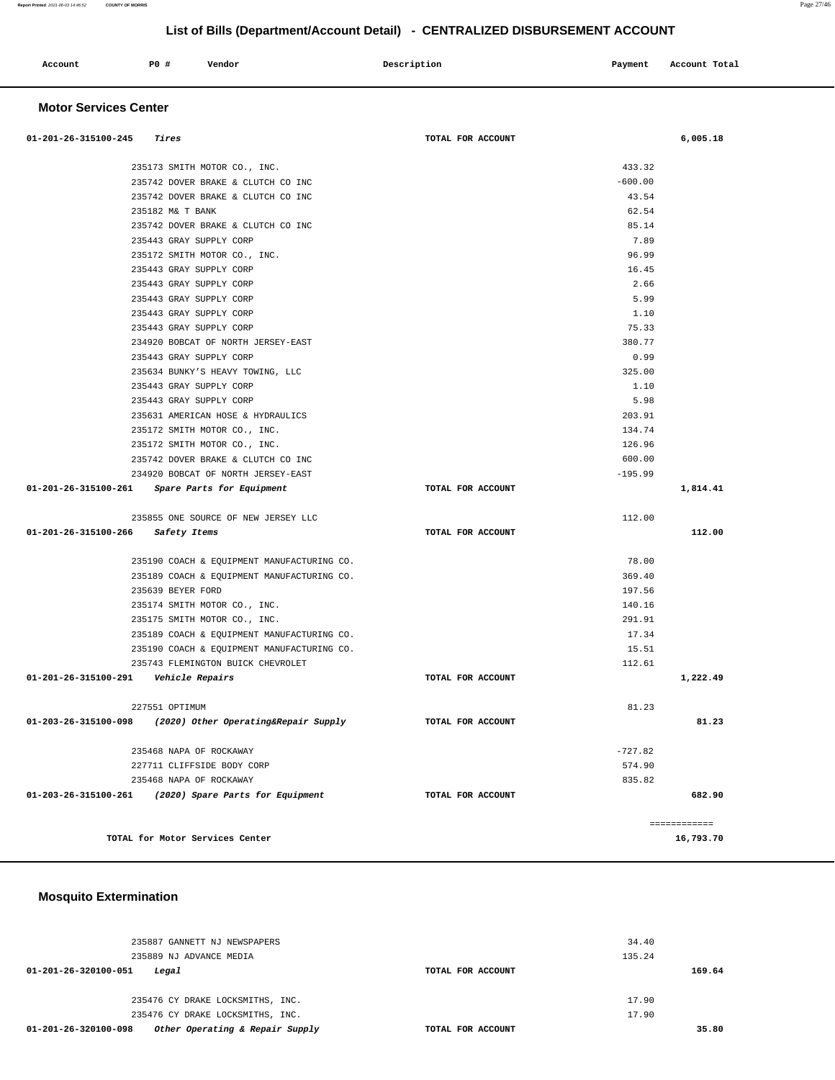| Account | <b>PO #</b> | Vendor | Description | Payment | Account Total |
|---------|-------------|--------|-------------|---------|---------------|
|         |             |        |             |         |               |

#### **Motor Services Center**

| $01 - 201 - 26 - 315100 - 245$ Tires                         | TOTAL FOR ACCOUNT |           | 6,005.18     |
|--------------------------------------------------------------|-------------------|-----------|--------------|
| 235173 SMITH MOTOR CO., INC.                                 |                   | 433.32    |              |
| 235742 DOVER BRAKE & CLUTCH CO INC                           |                   | $-600.00$ |              |
| 235742 DOVER BRAKE & CLUTCH CO INC                           |                   | 43.54     |              |
| 235182 M& T BANK                                             |                   | 62.54     |              |
| 235742 DOVER BRAKE & CLUTCH CO INC                           |                   | 85.14     |              |
| 235443 GRAY SUPPLY CORP                                      |                   | 7.89      |              |
| 235172 SMITH MOTOR CO., INC.                                 |                   | 96.99     |              |
| 235443 GRAY SUPPLY CORP                                      |                   | 16.45     |              |
| 235443 GRAY SUPPLY CORP                                      |                   | 2.66      |              |
| 235443 GRAY SUPPLY CORP                                      |                   | 5.99      |              |
| 235443 GRAY SUPPLY CORP                                      |                   | 1.10      |              |
| 235443 GRAY SUPPLY CORP                                      |                   | 75.33     |              |
| 234920 BOBCAT OF NORTH JERSEY-EAST                           |                   | 380.77    |              |
| 235443 GRAY SUPPLY CORP                                      |                   | 0.99      |              |
| 235634 BUNKY'S HEAVY TOWING, LLC                             |                   | 325.00    |              |
| 235443 GRAY SUPPLY CORP                                      |                   | 1.10      |              |
| 235443 GRAY SUPPLY CORP                                      |                   | 5.98      |              |
| 235631 AMERICAN HOSE & HYDRAULICS                            |                   | 203.91    |              |
| 235172 SMITH MOTOR CO., INC.                                 |                   | 134.74    |              |
| 235172 SMITH MOTOR CO., INC.                                 |                   | 126.96    |              |
| 235742 DOVER BRAKE & CLUTCH CO INC                           |                   | 600.00    |              |
| 234920 BOBCAT OF NORTH JERSEY-EAST                           |                   | $-195.99$ |              |
| 01-201-26-315100-261 Spare Parts for Equipment               | TOTAL FOR ACCOUNT |           | 1,814.41     |
| 235855 ONE SOURCE OF NEW JERSEY LLC                          |                   | 112.00    |              |
| 01-201-26-315100-266<br>Safety Items                         | TOTAL FOR ACCOUNT |           | 112.00       |
| 235190 COACH & EQUIPMENT MANUFACTURING CO.                   |                   | 78.00     |              |
| 235189 COACH & EQUIPMENT MANUFACTURING CO.                   |                   | 369.40    |              |
| 235639 BEYER FORD                                            |                   | 197.56    |              |
| 235174 SMITH MOTOR CO., INC.                                 |                   | 140.16    |              |
| 235175 SMITH MOTOR CO., INC.                                 |                   | 291.91    |              |
| 235189 COACH & EQUIPMENT MANUFACTURING CO.                   |                   | 17.34     |              |
| 235190 COACH & EQUIPMENT MANUFACTURING CO.                   |                   | 15.51     |              |
| 235743 FLEMINGTON BUICK CHEVROLET                            |                   | 112.61    |              |
| 01-201-26-315100-291    Vehicle Repairs                      | TOTAL FOR ACCOUNT |           | 1,222.49     |
| 227551 OPTIMUM                                               |                   | 81.23     |              |
| 01-203-26-315100-098<br>(2020) Other Operating&Repair Supply | TOTAL FOR ACCOUNT |           | 81.23        |
| 235468 NAPA OF ROCKAWAY                                      |                   | $-727.82$ |              |
| 227711 CLIFFSIDE BODY CORP                                   |                   | 574.90    |              |
| 235468 NAPA OF ROCKAWAY                                      |                   | 835.82    |              |
| 01-203-26-315100-261<br>(2020) Spare Parts for Equipment     | TOTAL FOR ACCOUNT |           | 682.90       |
|                                                              |                   |           | ============ |
| TOTAL for Motor Services Center                              |                   |           | 16,793.70    |

# **Mosquito Extermination**

| 235887 GANNETT NJ NEWSPAPERS                            |                   | 34.40  |
|---------------------------------------------------------|-------------------|--------|
| 235889 NJ ADVANCE MEDIA                                 |                   | 135.24 |
| 01-201-26-320100-051<br>Legal                           | TOTAL FOR ACCOUNT | 169.64 |
|                                                         |                   |        |
| 235476 CY DRAKE LOCKSMITHS, INC.                        |                   | 17.90  |
| 235476 CY DRAKE LOCKSMITHS, INC.                        |                   | 17.90  |
| Other Operating & Repair Supply<br>01-201-26-320100-098 | TOTAL FOR ACCOUNT | 35.80  |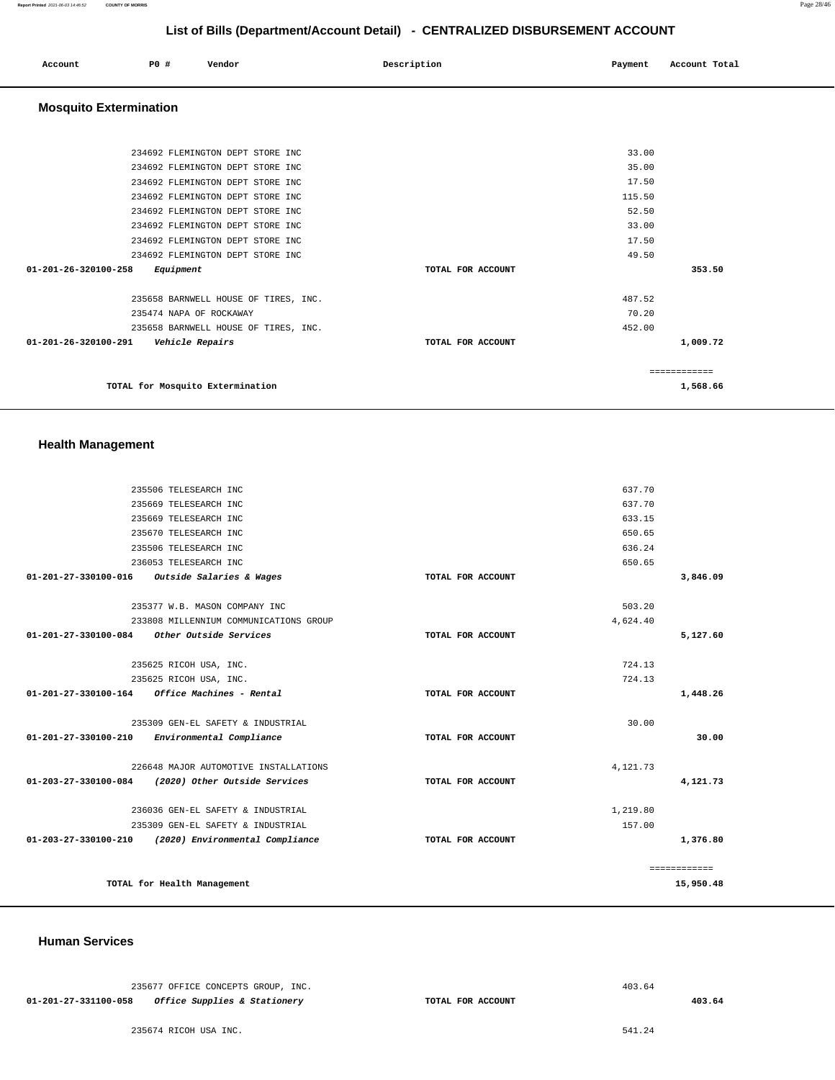| Account | P0 # | Vendor | Description | Payment | Account Total |
|---------|------|--------|-------------|---------|---------------|
|         |      |        |             |         |               |

# **Mosquito Extermination**

| TOTAL for Mosquito Extermination                  |                   |        | 1,568.66 |
|---------------------------------------------------|-------------------|--------|----------|
|                                                   |                   |        |          |
| $01 - 201 - 26 - 320100 - 291$<br>Vehicle Repairs | TOTAL FOR ACCOUNT |        | 1,009.72 |
| 235658 BARNWELL HOUSE OF TIRES, INC.              |                   | 452.00 |          |
| 235474 NAPA OF ROCKAWAY                           |                   | 70.20  |          |
| 235658 BARNWELL HOUSE OF TIRES, INC.              |                   | 487.52 |          |
| $01 - 201 - 26 - 320100 - 258$<br>Equipment       | TOTAL FOR ACCOUNT |        | 353.50   |
| 234692 FLEMINGTON DEPT STORE INC                  |                   | 49.50  |          |
| 234692 FLEMINGTON DEPT STORE INC                  |                   | 17.50  |          |
| 234692 FLEMINGTON DEPT STORE INC                  |                   | 33.00  |          |
| 234692 FLEMINGTON DEPT STORE INC                  |                   | 52.50  |          |
| 234692 FLEMINGTON DEPT STORE INC                  |                   | 115.50 |          |
| 234692 FLEMINGTON DEPT STORE INC                  |                   | 17.50  |          |
| 234692 FLEMINGTON DEPT STORE INC                  |                   | 35.00  |          |
| 234692 FLEMINGTON DEPT STORE INC                  |                   | 33.00  |          |
|                                                   |                   |        |          |

## **Health Management**

| 637.70<br>235506 TELESEARCH INC<br>637.70<br>235669 TELESEARCH INC<br>633.15<br>235669 TELESEARCH INC<br>650.65<br>235670 TELESEARCH INC<br>636.24<br>235506 TELESEARCH INC<br>650.65<br>236053 TELESEARCH INC<br>Outside Salaries & Wages<br>01-201-27-330100-016<br>TOTAL FOR ACCOUNT<br>503.20<br>235377 W.B. MASON COMPANY INC<br>233808 MILLENNIUM COMMUNICATIONS GROUP<br>4,624.40<br>01-201-27-330100-084 Other Outside Services<br>TOTAL FOR ACCOUNT<br>724.13<br>235625 RICOH USA, INC.<br>724.13<br>235625 RICOH USA, INC.<br>TOTAL FOR ACCOUNT<br>30.00<br>235309 GEN-EL SAFETY & INDUSTRIAL<br>01-201-27-330100-210 Environmental Compliance<br>TOTAL FOR ACCOUNT<br>226648 MAJOR AUTOMOTIVE INSTALLATIONS<br>4,121.73<br>01-203-27-330100-084 (2020) Other Outside Services<br>TOTAL FOR ACCOUNT<br>1,219.80<br>236036 GEN-EL SAFETY & INDUSTRIAL<br>157.00<br>235309 GEN-EL SAFETY & INDUSTRIAL<br>01-203-27-330100-210 (2020) Environmental Compliance<br>TOTAL FOR ACCOUNT |  |  |              |
|--------------------------------------------------------------------------------------------------------------------------------------------------------------------------------------------------------------------------------------------------------------------------------------------------------------------------------------------------------------------------------------------------------------------------------------------------------------------------------------------------------------------------------------------------------------------------------------------------------------------------------------------------------------------------------------------------------------------------------------------------------------------------------------------------------------------------------------------------------------------------------------------------------------------------------------------------------------------------------------------|--|--|--------------|
|                                                                                                                                                                                                                                                                                                                                                                                                                                                                                                                                                                                                                                                                                                                                                                                                                                                                                                                                                                                            |  |  |              |
|                                                                                                                                                                                                                                                                                                                                                                                                                                                                                                                                                                                                                                                                                                                                                                                                                                                                                                                                                                                            |  |  |              |
|                                                                                                                                                                                                                                                                                                                                                                                                                                                                                                                                                                                                                                                                                                                                                                                                                                                                                                                                                                                            |  |  |              |
|                                                                                                                                                                                                                                                                                                                                                                                                                                                                                                                                                                                                                                                                                                                                                                                                                                                                                                                                                                                            |  |  |              |
|                                                                                                                                                                                                                                                                                                                                                                                                                                                                                                                                                                                                                                                                                                                                                                                                                                                                                                                                                                                            |  |  |              |
|                                                                                                                                                                                                                                                                                                                                                                                                                                                                                                                                                                                                                                                                                                                                                                                                                                                                                                                                                                                            |  |  |              |
|                                                                                                                                                                                                                                                                                                                                                                                                                                                                                                                                                                                                                                                                                                                                                                                                                                                                                                                                                                                            |  |  | 3,846.09     |
|                                                                                                                                                                                                                                                                                                                                                                                                                                                                                                                                                                                                                                                                                                                                                                                                                                                                                                                                                                                            |  |  |              |
|                                                                                                                                                                                                                                                                                                                                                                                                                                                                                                                                                                                                                                                                                                                                                                                                                                                                                                                                                                                            |  |  |              |
|                                                                                                                                                                                                                                                                                                                                                                                                                                                                                                                                                                                                                                                                                                                                                                                                                                                                                                                                                                                            |  |  | 5,127.60     |
|                                                                                                                                                                                                                                                                                                                                                                                                                                                                                                                                                                                                                                                                                                                                                                                                                                                                                                                                                                                            |  |  |              |
|                                                                                                                                                                                                                                                                                                                                                                                                                                                                                                                                                                                                                                                                                                                                                                                                                                                                                                                                                                                            |  |  |              |
|                                                                                                                                                                                                                                                                                                                                                                                                                                                                                                                                                                                                                                                                                                                                                                                                                                                                                                                                                                                            |  |  | 1,448.26     |
|                                                                                                                                                                                                                                                                                                                                                                                                                                                                                                                                                                                                                                                                                                                                                                                                                                                                                                                                                                                            |  |  |              |
|                                                                                                                                                                                                                                                                                                                                                                                                                                                                                                                                                                                                                                                                                                                                                                                                                                                                                                                                                                                            |  |  | 30.00        |
|                                                                                                                                                                                                                                                                                                                                                                                                                                                                                                                                                                                                                                                                                                                                                                                                                                                                                                                                                                                            |  |  |              |
|                                                                                                                                                                                                                                                                                                                                                                                                                                                                                                                                                                                                                                                                                                                                                                                                                                                                                                                                                                                            |  |  | 4,121.73     |
|                                                                                                                                                                                                                                                                                                                                                                                                                                                                                                                                                                                                                                                                                                                                                                                                                                                                                                                                                                                            |  |  |              |
|                                                                                                                                                                                                                                                                                                                                                                                                                                                                                                                                                                                                                                                                                                                                                                                                                                                                                                                                                                                            |  |  |              |
|                                                                                                                                                                                                                                                                                                                                                                                                                                                                                                                                                                                                                                                                                                                                                                                                                                                                                                                                                                                            |  |  | 1,376.80     |
|                                                                                                                                                                                                                                                                                                                                                                                                                                                                                                                                                                                                                                                                                                                                                                                                                                                                                                                                                                                            |  |  | ============ |
| TOTAL for Health Management                                                                                                                                                                                                                                                                                                                                                                                                                                                                                                                                                                                                                                                                                                                                                                                                                                                                                                                                                                |  |  | 15,950.48    |

#### **Human Services**

|                      |  | 235677 OFFICE CONCEPTS GROUP, INC. |  |
|----------------------|--|------------------------------------|--|
| 01-201-27-331100-058 |  | Office Supplies & Stationery       |  |

**TOTAL FOR ACCOUNT** 

235674 RICOH USA INC.

541.24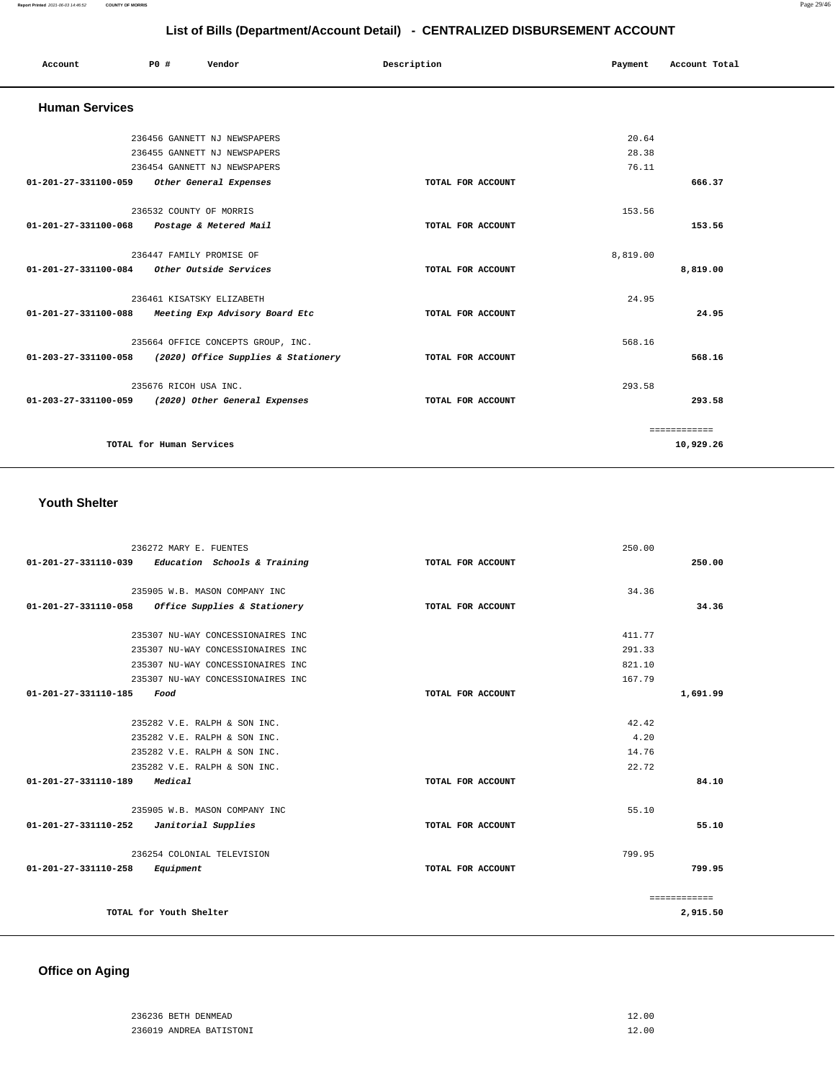| List of Bills (Department/Account Detail) - CENTRALIZED DISBURSEMENT ACCOUNT |                           |                                                          |                   |          |               |  |
|------------------------------------------------------------------------------|---------------------------|----------------------------------------------------------|-------------------|----------|---------------|--|
| Account                                                                      | P0 #                      | Vendor                                                   | Description       | Payment  | Account Total |  |
| <b>Human Services</b>                                                        |                           |                                                          |                   |          |               |  |
|                                                                              |                           | 236456 GANNETT NJ NEWSPAPERS                             |                   | 20.64    |               |  |
|                                                                              |                           | 236455 GANNETT NJ NEWSPAPERS                             |                   | 28.38    |               |  |
|                                                                              |                           | 236454 GANNETT NJ NEWSPAPERS                             |                   | 76.11    |               |  |
| 01-201-27-331100-059                                                         |                           | Other General Expenses                                   | TOTAL FOR ACCOUNT |          | 666.37        |  |
|                                                                              | 236532 COUNTY OF MORRIS   |                                                          |                   | 153.56   |               |  |
| 01-201-27-331100-068                                                         |                           | Postage & Metered Mail                                   | TOTAL FOR ACCOUNT |          | 153.56        |  |
|                                                                              | 236447 FAMILY PROMISE OF  |                                                          |                   | 8,819.00 |               |  |
|                                                                              |                           |                                                          | TOTAL FOR ACCOUNT |          | 8,819.00      |  |
|                                                                              | 236461 KISATSKY ELIZABETH |                                                          |                   | 24.95    |               |  |
|                                                                              |                           | 01-201-27-331100-088 Meeting Exp Advisory Board Etc      | TOTAL FOR ACCOUNT |          | 24.95         |  |
|                                                                              |                           | 235664 OFFICE CONCEPTS GROUP, INC.                       |                   | 568.16   |               |  |
|                                                                              |                           | 01-203-27-331100-058 (2020) Office Supplies & Stationery | TOTAL FOR ACCOUNT |          | 568.16        |  |
|                                                                              | 235676 RICOH USA INC.     |                                                          |                   | 293.58   |               |  |
|                                                                              |                           | 01-203-27-331100-059 (2020) Other General Expenses       | TOTAL FOR ACCOUNT |          | 293.58        |  |
|                                                                              |                           |                                                          |                   |          | ============  |  |
|                                                                              | TOTAL for Human Services  |                                                          |                   |          | 10,929.26     |  |
|                                                                              |                           |                                                          |                   |          |               |  |

## **Youth Shelter**

| 236272 MARY E. FUENTES                               |                   | 250.00       |  |
|------------------------------------------------------|-------------------|--------------|--|
| Education Schools & Training<br>01-201-27-331110-039 | TOTAL FOR ACCOUNT | 250.00       |  |
|                                                      |                   |              |  |
| 235905 W.B. MASON COMPANY INC                        |                   | 34.36        |  |
| Office Supplies & Stationery<br>01-201-27-331110-058 | TOTAL FOR ACCOUNT | 34.36        |  |
| 235307 NU-WAY CONCESSIONAIRES INC                    |                   | 411.77       |  |
| 235307 NU-WAY CONCESSIONAIRES INC                    |                   | 291.33       |  |
| 235307 NU-WAY CONCESSIONAIRES INC                    |                   | 821.10       |  |
| 235307 NU-WAY CONCESSIONAIRES INC                    |                   | 167.79       |  |
| 01-201-27-331110-185<br>Food                         | TOTAL FOR ACCOUNT | 1,691.99     |  |
|                                                      |                   |              |  |
| 235282 V.E. RALPH & SON INC.                         |                   | 42.42        |  |
| 235282 V.E. RALPH & SON INC.                         |                   | 4.20         |  |
| 235282 V.E. RALPH & SON INC.                         |                   | 14.76        |  |
| 235282 V.E. RALPH & SON INC.                         |                   | 22.72        |  |
| 01-201-27-331110-189<br>Medical                      | TOTAL FOR ACCOUNT | 84.10        |  |
| 235905 W.B. MASON COMPANY INC                        |                   | 55.10        |  |
| 01-201-27-331110-252<br>Janitorial Supplies          | TOTAL FOR ACCOUNT | 55.10        |  |
|                                                      |                   | 799.95       |  |
| 236254 COLONIAL TELEVISION                           |                   |              |  |
| 01-201-27-331110-258<br>Equipment                    | TOTAL FOR ACCOUNT | 799.95       |  |
|                                                      |                   | ============ |  |
| TOTAL for Youth Shelter                              |                   | 2,915.50     |  |

# **Office on Aging**

| 236236 BETH DENMEAD     | 12.00 |
|-------------------------|-------|
| 236019 ANDREA BATISTONI | 12.00 |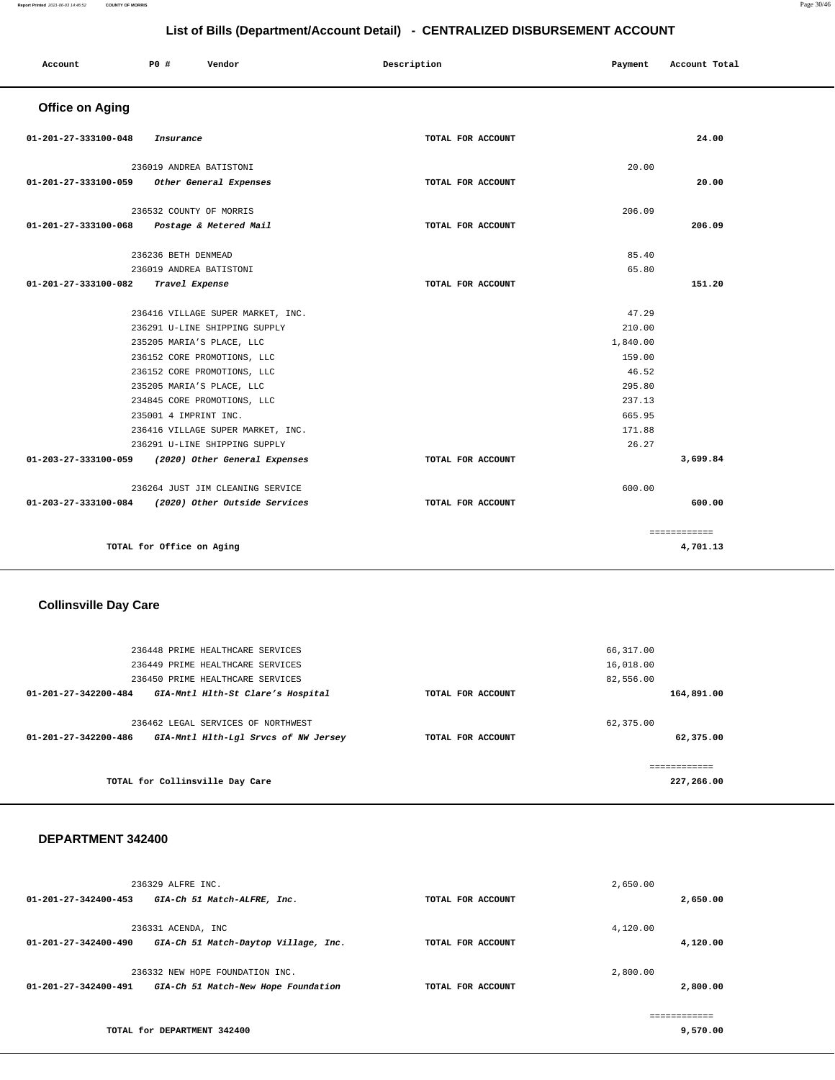| Account                        | P0 #                      | Vendor                            | Description       | Payment  | Account Total |
|--------------------------------|---------------------------|-----------------------------------|-------------------|----------|---------------|
| <b>Office on Aging</b>         |                           |                                   |                   |          |               |
| 01-201-27-333100-048           | Insurance                 |                                   | TOTAL FOR ACCOUNT |          | 24.00         |
|                                | 236019 ANDREA BATISTONI   |                                   |                   | 20.00    |               |
| 01-201-27-333100-059           |                           | Other General Expenses            | TOTAL FOR ACCOUNT |          | 20.00         |
|                                | 236532 COUNTY OF MORRIS   |                                   |                   | 206.09   |               |
| 01-201-27-333100-068           |                           | Postage & Metered Mail            | TOTAL FOR ACCOUNT |          | 206.09        |
|                                | 236236 BETH DENMEAD       |                                   |                   | 85.40    |               |
|                                | 236019 ANDREA BATISTONI   |                                   |                   | 65.80    |               |
| $01 - 201 - 27 - 333100 - 082$ | Travel Expense            |                                   | TOTAL FOR ACCOUNT |          | 151.20        |
|                                |                           | 236416 VILLAGE SUPER MARKET, INC. |                   | 47.29    |               |
|                                |                           | 236291 U-LINE SHIPPING SUPPLY     |                   | 210.00   |               |
|                                | 235205 MARIA'S PLACE, LLC |                                   |                   | 1,840.00 |               |
|                                |                           | 236152 CORE PROMOTIONS, LLC       |                   | 159.00   |               |
|                                |                           | 236152 CORE PROMOTIONS, LLC       |                   | 46.52    |               |
|                                | 235205 MARIA'S PLACE, LLC |                                   |                   | 295.80   |               |
|                                |                           | 234845 CORE PROMOTIONS, LLC       |                   | 237.13   |               |
|                                | 235001 4 IMPRINT INC.     |                                   |                   | 665.95   |               |
|                                |                           | 236416 VILLAGE SUPER MARKET, INC. |                   | 171.88   |               |
|                                |                           | 236291 U-LINE SHIPPING SUPPLY     |                   | 26.27    |               |
| 01-203-27-333100-059           |                           | (2020) Other General Expenses     | TOTAL FOR ACCOUNT |          | 3,699.84      |
|                                |                           | 236264 JUST JIM CLEANING SERVICE  |                   | 600.00   |               |
| 01-203-27-333100-084           |                           | (2020) Other Outside Services     | TOTAL FOR ACCOUNT |          | 600.00        |
|                                |                           |                                   |                   |          | ============  |
|                                | TOTAL for Office on Aging |                                   |                   |          | 4,701.13      |

# **Collinsville Day Care**

| 236448 PRIME HEALTHCARE SERVICES<br>236449 PRIME HEALTHCARE SERVICES<br>236450 PRIME HEALTHCARE SERVICES |                   | 66,317.00<br>16,018.00<br>82,556.00 |
|----------------------------------------------------------------------------------------------------------|-------------------|-------------------------------------|
| GIA-Mntl Hlth-St Clare's Hospital<br>$01 - 201 - 27 - 342200 - 484$                                      | TOTAL FOR ACCOUNT | 164,891.00                          |
| 236462 LEGAL SERVICES OF NORTHWEST<br>01-201-27-342200-486<br>GIA-Mntl Hlth-Lgl Srvcs of NW Jersey       | TOTAL FOR ACCOUNT | 62,375.00<br>62,375.00              |
| TOTAL for Collinsville Day Care                                                                          |                   | 227,266.00                          |

#### **DEPARTMENT 342400**

| 01-201-27-342400-453 | 236329 ALFRE INC.<br>GIA-Ch 51 Match-ALFRE, Inc.                       | TOTAL FOR ACCOUNT | 2,650.00<br>2,650.00      |
|----------------------|------------------------------------------------------------------------|-------------------|---------------------------|
| 01-201-27-342400-490 | 236331 ACENDA, INC<br>GIA-Ch 51 Match-Daytop Village, Inc.             | TOTAL FOR ACCOUNT | 4,120.00<br>4,120.00      |
| 01-201-27-342400-491 | 236332 NEW HOPE FOUNDATION INC.<br>GIA-Ch 51 Match-New Hope Foundation | TOTAL FOR ACCOUNT | 2,800.00<br>2,800.00      |
|                      | TOTAL for DEPARTMENT 342400                                            |                   | -------------<br>9,570.00 |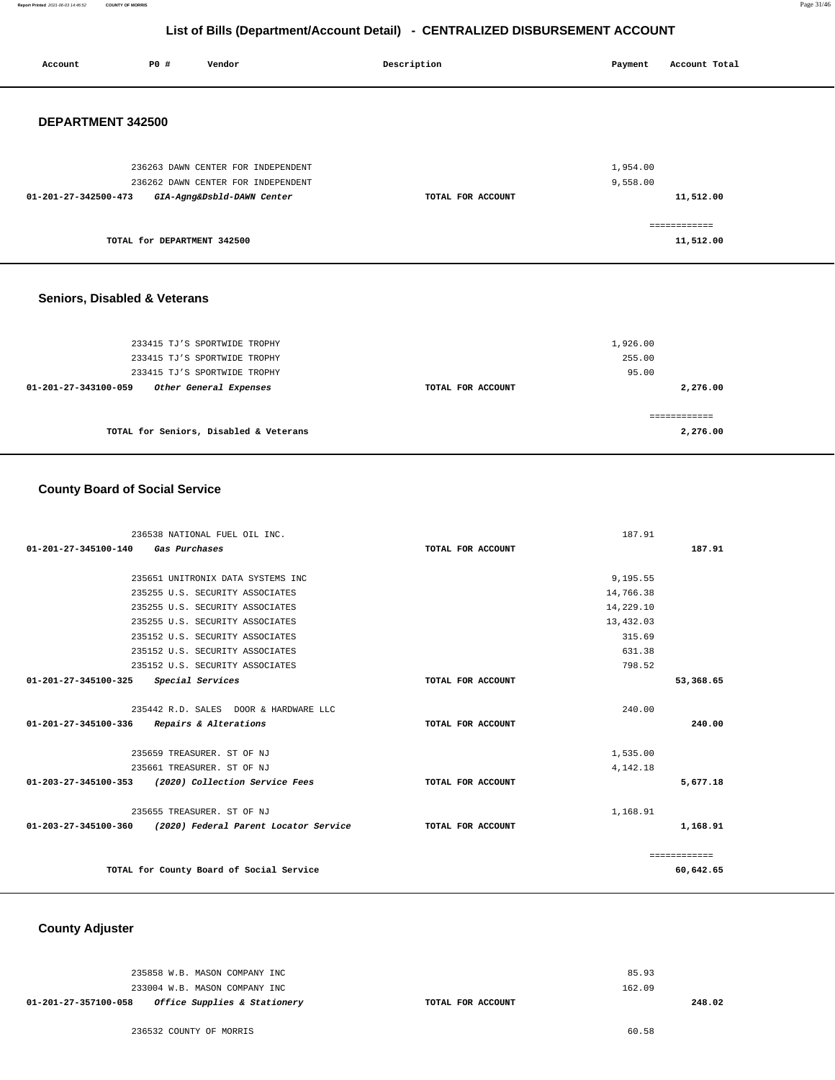**Report Printed** 2021-06-03 14:46:52 **COUNTY OF MORRIS** Page 31/46

# **List of Bills (Department/Account Detail) - CENTRALIZED DISBURSEMENT ACCOUNT**

| Account                        | P0 #                        | Vendor                                                       | Description       | Payment            | Account Total |
|--------------------------------|-----------------------------|--------------------------------------------------------------|-------------------|--------------------|---------------|
| DEPARTMENT 342500              |                             |                                                              |                   |                    |               |
|                                |                             |                                                              |                   |                    |               |
|                                |                             | 236263 DAWN CENTER FOR INDEPENDENT                           |                   | 1,954.00           |               |
|                                |                             | 236262 DAWN CENTER FOR INDEPENDENT                           |                   | 9,558.00           |               |
| 01-201-27-342500-473           |                             | GIA-Agng&Dsbld-DAWN Center                                   | TOTAL FOR ACCOUNT |                    | 11,512.00     |
|                                |                             |                                                              |                   |                    | ============  |
|                                | TOTAL for DEPARTMENT 342500 |                                                              |                   |                    | 11,512.00     |
|                                |                             |                                                              |                   |                    |               |
| Seniors, Disabled & Veterans   |                             |                                                              |                   |                    |               |
|                                |                             |                                                              |                   |                    |               |
|                                |                             | 233415 TJ'S SPORTWIDE TROPHY<br>233415 TJ'S SPORTWIDE TROPHY |                   | 1,926.00<br>255.00 |               |
|                                |                             | 233415 TJ'S SPORTWIDE TROPHY                                 |                   | 95.00              |               |
| $01 - 201 - 27 - 343100 - 059$ |                             | Other General Expenses                                       | TOTAL FOR ACCOUNT |                    | 2,276.00      |
|                                |                             |                                                              |                   |                    |               |
|                                |                             |                                                              |                   |                    | ============  |

**TOTAL for Seniors, Disabled & Veterans** 

## **County Board of Social Service**

| 236538 NATIONAL FUEL OIL INC.                              |                   | 187.91    |              |
|------------------------------------------------------------|-------------------|-----------|--------------|
| 01-201-27-345100-140<br>Gas Purchases                      | TOTAL FOR ACCOUNT |           | 187.91       |
|                                                            |                   |           |              |
| 235651 UNITRONIX DATA SYSTEMS INC                          |                   | 9,195.55  |              |
| 235255 U.S. SECURITY ASSOCIATES                            |                   | 14,766.38 |              |
| 235255 U.S. SECURITY ASSOCIATES                            |                   | 14,229.10 |              |
| 235255 U.S. SECURITY ASSOCIATES                            |                   | 13,432.03 |              |
| 235152 U.S. SECURITY ASSOCIATES                            |                   | 315.69    |              |
| 235152 U.S. SECURITY ASSOCIATES                            |                   | 631.38    |              |
| 235152 U.S. SECURITY ASSOCIATES                            |                   | 798.52    |              |
| $01 - 201 - 27 - 345100 - 325$<br>Special Services         | TOTAL FOR ACCOUNT |           | 53,368.65    |
|                                                            |                   |           |              |
| 235442 R.D. SALES DOOR & HARDWARE LLC                      |                   | 240.00    |              |
| 01-201-27-345100-336<br>Repairs & Alterations              | TOTAL FOR ACCOUNT |           | 240.00       |
|                                                            |                   |           |              |
| 235659 TREASURER, ST OF NJ                                 |                   | 1,535.00  |              |
| 235661 TREASURER. ST OF NJ                                 |                   | 4,142.18  |              |
| 01-203-27-345100-353<br>(2020) Collection Service Fees     | TOTAL FOR ACCOUNT |           | 5,677.18     |
|                                                            |                   |           |              |
| 235655 TREASURER. ST OF NJ                                 |                   | 1,168.91  |              |
| 01-203-27-345100-360 (2020) Federal Parent Locator Service | TOTAL FOR ACCOUNT |           | 1,168.91     |
|                                                            |                   |           |              |
|                                                            |                   |           | ============ |
| TOTAL for County Board of Social Service                   |                   |           | 60,642.65    |

 **County Adjuster** 

| 162.09<br>233004 W.B. MASON COMPANY INC |
|-----------------------------------------|
|                                         |

**2,276.00**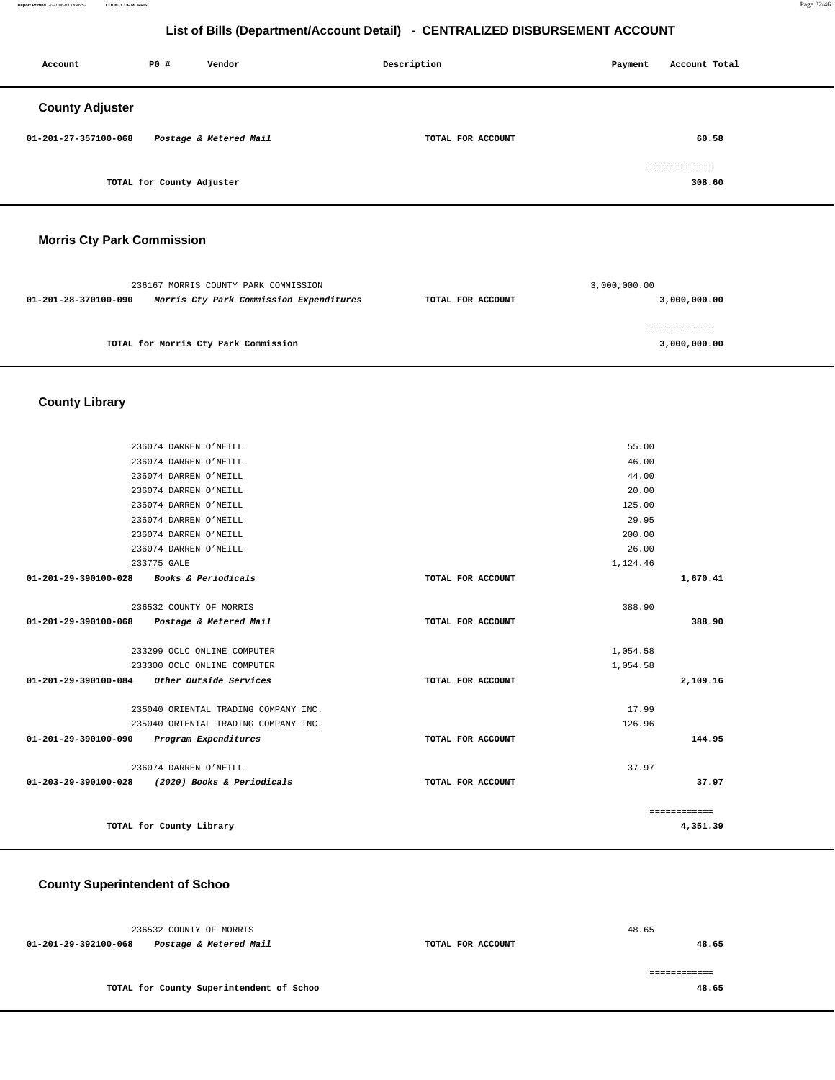**Report Printed** 2021-06-03 14:46:52 **COUNTY OF MORRIS** Page 32/46

# **List of Bills (Department/Account Detail) - CENTRALIZED DISBURSEMENT ACCOUNT**

| Account                | P0 #                      | Vendor                 | Description       | Payment | Account Total          |  |
|------------------------|---------------------------|------------------------|-------------------|---------|------------------------|--|
| <b>County Adjuster</b> |                           |                        |                   |         |                        |  |
| 01-201-27-357100-068   |                           | Postage & Metered Mail | TOTAL FOR ACCOUNT |         | 60.58                  |  |
|                        | TOTAL for County Adjuster |                        |                   |         | ============<br>308.60 |  |
|                        |                           |                        |                   |         |                        |  |

# **Morris Cty Park Commission**

|                      | 236167 MORRIS COUNTY PARK COMMISSION    |                   | 3,000,000.00 |
|----------------------|-----------------------------------------|-------------------|--------------|
| 01-201-28-370100-090 | Morris Cty Park Commission Expenditures | TOTAL FOR ACCOUNT | 3,000,000.00 |
|                      |                                         |                   |              |
|                      |                                         |                   |              |
|                      | TOTAL for Morris Cty Park Commission    |                   | 3,000,000.00 |
|                      |                                         |                   |              |

# **County Library**

|                                             | 236074 DARREN O'NEILL                           |                   | 55.00    |              |
|---------------------------------------------|-------------------------------------------------|-------------------|----------|--------------|
|                                             | 236074 DARREN O'NEILL                           |                   | 46.00    |              |
|                                             | 236074 DARREN O'NEILL                           |                   | 44.00    |              |
|                                             | 236074 DARREN O'NEILL                           |                   | 20.00    |              |
|                                             | 236074 DARREN O'NEILL                           |                   | 125.00   |              |
|                                             | 236074 DARREN O'NEILL                           |                   | 29.95    |              |
|                                             | 236074 DARREN O'NEILL                           |                   | 200.00   |              |
|                                             | 236074 DARREN O'NEILL                           |                   | 26.00    |              |
|                                             | 233775 GALE                                     |                   | 1,124.46 |              |
| 01-201-29-390100-028 Books & Periodicals    |                                                 | TOTAL FOR ACCOUNT |          | 1,670.41     |
|                                             | 236532 COUNTY OF MORRIS                         |                   | 388.90   |              |
| 01-201-29-390100-068                        | Postage & Metered Mail                          | TOTAL FOR ACCOUNT |          | 388.90       |
|                                             |                                                 |                   |          |              |
|                                             | 233299 OCLC ONLINE COMPUTER                     |                   | 1,054.58 |              |
|                                             | 233300 OCLC ONLINE COMPUTER                     |                   | 1,054.58 |              |
| 01-201-29-390100-084 Other Outside Services |                                                 | TOTAL FOR ACCOUNT |          | 2,109.16     |
|                                             | 235040 ORIENTAL TRADING COMPANY INC.            |                   | 17.99    |              |
|                                             | 235040 ORIENTAL TRADING COMPANY INC.            |                   | 126.96   |              |
| 01-201-29-390100-090                        | Program Expenditures                            | TOTAL FOR ACCOUNT |          | 144.95       |
|                                             |                                                 |                   |          |              |
|                                             | 236074 DARREN O'NEILL                           |                   | 37.97    |              |
|                                             | 01-203-29-390100-028 (2020) Books & Periodicals | TOTAL FOR ACCOUNT |          | 37.97        |
|                                             |                                                 |                   |          | ============ |
|                                             | TOTAL for County Library                        |                   |          | 4,351.39     |

#### **County Superintendent of Schoo**

|                      | 236532 COUNTY OF MORRIS                  |                   | 48.65 |       |
|----------------------|------------------------------------------|-------------------|-------|-------|
| 01-201-29-392100-068 | Postage & Metered Mail                   | TOTAL FOR ACCOUNT |       | 48.65 |
|                      |                                          |                   |       |       |
|                      | TOTAL for County Superintendent of Schoo |                   |       | 48.65 |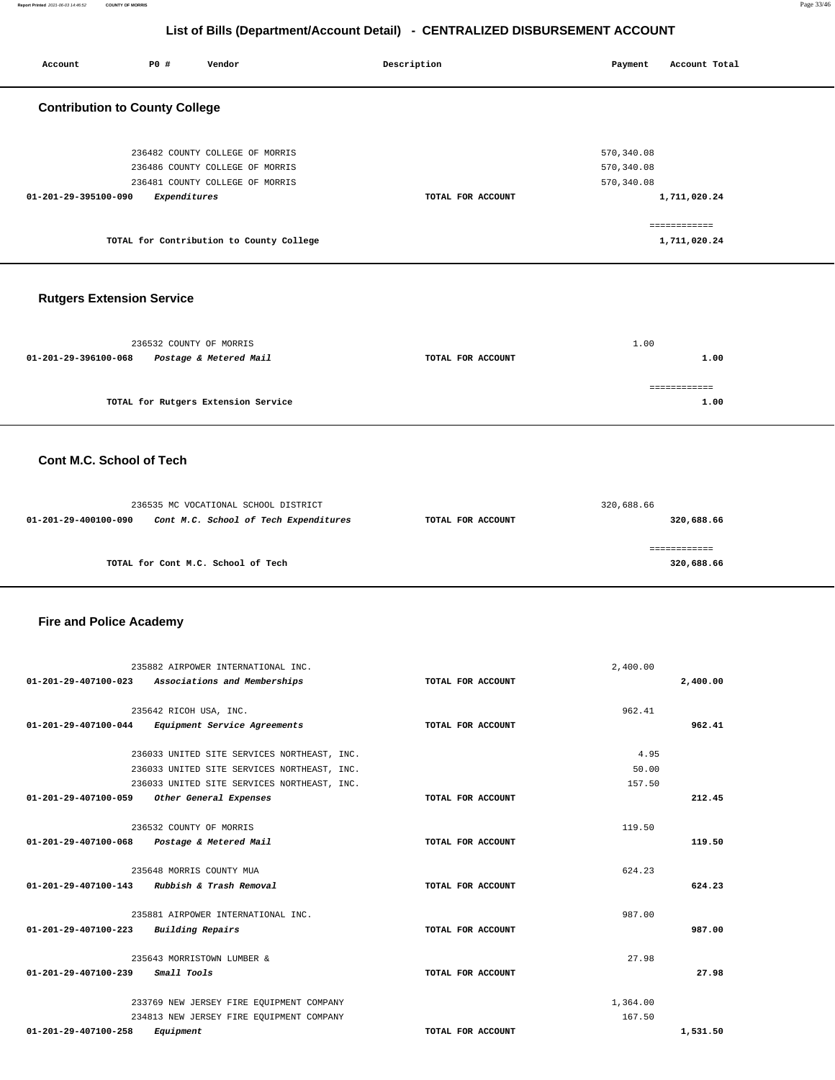Account **PO #** Vendor **Payment** Point Payment Account Total

| <b>Contribution to County College</b>                                                                 |                   |                            |  |
|-------------------------------------------------------------------------------------------------------|-------------------|----------------------------|--|
|                                                                                                       |                   |                            |  |
|                                                                                                       |                   |                            |  |
| 236482 COUNTY COLLEGE OF MORRIS                                                                       |                   | 570, 340.08                |  |
| 236486 COUNTY COLLEGE OF MORRIS<br>236481 COUNTY COLLEGE OF MORRIS                                    |                   | 570, 340.08<br>570, 340.08 |  |
| 01-201-29-395100-090<br>Expenditures                                                                  | TOTAL FOR ACCOUNT | 1,711,020.24               |  |
|                                                                                                       |                   |                            |  |
|                                                                                                       |                   | ============               |  |
| TOTAL for Contribution to County College                                                              |                   | 1,711,020.24               |  |
|                                                                                                       |                   |                            |  |
|                                                                                                       |                   |                            |  |
| <b>Rutgers Extension Service</b>                                                                      |                   |                            |  |
|                                                                                                       |                   |                            |  |
| 236532 COUNTY OF MORRIS                                                                               |                   | 1.00                       |  |
| 01-201-29-396100-068<br>Postage & Metered Mail                                                        | TOTAL FOR ACCOUNT | 1.00                       |  |
|                                                                                                       |                   |                            |  |
|                                                                                                       |                   | ============               |  |
| TOTAL for Rutgers Extension Service                                                                   |                   | 1.00                       |  |
|                                                                                                       |                   |                            |  |
|                                                                                                       |                   |                            |  |
| Cont M.C. School of Tech                                                                              |                   |                            |  |
|                                                                                                       |                   |                            |  |
|                                                                                                       |                   |                            |  |
| 236535 MC VOCATIONAL SCHOOL DISTRICT<br>01-201-29-400100-090<br>Cont M.C. School of Tech Expenditures | TOTAL FOR ACCOUNT | 320,688.66<br>320,688.66   |  |
|                                                                                                       |                   |                            |  |
|                                                                                                       |                   | ============               |  |
| TOTAL for Cont M.C. School of Tech                                                                    |                   | 320,688.66                 |  |
|                                                                                                       |                   |                            |  |
|                                                                                                       |                   |                            |  |
|                                                                                                       |                   |                            |  |
| <b>Fire and Police Academy</b>                                                                        |                   |                            |  |
|                                                                                                       |                   |                            |  |
|                                                                                                       |                   |                            |  |
| 235882 AIRPOWER INTERNATIONAL INC.<br>01-201-29-407100-023                                            | TOTAL FOR ACCOUNT | 2,400.00                   |  |
| Associations and Memberships                                                                          |                   | 2,400.00                   |  |
| 235642 RICOH USA, INC.                                                                                |                   | 962.41                     |  |
| 01-201-29-407100-044 Equipment Service Agreements                                                     | TOTAL FOR ACCOUNT | 962.41                     |  |
|                                                                                                       |                   |                            |  |
| 236033 UNITED SITE SERVICES NORTHEAST, INC.                                                           |                   | 4.95<br>50.00              |  |
| 236033 UNITED SITE SERVICES NORTHEAST, INC.<br>236033 UNITED SITE SERVICES NORTHEAST, INC.            |                   | 157.50                     |  |
| 01-201-29-407100-059 Other General Expenses                                                           | TOTAL FOR ACCOUNT | 212.45                     |  |
|                                                                                                       |                   |                            |  |
| 236532 COUNTY OF MORRIS                                                                               |                   | 119.50                     |  |
| 01-201-29-407100-068 Postage & Metered Mail                                                           | TOTAL FOR ACCOUNT | 119.50                     |  |
| 235648 MORRIS COUNTY MUA                                                                              |                   | 624.23                     |  |
| 01-201-29-407100-143 Rubbish & Trash Removal                                                          | TOTAL FOR ACCOUNT | 624.23                     |  |
|                                                                                                       |                   |                            |  |
| 235881 AIRPOWER INTERNATIONAL INC.                                                                    |                   | 987.00                     |  |
| 01-201-29-407100-223 Building Repairs                                                                 | TOTAL FOR ACCOUNT | 987.00                     |  |
| 235643 MORRISTOWN LUMBER &                                                                            |                   | 27.98                      |  |
| 01-201-29-407100-239<br><i>Small Tools</i>                                                            | TOTAL FOR ACCOUNT | 27.98                      |  |
|                                                                                                       |                   |                            |  |
| 233769 NEW JERSEY FIRE EQUIPMENT COMPANY                                                              |                   | 1,364.00                   |  |
| 234813 NEW JERSEY FIRE EQUIPMENT COMPANY<br>01-201-29-407100-258<br>Equipment                         | TOTAL FOR ACCOUNT | 167.50<br>1,531.50         |  |
|                                                                                                       |                   |                            |  |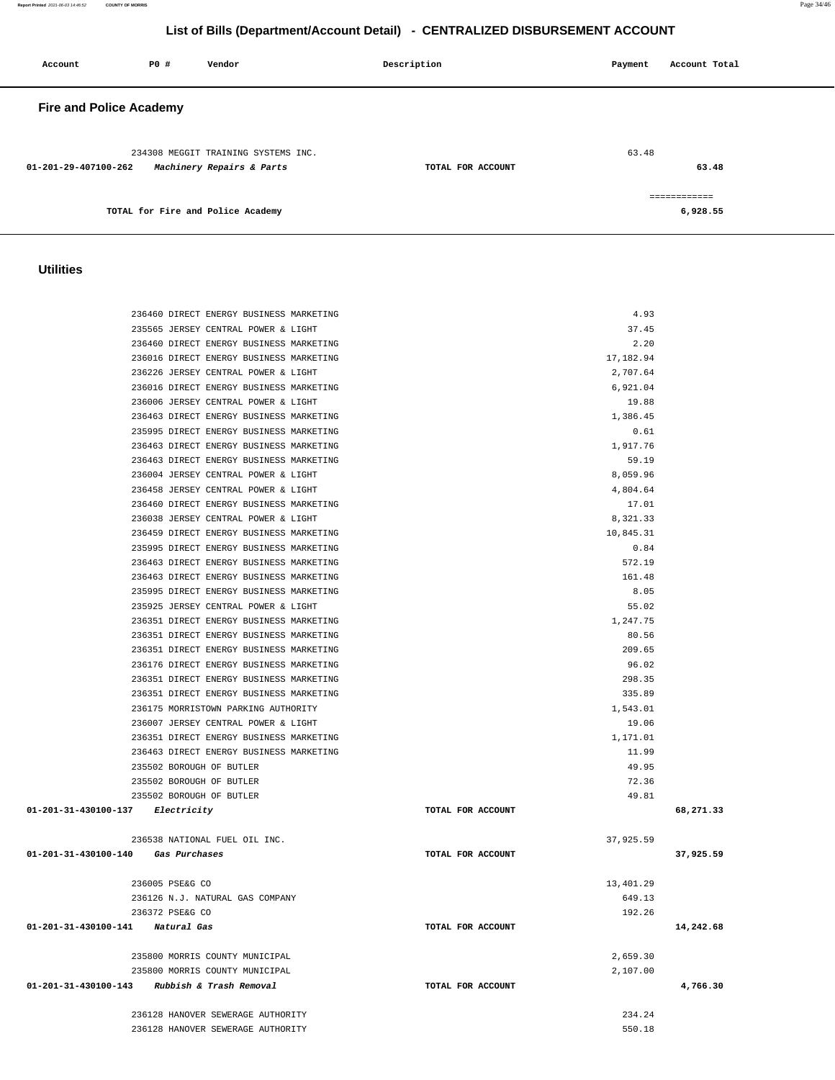**Account P0 # Vendor Description Payment Account Total Fire and Police Academy**  234308 MEGGIT TRAINING SYSTEMS INC. **01-201-29-407100-262 Machinery Repairs & Parts TOTAL FOR ACCOUNT**  63.48 **63.48 TOTAL for Fire and Police Academy**  ============ **6,928.55 Utilities**  236460 DIRECT ENERGY BUSINESS MARKETING 4.93 235565 JERSEY CENTRAL POWER & LIGHT 37.45 236460 DIRECT ENERGY BUSINESS MARKETING 2.20 236016 DIRECT ENERGY BUSINESS MARKETING 17,182.94 236226 JERSEY CENTRAL POWER & LIGHT 2,707.64 236016 DIRECT ENERGY BUSINESS MARKETING 6,921.04 236006 JERSEY CENTRAL POWER & LIGHT 19.88 236463 DIRECT ENERGY BUSINESS MARKETING 1,386.45 235995 DIRECT ENERGY BUSINESS MARKETING **1.61** (1.61) 236463 DIRECT ENERGY BUSINESS MARKETING 1,917.76 236463 DIRECT ENERGY BUSINESS MARKETING 59.19 236004 JERSEY CENTRAL POWER & LIGHT 8,059.96 236458 JERSEY CENTRAL POWER & LIGHT 4,804.64 236460 DIRECT ENERGY BUSINESS MARKETING 17.01 236038 JERSEY CENTRAL POWER & LIGHT 8,321.33 236459 DIRECT ENERGY BUSINESS MARKETING 10,845.31 235995 DIRECT ENERGY BUSINESS MARKETING 0.84 236463 DIRECT ENERGY BUSINESS MARKETING 572.19 236463 DIRECT ENERGY BUSINESS MARKETING 161.48 235995 DIRECT ENERGY BUSINESS MARKETING 8.05 235925 JERSEY CENTRAL POWER & LIGHT 55.02 236351 DIRECT ENERGY BUSINESS MARKETING 1,247.75 236351 DIRECT ENERGY BUSINESS MARKETING 80.56 236351 DIRECT ENERGY BUSINESS MARKETING 209.65 236176 DIRECT ENERGY BUSINESS MARKETING 96.02 236351 DIRECT ENERGY BUSINESS MARKETING 298.35 236351 DIRECT ENERGY BUSINESS MARKETING 335.89 236175 MORRISTOWN PARKING AUTHORITY 1,543.01 236007 JERSEY CENTRAL POWER & LIGHT 19.06 236351 DIRECT ENERGY BUSINESS MARKETING 1,171.01 236463 DIRECT ENERGY BUSINESS MARKETING 11.99 235502 BOROUGH OF BUTLER 49.95 235502 BOROUGH OF BUTLER 72.36 235502 BOROUGH OF BUTLER 49.81  **01-201-31-430100-137 Electricity TOTAL FOR ACCOUNT 68,271.33** 236538 NATIONAL FUEL OIL INC. 37,925.59  **01-201-31-430100-140 Gas Purchases TOTAL FOR ACCOUNT 37,925.59** 236005 PSE&G CO 13,401.29 236126 N.J. NATURAL GAS COMPANY 649.13 236372 PSE&G CO 192.26

 **01-201-31-430100-141 Natural Gas TOTAL FOR ACCOUNT 14,242.68**

 235800 MORRIS COUNTY MUNICIPAL 2,659.30 235800 MORRIS COUNTY MUNICIPAL 2,107.00  **01-201-31-430100-143 Rubbish & Trash Removal TOTAL FOR ACCOUNT 4,766.30**

> 236128 HANOVER SEWERAGE AUTHORITY 234.24 236128 HANOVER SEWERAGE AUTHORITY 550.18

#### **List of Bills (Department/Account Detail) - CENTRALIZED DISBURSEMENT ACCOUNT**

**Report Printed** 2021-06-03 14:46:52 **COUNTY OF MORRIS** Page 34/46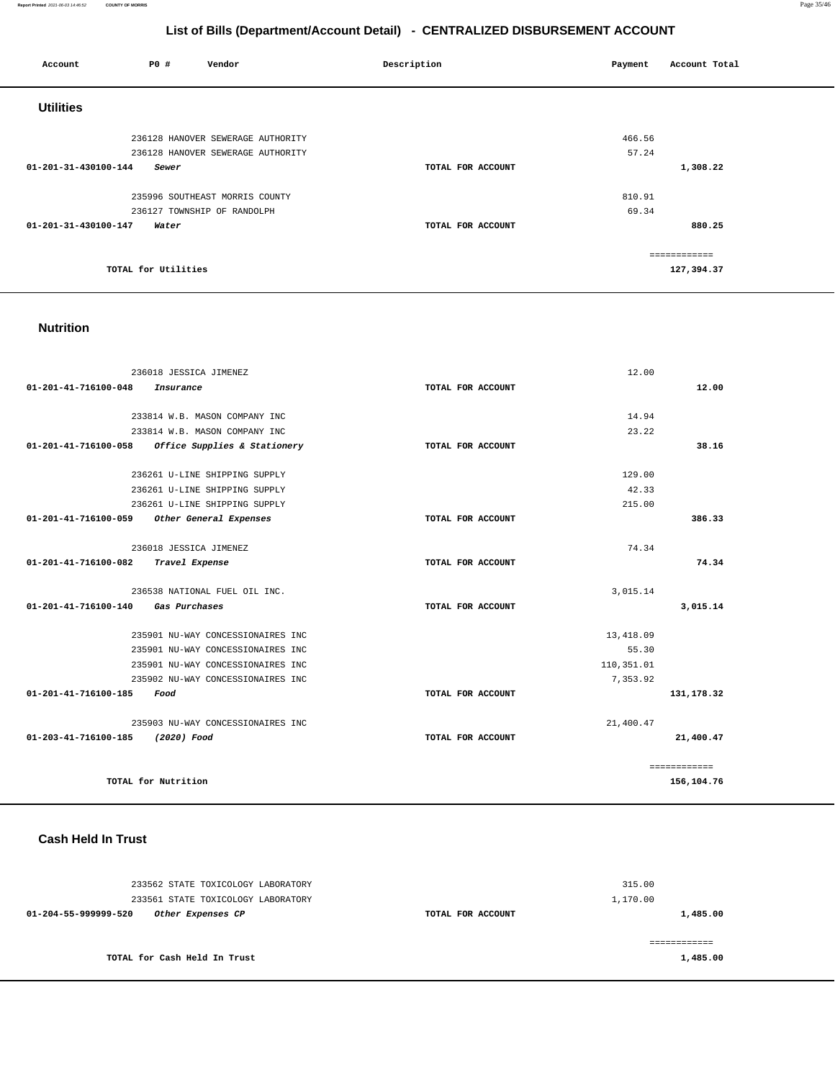#### **Report Printed** 2021-06-03 14:46:52 **COUNTY OF MORRIS** Page 35/46

# **List of Bills (Department/Account Detail) - CENTRALIZED DISBURSEMENT ACCOUNT**

| Account              | P0 #                | Vendor                            | Description       | Payment | Account Total              |
|----------------------|---------------------|-----------------------------------|-------------------|---------|----------------------------|
| <b>Utilities</b>     |                     |                                   |                   |         |                            |
|                      |                     | 236128 HANOVER SEWERAGE AUTHORITY |                   | 466.56  |                            |
|                      |                     | 236128 HANOVER SEWERAGE AUTHORITY |                   | 57.24   |                            |
| 01-201-31-430100-144 | Sewer               |                                   | TOTAL FOR ACCOUNT |         | 1,308.22                   |
|                      |                     | 235996 SOUTHEAST MORRIS COUNTY    |                   | 810.91  |                            |
|                      |                     | 236127 TOWNSHIP OF RANDOLPH       |                   | 69.34   |                            |
| 01-201-31-430100-147 | Water               |                                   | TOTAL FOR ACCOUNT |         | 880.25                     |
|                      | TOTAL for Utilities |                                   |                   |         | ============<br>127,394.37 |

#### **Nutrition**

| 236018 JESSICA JIMENEZ                               |                   | 12.00      |              |
|------------------------------------------------------|-------------------|------------|--------------|
| 01-201-41-716100-048<br>Insurance                    | TOTAL FOR ACCOUNT |            | 12.00        |
|                                                      |                   |            |              |
| 233814 W.B. MASON COMPANY INC                        |                   | 14.94      |              |
| 233814 W.B. MASON COMPANY INC                        |                   | 23.22      |              |
| Office Supplies & Stationery<br>01-201-41-716100-058 | TOTAL FOR ACCOUNT |            | 38.16        |
| 236261 U-LINE SHIPPING SUPPLY                        |                   | 129.00     |              |
| 236261 U-LINE SHIPPING SUPPLY                        |                   | 42.33      |              |
| 236261 U-LINE SHIPPING SUPPLY                        |                   | 215.00     |              |
| 01-201-41-716100-059 Other General Expenses          | TOTAL FOR ACCOUNT |            | 386.33       |
|                                                      |                   |            |              |
| 236018 JESSICA JIMENEZ                               |                   | 74.34      |              |
| Travel Expense<br>01-201-41-716100-082               | TOTAL FOR ACCOUNT |            | 74.34        |
|                                                      |                   |            |              |
| 236538 NATIONAL FUEL OIL INC.                        |                   | 3,015.14   |              |
| 01-201-41-716100-140<br>Gas Purchases                | TOTAL FOR ACCOUNT |            | 3.015.14     |
| 235901 NU-WAY CONCESSIONAIRES INC                    |                   | 13,418.09  |              |
| 235901 NU-WAY CONCESSIONAIRES INC                    |                   | 55.30      |              |
| 235901 NU-WAY CONCESSIONAIRES INC                    |                   | 110,351.01 |              |
| 235902 NU-WAY CONCESSIONAIRES INC                    |                   | 7.353.92   |              |
| $01 - 201 - 41 - 716100 - 185$<br>Food               | TOTAL FOR ACCOUNT |            | 131, 178.32  |
|                                                      |                   |            |              |
| 235903 NU-WAY CONCESSIONAIRES INC                    |                   | 21,400.47  |              |
| 01-203-41-716100-185<br>(2020) Food                  | TOTAL FOR ACCOUNT |            | 21,400.47    |
|                                                      |                   |            |              |
|                                                      |                   |            | ============ |
| TOTAL for Nutrition                                  |                   |            | 156,104.76   |

## **Cash Held In Trust**

| 233562 STATE TOXICOLOGY LABORATORY<br>233561 STATE TOXICOLOGY LABORATORY |                   | 315.00<br>1,170.00 |
|--------------------------------------------------------------------------|-------------------|--------------------|
| 01-204-55-999999-520<br>Other Expenses CP                                | TOTAL FOR ACCOUNT | 1,485.00           |
| TOTAL for Cash Held In Trust                                             |                   | 1,485.00           |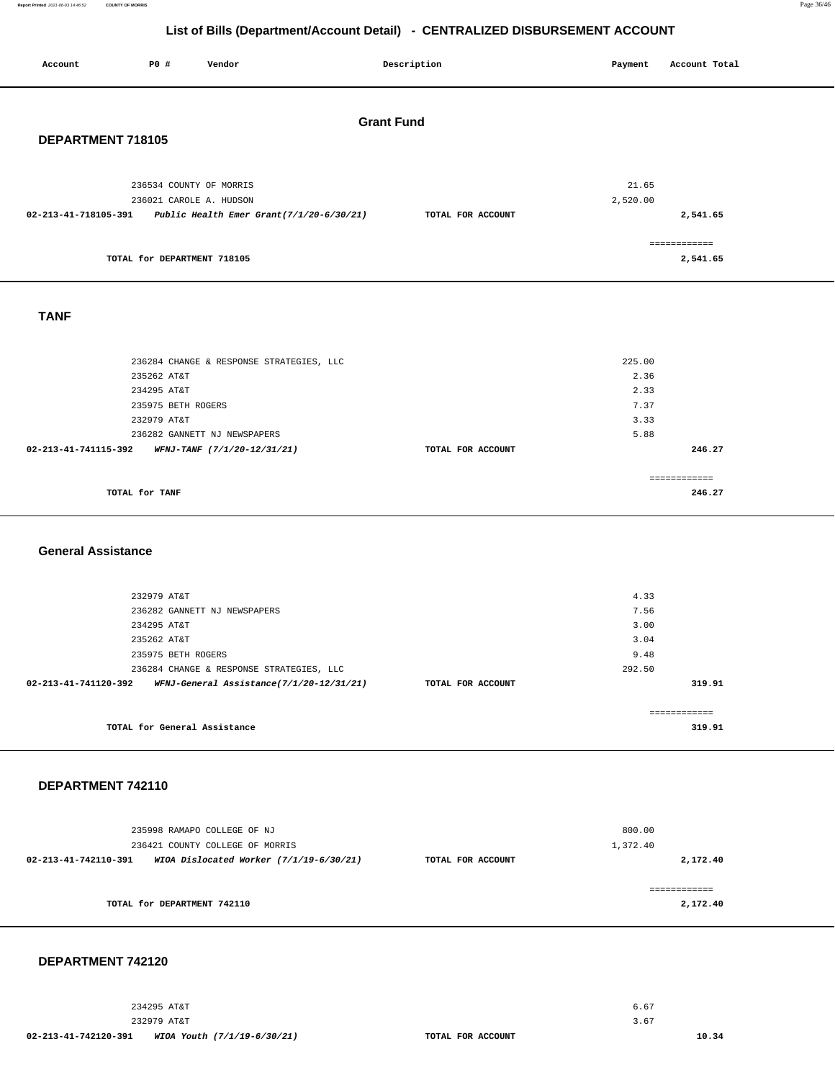| Account                   | P0 #                              | Vendor                                   |  | Description       | Payment      | Account Total            |  |
|---------------------------|-----------------------------------|------------------------------------------|--|-------------------|--------------|--------------------------|--|
| <b>Grant Fund</b>         |                                   |                                          |  |                   |              |                          |  |
| DEPARTMENT 718105         |                                   |                                          |  |                   |              |                          |  |
|                           | 236534 COUNTY OF MORRIS           |                                          |  |                   | 21.65        |                          |  |
| 02-213-41-718105-391      | 236021 CAROLE A. HUDSON           | Public Health Emer Grant(7/1/20-6/30/21) |  | TOTAL FOR ACCOUNT | 2,520.00     | 2,541.65                 |  |
|                           | TOTAL for DEPARTMENT 718105       |                                          |  |                   |              | ============<br>2,541.65 |  |
| <b>TANF</b>               |                                   |                                          |  |                   |              |                          |  |
|                           |                                   |                                          |  |                   |              |                          |  |
|                           |                                   | 236284 CHANGE & RESPONSE STRATEGIES, LLC |  |                   | 225.00       |                          |  |
|                           | 235262 AT&T                       |                                          |  |                   | 2.36         |                          |  |
|                           | 234295 AT&T                       |                                          |  |                   | 2.33         |                          |  |
|                           | 235975 BETH ROGERS<br>232979 AT&T |                                          |  |                   | 7.37<br>3.33 |                          |  |
|                           |                                   | 236282 GANNETT NJ NEWSPAPERS             |  |                   | 5.88         |                          |  |
| 02-213-41-741115-392      |                                   | WFNJ-TANF (7/1/20-12/31/21)              |  | TOTAL FOR ACCOUNT |              | 246.27                   |  |
|                           |                                   |                                          |  |                   |              | ============             |  |
|                           | TOTAL for TANF                    |                                          |  |                   |              | 246.27                   |  |
|                           |                                   |                                          |  |                   |              |                          |  |
| <b>General Assistance</b> |                                   |                                          |  |                   |              |                          |  |
|                           |                                   |                                          |  |                   |              |                          |  |
|                           | 232979 AT&T                       |                                          |  |                   | 4.33         |                          |  |
|                           |                                   | 236282 GANNETT NJ NEWSPAPERS             |  |                   | 7.56         |                          |  |
|                           | 234295 AT&T                       |                                          |  |                   | 3.00         |                          |  |
|                           | 235262 AT&T<br>235975 BETH ROGERS |                                          |  |                   | 3.04<br>9.48 |                          |  |
|                           |                                   | 236284 CHANGE & RESPONSE STRATEGIES, LLC |  |                   | 292.50       |                          |  |
| 02-213-41-741120-392      |                                   | WFNJ-General Assistance(7/1/20-12/31/21) |  | TOTAL FOR ACCOUNT |              | 319.91                   |  |
|                           |                                   |                                          |  |                   |              | ============             |  |
|                           | TOTAL for General Assistance      |                                          |  |                   |              | 319.91                   |  |
|                           |                                   |                                          |  |                   |              |                          |  |
| DEPARTMENT 742110         |                                   |                                          |  |                   |              |                          |  |
|                           |                                   | 235998 RAMAPO COLLEGE OF NJ              |  |                   | 800.00       |                          |  |
|                           |                                   | 236421 COUNTY COLLEGE OF MORRIS          |  |                   | 1,372.40     |                          |  |
| 02-213-41-742110-391      |                                   | WIOA Dislocated Worker (7/1/19-6/30/21)  |  | TOTAL FOR ACCOUNT |              | 2,172.40                 |  |
|                           |                                   |                                          |  |                   |              | ============             |  |
|                           | TOTAL for DEPARTMENT 742110       |                                          |  |                   |              | 2,172.40                 |  |

#### **DEPARTMENT 742120**

234295 AT&T 232979 AT&T **02-213-41-742120-391 WIOA Youth (7/1/19-6/30/21) TOTAL FOR ACCOUNT** 

**10.34** 

6.67 3.67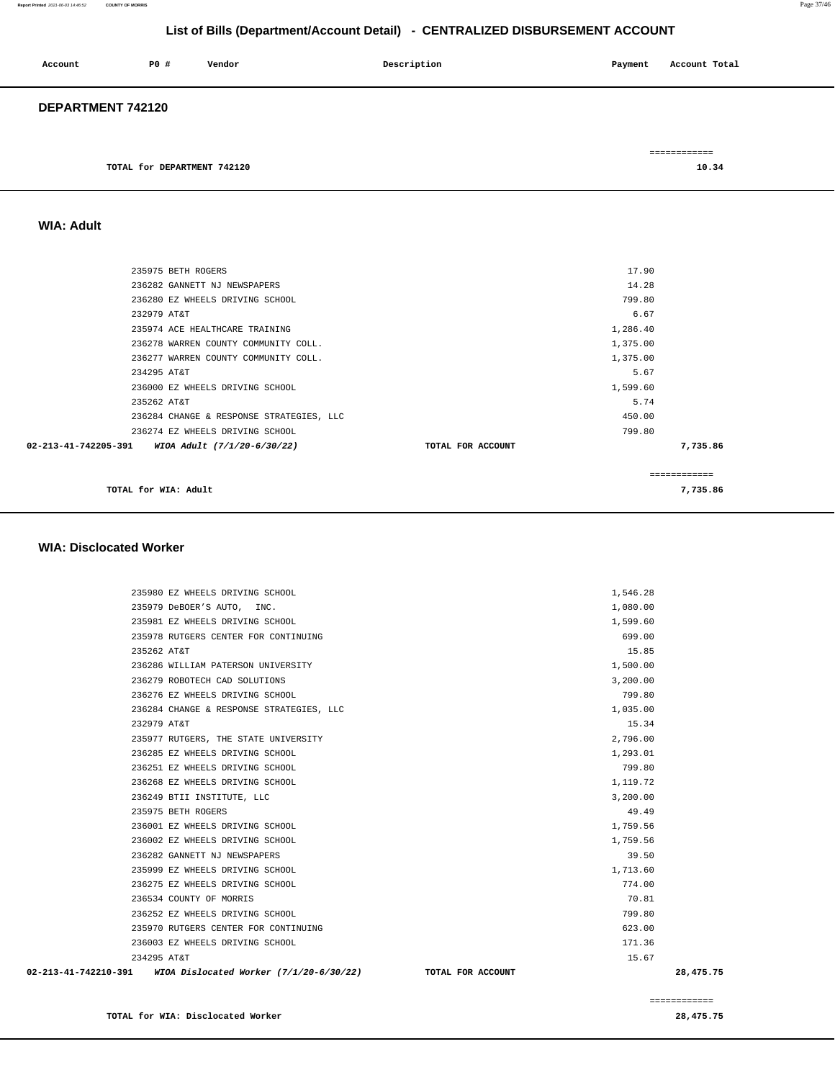| Account           | P0 # | Vendor | Description | Payment | Account Total |
|-------------------|------|--------|-------------|---------|---------------|
| DEPARTMENT 742120 |      |        |             |         |               |
|                   |      |        |             |         | ============  |

| TOTAL for DEPARTMENT | 742120 | 10.34<br>- 34<br>. |
|----------------------|--------|--------------------|
|                      |        |                    |

# **WIA: Adult**

| 235975 BETH ROGERS                               |                   | 17.90         |
|--------------------------------------------------|-------------------|---------------|
| 236282 GANNETT NJ NEWSPAPERS                     |                   | 14.28         |
| 236280 EZ WHEELS DRIVING SCHOOL                  |                   | 799.80        |
| 232979 AT&T                                      |                   | 6.67          |
| 235974 ACE HEALTHCARE TRAINING                   |                   | 1,286.40      |
| 236278 WARREN COUNTY COMMUNITY COLL.             |                   | 1,375.00      |
| 236277 WARREN COUNTY COMMUNITY COLL.             |                   | 1,375.00      |
| 234295 AT&T                                      |                   | 5.67          |
| 236000 EZ WHEELS DRIVING SCHOOL                  |                   | 1,599.60      |
| 235262 AT&T                                      |                   | 5.74          |
| 236284 CHANGE & RESPONSE STRATEGIES, LLC         |                   | 450.00        |
| 236274 EZ WHEELS DRIVING SCHOOL                  |                   | 799.80        |
| 02-213-41-742205-391 WIOA Adult (7/1/20-6/30/22) | TOTAL FOR ACCOUNT | 7,735.86      |
|                                                  |                   | ------------- |
| TOTAL for WIA: Adult                             |                   | 7,735.86      |

#### **WIA: Disclocated Worker**

|             | 02-213-41-742210-391 WIOA Dislocated Worker (7/1/20-6/30/22) TOTAL FOR ACCOUNT |          | 28,475.75 |
|-------------|--------------------------------------------------------------------------------|----------|-----------|
| 234295 AT&T |                                                                                | 15.67    |           |
|             | 236003 EZ WHEELS DRIVING SCHOOL                                                | 171.36   |           |
|             | 235970 RUTGERS CENTER FOR CONTINUING                                           | 623.00   |           |
|             | 236252 EZ WHEELS DRIVING SCHOOL                                                | 799.80   |           |
|             | 236534 COUNTY OF MORRIS                                                        | 70.81    |           |
|             | 236275 EZ WHEELS DRIVING SCHOOL                                                | 774.00   |           |
|             | 235999 EZ WHEELS DRIVING SCHOOL                                                | 1,713.60 |           |
|             | 236282 GANNETT NJ NEWSPAPERS                                                   | 39.50    |           |
|             | 236002 EZ WHEELS DRIVING SCHOOL                                                | 1,759.56 |           |
|             | 236001 EZ WHEELS DRIVING SCHOOL                                                | 1,759.56 |           |
|             | 235975 BETH ROGERS                                                             | 49.49    |           |
|             | 236249 BTII INSTITUTE, LLC                                                     | 3,200.00 |           |
|             | 236268 EZ WHEELS DRIVING SCHOOL                                                | 1,119.72 |           |
|             | 236251 EZ WHEELS DRIVING SCHOOL                                                | 799.80   |           |
|             | 236285 EZ WHEELS DRIVING SCHOOL                                                | 1,293.01 |           |
|             | 235977 RUTGERS, THE STATE UNIVERSITY                                           | 2,796.00 |           |
| 232979 AT&T |                                                                                | 15.34    |           |
|             | 236284 CHANGE & RESPONSE STRATEGIES, LLC                                       | 1,035.00 |           |
|             | 236276 EZ WHEELS DRIVING SCHOOL                                                | 799.80   |           |
|             | 236279 ROBOTECH CAD SOLUTIONS                                                  | 3,200.00 |           |
|             | 236286 WILLIAM PATERSON UNIVERSITY                                             | 1,500.00 |           |
| 235262 AT&T |                                                                                | 15.85    |           |
|             | 235978 RUTGERS CENTER FOR CONTINUING                                           | 699.00   |           |
|             | 235981 EZ WHEELS DRIVING SCHOOL                                                | 1,599.60 |           |
|             | 235979 DeBOER'S AUTO, INC.                                                     | 1,080.00 |           |
|             | 235980 EZ WHEELS DRIVING SCHOOL                                                | 1,546.28 |           |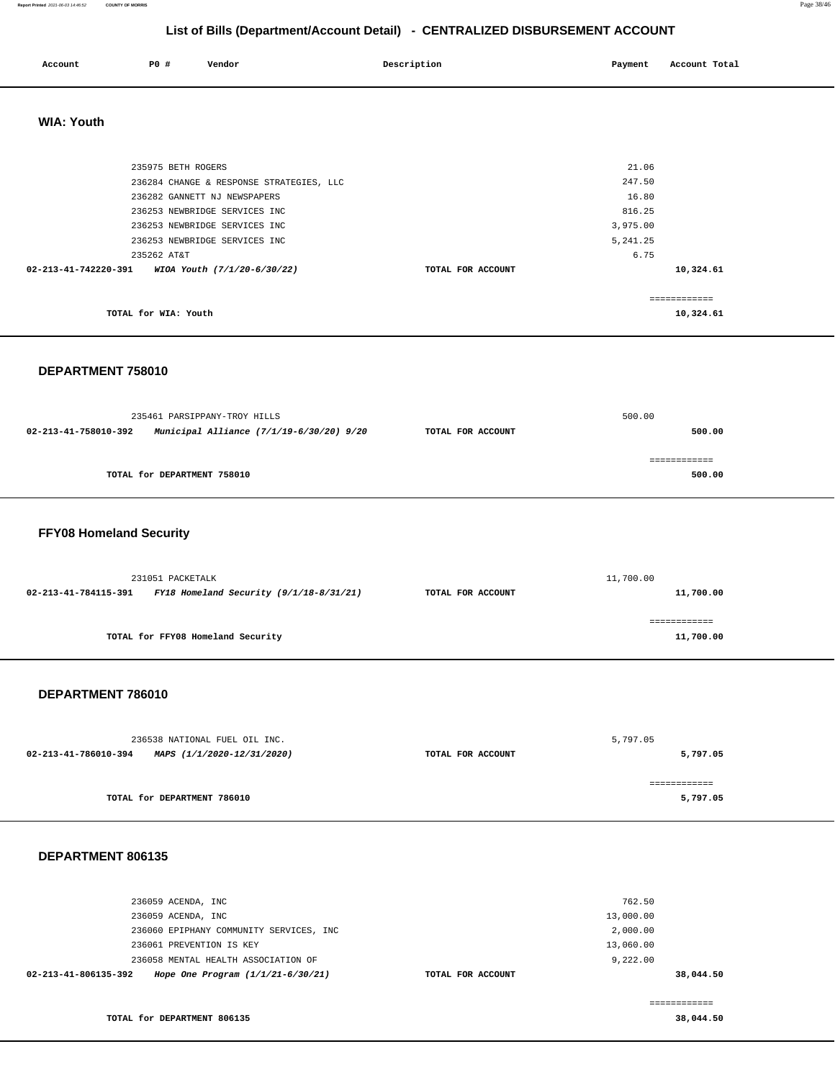#### **Report Printed** 2021-06-03 14:46:52 **COUNTY OF MORRIS** Page 38/46

**38,044.50** 

## **List of Bills (Department/Account Detail) - CENTRALIZED DISBURSEMENT ACCOUNT**

| Account              | <b>PO #</b>        | Vendor                                   | Description       | Payment   | Account Total |
|----------------------|--------------------|------------------------------------------|-------------------|-----------|---------------|
| <b>WIA: Youth</b>    |                    |                                          |                   |           |               |
|                      | 235975 BETH ROGERS |                                          |                   | 21.06     |               |
|                      |                    | 236284 CHANGE & RESPONSE STRATEGIES, LLC |                   | 247.50    |               |
|                      |                    | 236282 GANNETT NJ NEWSPAPERS             |                   | 16.80     |               |
|                      |                    | 236253 NEWBRIDGE SERVICES INC            |                   | 816.25    |               |
|                      |                    | 236253 NEWBRIDGE SERVICES INC            |                   | 3,975.00  |               |
|                      |                    | 236253 NEWBRIDGE SERVICES INC            |                   | 5, 241.25 |               |
|                      | 235262 AT&T        |                                          |                   | 6.75      |               |
| 02-213-41-742220-391 |                    | WIOA Youth (7/1/20-6/30/22)              | TOTAL FOR ACCOUNT |           | 10,324.61     |

|                      | ---------- |
|----------------------|------------|
| TOTAL for WIA: Youth | 10,324.61  |

#### **DEPARTMENT 758010**

|                      | 235461 PARSIPPANY-TROY HILLS             |                   | 500.00 |
|----------------------|------------------------------------------|-------------------|--------|
| 02-213-41-758010-392 | Municipal Alliance (7/1/19-6/30/20) 9/20 | TOTAL FOR ACCOUNT | 500.00 |
|                      |                                          |                   |        |
|                      | TOTAL for DEPARTMENT 758010              |                   | 500.00 |
|                      |                                          |                   |        |

## **FFY08 Homeland Security**

| 231051 PACKETALK     |                                           | 11,700.00         |           |  |
|----------------------|-------------------------------------------|-------------------|-----------|--|
| 02-213-41-784115-391 | FY18 Homeland Security $(9/1/18-8/31/21)$ | TOTAL FOR ACCOUNT | 11,700.00 |  |
|                      |                                           |                   |           |  |
|                      |                                           |                   |           |  |
|                      | TOTAL for FFY08 Homeland Security         |                   | 11,700.00 |  |
|                      |                                           |                   |           |  |

#### **DEPARTMENT 786010**

| 236538 NATIONAL FUEL OIL INC.                      |                   | 5,797.05 |
|----------------------------------------------------|-------------------|----------|
| 02-213-41-786010-394<br>MAPS (1/1/2020-12/31/2020) | TOTAL FOR ACCOUNT | 5,797.05 |
|                                                    |                   |          |
| TOTAL for DEPARTMENT 786010                        |                   | 5,797.05 |

## **DEPARTMENT 806135**

**TOTAL for DEPARTMENT 806135** 

| 236059 ACENDA, INC                                          |                   | 762.50    |
|-------------------------------------------------------------|-------------------|-----------|
| 236059 ACENDA, INC                                          |                   | 13,000.00 |
| 236060 EPIPHANY COMMUNITY SERVICES, INC                     |                   | 2,000.00  |
| 236061 PREVENTION IS KEY                                    |                   | 13,060.00 |
| 236058 MENTAL HEALTH ASSOCIATION OF                         |                   | 9,222.00  |
| 02-213-41-806135-392<br>Hope One Program $(1/1/21-6/30/21)$ | TOTAL FOR ACCOUNT | 38,044.50 |
|                                                             |                   |           |
|                                                             |                   |           |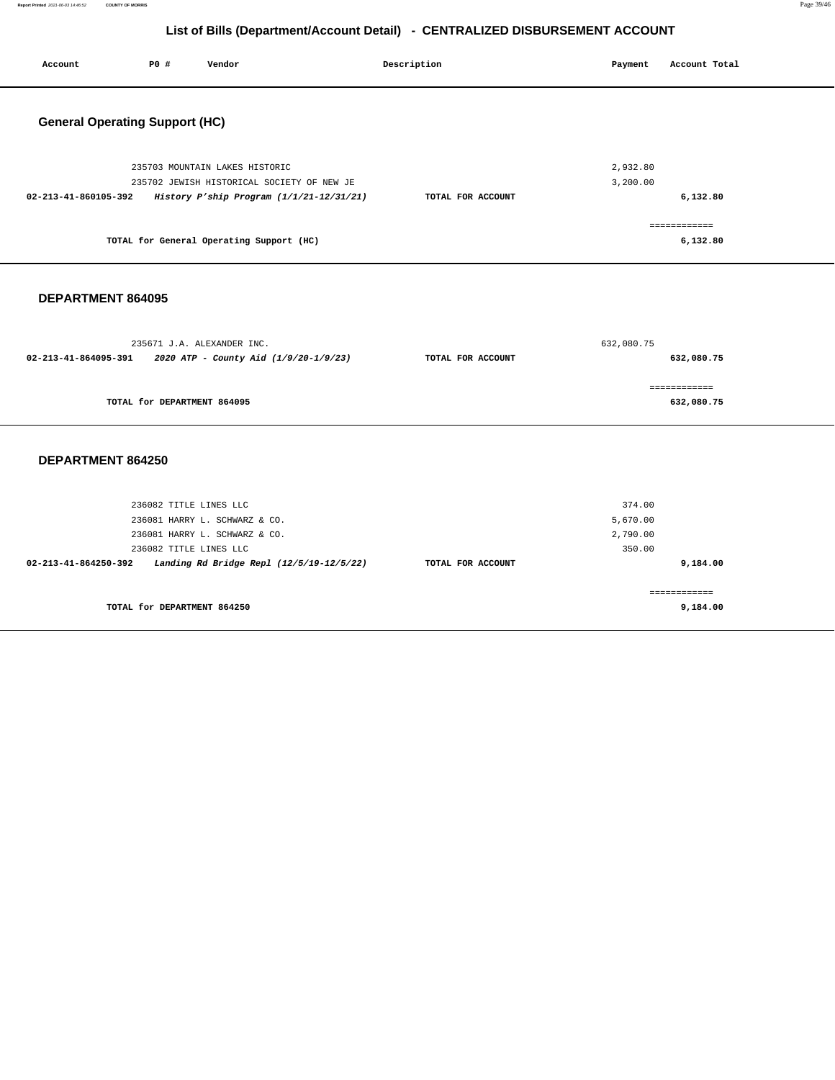**Report Printed** 2021-06-03 14:46:52 **COUNTY OF MORRIS** Page 39/46

# **List of Bills (Department/Account Detail) - CENTRALIZED DISBURSEMENT ACCOUNT**

| <b>PO #</b><br>Account<br>Vendor                                                                                                                                                       | Description       | Payment<br>Account Total                             |
|----------------------------------------------------------------------------------------------------------------------------------------------------------------------------------------|-------------------|------------------------------------------------------|
| <b>General Operating Support (HC)</b>                                                                                                                                                  |                   |                                                      |
| 235703 MOUNTAIN LAKES HISTORIC<br>235702 JEWISH HISTORICAL SOCIETY OF NEW JE<br>02-213-41-860105-392<br>History P'ship Program (1/1/21-12/31/21)                                       | TOTAL FOR ACCOUNT | 2,932.80<br>3,200.00<br>6,132.80                     |
| TOTAL for General Operating Support (HC)                                                                                                                                               |                   | ============<br>6,132.80                             |
| DEPARTMENT 864095                                                                                                                                                                      |                   |                                                      |
| 235671 J.A. ALEXANDER INC.<br>02-213-41-864095-391<br>2020 ATP - County Aid (1/9/20-1/9/23)                                                                                            | TOTAL FOR ACCOUNT | 632,080.75<br>632,080.75                             |
| TOTAL for DEPARTMENT 864095                                                                                                                                                            |                   | ============<br>632,080.75                           |
| DEPARTMENT 864250                                                                                                                                                                      |                   |                                                      |
| 236082 TITLE LINES LLC<br>236081 HARRY L. SCHWARZ & CO.<br>236081 HARRY L. SCHWARZ & CO.<br>236082 TITLE LINES LLC<br>02-213-41-864250-392<br>Landing Rd Bridge Repl (12/5/19-12/5/22) | TOTAL FOR ACCOUNT | 374.00<br>5,670.00<br>2,790.00<br>350.00<br>9,184.00 |
| TOTAL for DEPARTMENT 864250                                                                                                                                                            |                   | ============<br>9,184.00                             |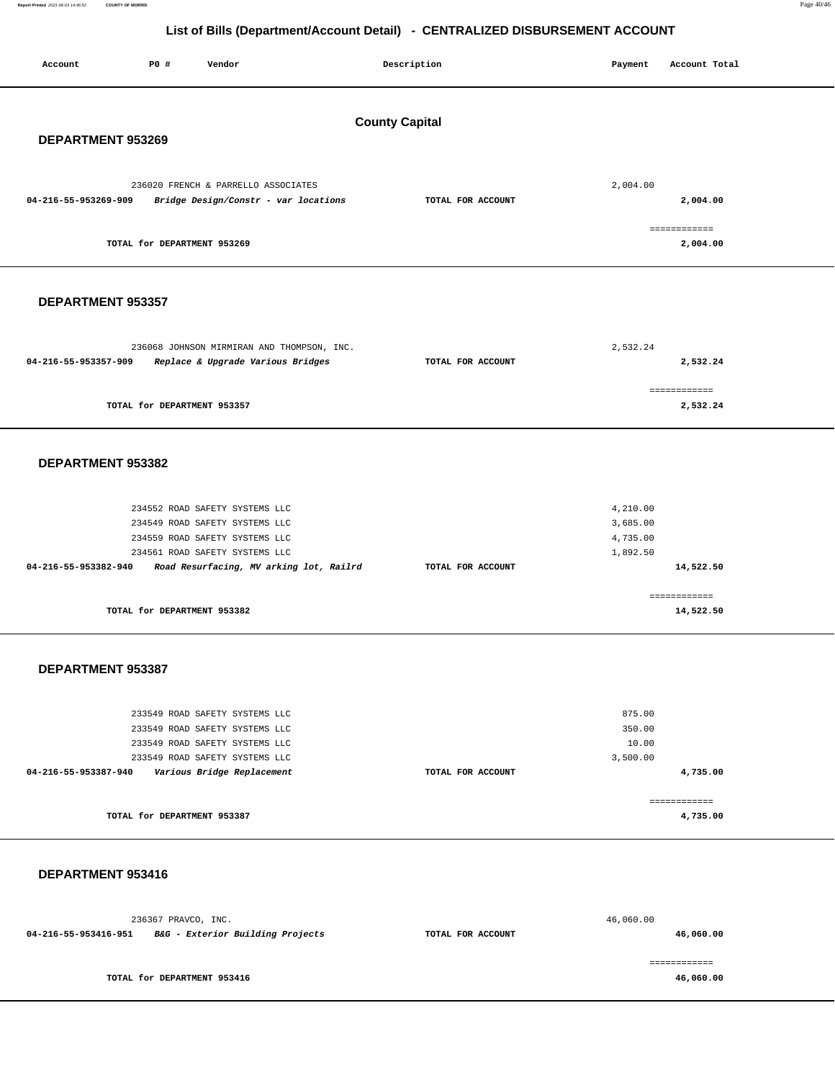**Report Printed** 2021-06-03 14:46:52 **COUNTY OF MORRIS** Page 40/46

**4,735.00**

============ **4,735.00**

## **List of Bills (Department/Account Detail) - CENTRALIZED DISBURSEMENT ACCOUNT**

|                      | -- <b>-</b> --- 1<br>" "P" "  "  "  " |                                                                           |                       |                   |          |               |
|----------------------|---------------------------------------|---------------------------------------------------------------------------|-----------------------|-------------------|----------|---------------|
| Account              | P0 #                                  | Vendor                                                                    |                       | Description       | Payment  | Account Total |
|                      |                                       |                                                                           | <b>County Capital</b> |                   |          |               |
| DEPARTMENT 953269    |                                       |                                                                           |                       |                   |          |               |
| 04-216-55-953269-909 |                                       | 236020 FRENCH & PARRELLO ASSOCIATES                                       |                       | TOTAL FOR ACCOUNT | 2,004.00 | 2,004.00      |
|                      |                                       | Bridge Design/Constr - var locations                                      |                       |                   |          | ============  |
|                      | TOTAL for DEPARTMENT 953269           |                                                                           |                       |                   |          | 2,004.00      |
| DEPARTMENT 953357    |                                       |                                                                           |                       |                   |          |               |
|                      |                                       |                                                                           |                       |                   |          |               |
|                      |                                       | 236068 JOHNSON MIRMIRAN AND THOMPSON, INC.                                |                       |                   | 2,532.24 |               |
| 04-216-55-953357-909 |                                       | Replace & Upgrade Various Bridges                                         |                       | TOTAL FOR ACCOUNT |          | 2,532.24      |
|                      |                                       |                                                                           |                       |                   |          |               |
|                      |                                       |                                                                           |                       |                   |          | ============  |
|                      | TOTAL for DEPARTMENT 953357           |                                                                           |                       |                   |          | 2,532.24      |
|                      |                                       |                                                                           |                       |                   |          |               |
| DEPARTMENT 953382    |                                       |                                                                           |                       |                   |          |               |
|                      |                                       | 234552 ROAD SAFETY SYSTEMS LLC                                            |                       |                   | 4,210.00 |               |
|                      |                                       | 234549 ROAD SAFETY SYSTEMS LLC                                            |                       |                   | 3,685.00 |               |
|                      |                                       | 234559 ROAD SAFETY SYSTEMS LLC                                            |                       |                   | 4,735.00 |               |
| 04-216-55-953382-940 |                                       | 234561 ROAD SAFETY SYSTEMS LLC<br>Road Resurfacing, MV arking lot, Railrd |                       | TOTAL FOR ACCOUNT | 1,892.50 | 14,522.50     |
|                      |                                       |                                                                           |                       |                   |          | ============  |
|                      | TOTAL for DEPARTMENT 953382           |                                                                           |                       |                   |          | 14,522.50     |
|                      |                                       |                                                                           |                       |                   |          |               |
| DEPARTMENT 953387    |                                       |                                                                           |                       |                   |          |               |
|                      |                                       | 233549 ROAD SAFETY SYSTEMS LLC                                            |                       |                   | 875.00   |               |
|                      |                                       | 233549 ROAD SAFETY SYSTEMS LLC                                            |                       |                   | 350.00   |               |
|                      |                                       | 233549 ROAD SAFETY SYSTEMS LLC                                            |                       |                   | 10.00    |               |
|                      |                                       | 233549 ROAD SAFETY SYSTEMS LLC                                            |                       |                   | 3,500.00 |               |

**TOTAL for DEPARTMENT 953387** 

**04-216-55-953387-940 Various Bridge Replacement TOTAL FOR ACCOUNT** 

## **DEPARTMENT 953416**

|                      | 236367 PRAVCO, INC.              |                   | 46,060.00 |
|----------------------|----------------------------------|-------------------|-----------|
| 04-216-55-953416-951 | B&G - Exterior Building Projects | TOTAL FOR ACCOUNT | 46,060.00 |
|                      |                                  |                   |           |
|                      | TOTAL for DEPARTMENT 953416      |                   | 46,060.00 |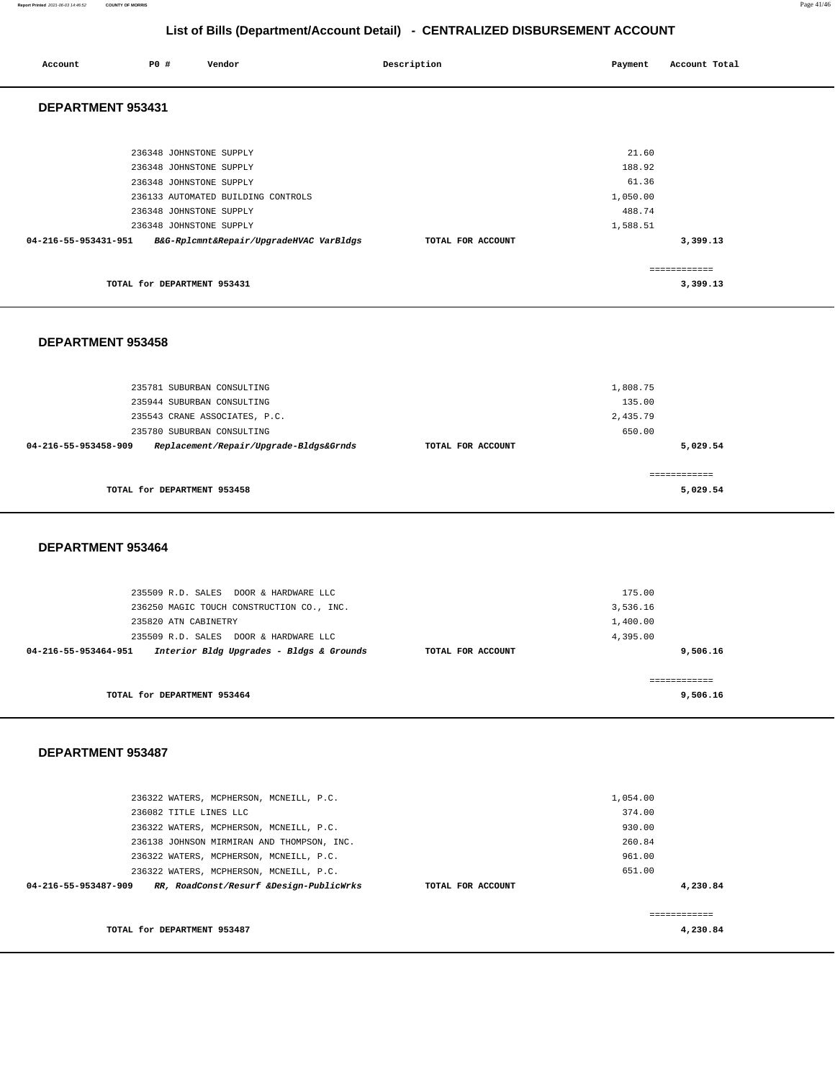#### **Report Printed** 2021-06-03 14:46:52 **COUNTY OF MORRIS** Page 41/46

# **List of Bills (Department/Account Detail) - CENTRALIZED DISBURSEMENT ACCOUNT**

| Account              | P0 #                                                                          | Vendor                                  | Description       | Payment                              | Account Total            |
|----------------------|-------------------------------------------------------------------------------|-----------------------------------------|-------------------|--------------------------------------|--------------------------|
| DEPARTMENT 953431    |                                                                               |                                         |                   |                                      |                          |
|                      | 236348 JOHNSTONE SUPPLY<br>236348 JOHNSTONE SUPPLY<br>236348 JOHNSTONE SUPPLY | 236133 AUTOMATED BUILDING CONTROLS      |                   | 21.60<br>188.92<br>61.36<br>1,050.00 |                          |
|                      | 236348 JOHNSTONE SUPPLY<br>236348 JOHNSTONE SUPPLY                            |                                         |                   | 488.74<br>1,588.51                   |                          |
| 04-216-55-953431-951 |                                                                               | B&G-Rplcmnt&Repair/UpgradeHVAC VarBldgs | TOTAL FOR ACCOUNT |                                      | 3,399.13                 |
|                      | TOTAL for DEPARTMENT 953431                                                   |                                         |                   |                                      | ------------<br>3,399.13 |

#### **DEPARTMENT 953458**

| 235781 SUBURBAN CONSULTING                                     |                   | 1,808.75     |
|----------------------------------------------------------------|-------------------|--------------|
| 235944 SUBURBAN CONSULTING                                     |                   | 135.00       |
| 235543 CRANE ASSOCIATES, P.C.                                  |                   | 2,435.79     |
| 235780 SUBURBAN CONSULTING                                     |                   | 650.00       |
| Replacement/Repair/Upgrade-Bldgs&Grnds<br>04-216-55-953458-909 | TOTAL FOR ACCOUNT | 5,029.54     |
|                                                                |                   |              |
|                                                                |                   | ------------ |
| TOTAL for DEPARTMENT 953458                                    |                   | 5,029.54     |
|                                                                |                   |              |

#### **DEPARTMENT 953464**

| 235509 R.D. SALES DOOR & HARDWARE LLC                                                 | 175.00   |
|---------------------------------------------------------------------------------------|----------|
| 236250 MAGIC TOUCH CONSTRUCTION CO., INC.                                             | 3,536.16 |
| 235820 ATN CABINETRY                                                                  | 1,400.00 |
| 235509 R.D. SALES DOOR & HARDWARE LLC                                                 | 4,395.00 |
| Interior Bldg Upgrades - Bldgs & Grounds<br>04-216-55-953464-951<br>TOTAL FOR ACCOUNT | 9,506.16 |
|                                                                                       |          |
| TOTAL for DEPARTMENT 953464                                                           | 9,506.16 |

#### **DEPARTMENT 953487**

| TOTAL for DEPARTMENT 953487                                     |                   | 4,230.84 |  |
|-----------------------------------------------------------------|-------------------|----------|--|
| RR, RoadConst/Resurf &Design-PublicWrks<br>04-216-55-953487-909 | TOTAL FOR ACCOUNT | 4,230.84 |  |
| 236322 WATERS, MCPHERSON, MCNEILL, P.C.                         |                   | 651.00   |  |
| 236322 WATERS, MCPHERSON, MCNEILL, P.C.                         |                   | 961.00   |  |
| 236138 JOHNSON MIRMIRAN AND THOMPSON, INC.                      |                   | 260.84   |  |
| 236322 WATERS, MCPHERSON, MCNEILL, P.C.                         |                   | 930.00   |  |
| 236082 TITLE LINES LLC                                          |                   | 374.00   |  |
| 236322 WATERS, MCPHERSON, MCNEILL, P.C.                         |                   | 1,054.00 |  |
|                                                                 |                   |          |  |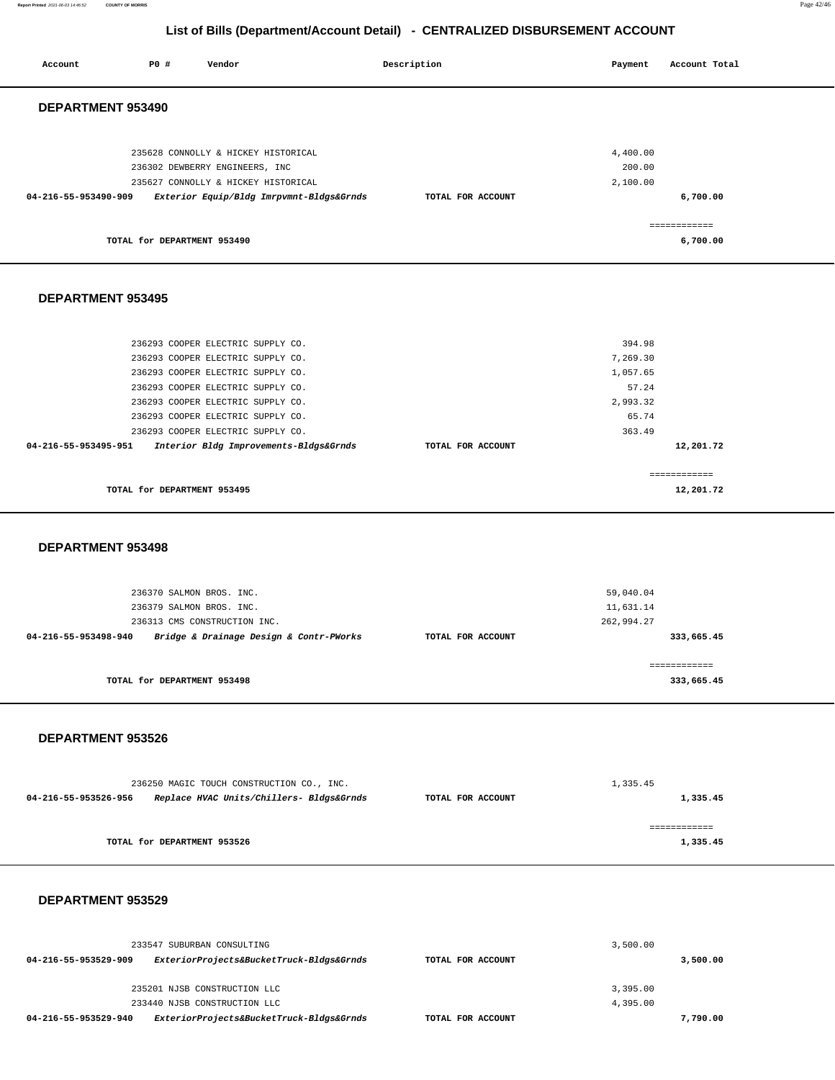**Report Printed** 2021-06-03 14:46:52 **COUNTY OF MORRIS** Page 42/46

# **List of Bills (Department/Account Detail) - CENTRALIZED DISBURSEMENT ACCOUNT**

| Account              | P0 #                                                 | Vendor                                                                                                                                                                                                                                                                                                    | Description       |            | Payment                                                                | Account Total              |  |
|----------------------|------------------------------------------------------|-----------------------------------------------------------------------------------------------------------------------------------------------------------------------------------------------------------------------------------------------------------------------------------------------------------|-------------------|------------|------------------------------------------------------------------------|----------------------------|--|
| DEPARTMENT 953490    |                                                      |                                                                                                                                                                                                                                                                                                           |                   |            |                                                                        |                            |  |
| 04-216-55-953490-909 |                                                      | 235628 CONNOLLY & HICKEY HISTORICAL<br>236302 DEWBERRY ENGINEERS, INC<br>235627 CONNOLLY & HICKEY HISTORICAL<br>Exterior Equip/Bldg Imrpvmnt-Bldgs&Grnds                                                                                                                                                  | TOTAL FOR ACCOUNT |            | 4,400.00<br>200.00<br>2,100.00                                         | 6,700.00                   |  |
|                      | TOTAL for DEPARTMENT 953490                          |                                                                                                                                                                                                                                                                                                           |                   |            |                                                                        | ============<br>6,700.00   |  |
| DEPARTMENT 953495    |                                                      |                                                                                                                                                                                                                                                                                                           |                   |            |                                                                        |                            |  |
| 04-216-55-953495-951 |                                                      | 236293 COOPER ELECTRIC SUPPLY CO.<br>236293 COOPER ELECTRIC SUPPLY CO.<br>236293 COOPER ELECTRIC SUPPLY CO.<br>236293 COOPER ELECTRIC SUPPLY CO.<br>236293 COOPER ELECTRIC SUPPLY CO.<br>236293 COOPER ELECTRIC SUPPLY CO.<br>236293 COOPER ELECTRIC SUPPLY CO.<br>Interior Bldg Improvements-Bldgs&Grnds | TOTAL FOR ACCOUNT |            | 394.98<br>7,269.30<br>1,057.65<br>57.24<br>2,993.32<br>65.74<br>363.49 | 12,201.72<br>------------  |  |
|                      | TOTAL for DEPARTMENT 953495                          |                                                                                                                                                                                                                                                                                                           |                   |            |                                                                        | 12,201.72                  |  |
| DEPARTMENT 953498    |                                                      |                                                                                                                                                                                                                                                                                                           |                   |            |                                                                        |                            |  |
| 04-216-55-953498-940 | 236370 SALMON BROS. INC.<br>236379 SALMON BROS. INC. | 236313 CMS CONSTRUCTION INC.<br>Bridge & Drainage Design & Contr-PWorks                                                                                                                                                                                                                                   | TOTAL FOR ACCOUNT | 262,994.27 | 59,040.04<br>11,631.14                                                 | 333,665.45<br>============ |  |
|                      | TOTAL for DEPARTMENT 953498                          |                                                                                                                                                                                                                                                                                                           |                   |            |                                                                        | 333,665.45                 |  |
| DEPARTMENT 953526    |                                                      |                                                                                                                                                                                                                                                                                                           |                   |            |                                                                        |                            |  |
| 04-216-55-953526-956 |                                                      | 236250 MAGIC TOUCH CONSTRUCTION CO., INC.<br>Replace HVAC Units/Chillers- Bldgs&Grnds                                                                                                                                                                                                                     | TOTAL FOR ACCOUNT |            | 1,335.45                                                               | 1,335.45                   |  |
|                      | TOTAL for DEPARTMENT 953526                          |                                                                                                                                                                                                                                                                                                           |                   |            |                                                                        | ============<br>1,335.45   |  |
| DEPARTMENT 953529    |                                                      |                                                                                                                                                                                                                                                                                                           |                   |            |                                                                        |                            |  |
|                      |                                                      | 233547 SUBURBAN CONSULTING                                                                                                                                                                                                                                                                                |                   |            | 3,500.00                                                               |                            |  |

|                      | 233947 SUBURBAN CONSULIING               |                   | 3,500.00 |
|----------------------|------------------------------------------|-------------------|----------|
| 04-216-55-953529-909 | ExteriorProjects&BucketTruck-Bldgs&Grnds | TOTAL FOR ACCOUNT | 3,500.00 |
|                      | 235201 NJSB CONSTRUCTION LLC             |                   | 3,395,00 |
|                      | 233440 NJSB CONSTRUCTION LLC             |                   | 4,395,00 |
| 04-216-55-953529-940 | ExteriorProjects&BucketTruck-Bldgs&Grnds | TOTAL FOR ACCOUNT | 7,790.00 |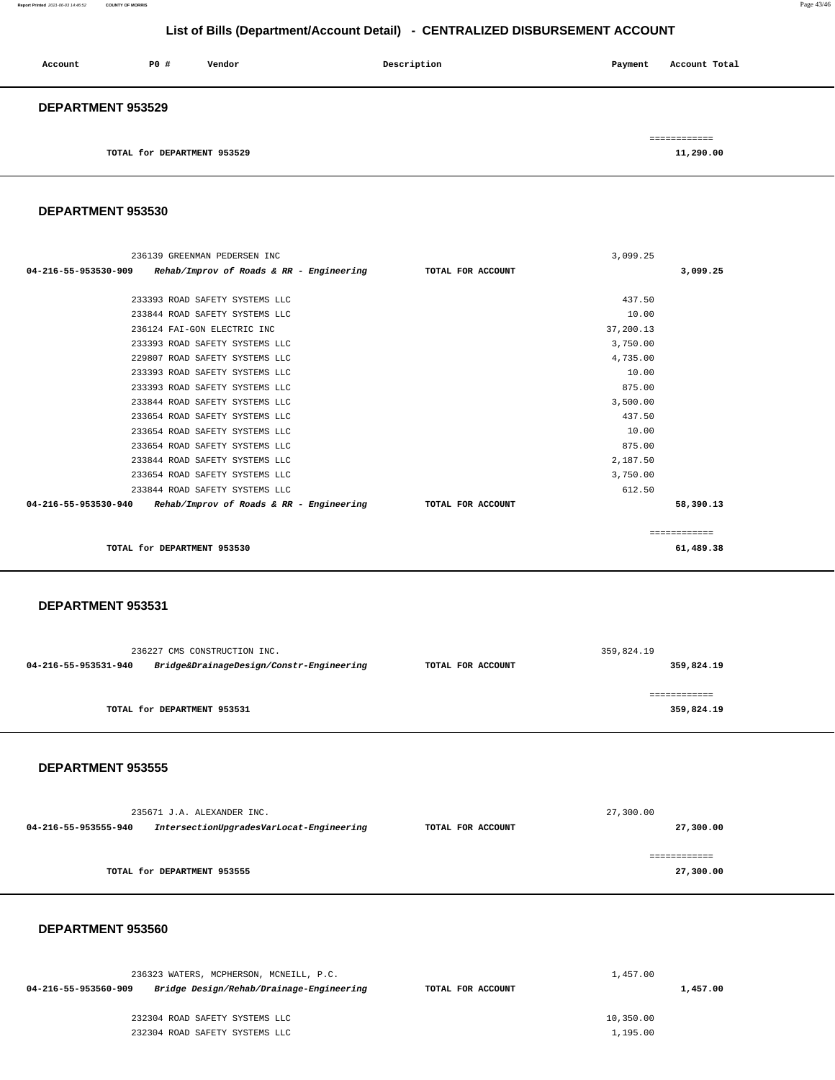**Report Printed** 2021-06-03 14:46:52 **COUNTY OF MORRIS** Page 43/46

# **List of Bills (Department/Account Detail) - CENTRALIZED DISBURSEMENT ACCOUNT**

| Account                  | PO#                         | Vendor | Description | Payment | Account Total |  |
|--------------------------|-----------------------------|--------|-------------|---------|---------------|--|
| <b>DEPARTMENT 953529</b> |                             |        |             |         |               |  |
|                          |                             |        |             |         | ============  |  |
|                          | TOTAL for DEPARTMENT 953529 |        |             |         | 11,290.00     |  |

**DEPARTMENT 953530** 

| 236139 GREENMAN PEDERSEN INC                                    |                   | 3,099.25  |              |
|-----------------------------------------------------------------|-------------------|-----------|--------------|
| $04-216-55-953530-909$ Rehab/Improv of Roads & RR - Engineering | TOTAL FOR ACCOUNT |           | 3,099.25     |
|                                                                 |                   |           |              |
| 233393 ROAD SAFETY SYSTEMS LLC                                  |                   | 437.50    |              |
| 233844 ROAD SAFETY SYSTEMS LLC                                  |                   | 10.00     |              |
| 236124 FAI-GON ELECTRIC INC                                     |                   | 37,200.13 |              |
| 233393 ROAD SAFETY SYSTEMS LLC                                  |                   | 3,750.00  |              |
| 229807 ROAD SAFETY SYSTEMS LLC                                  |                   | 4,735.00  |              |
| 233393 ROAD SAFETY SYSTEMS LLC                                  |                   | 10.00     |              |
| 233393 ROAD SAFETY SYSTEMS LLC                                  |                   | 875.00    |              |
| 233844 ROAD SAFETY SYSTEMS LLC                                  |                   | 3,500.00  |              |
| 233654 ROAD SAFETY SYSTEMS LLC                                  |                   | 437.50    |              |
| 233654 ROAD SAFETY SYSTEMS LLC                                  |                   | 10.00     |              |
| 233654 ROAD SAFETY SYSTEMS LLC                                  |                   | 875.00    |              |
| 233844 ROAD SAFETY SYSTEMS LLC                                  |                   | 2,187.50  |              |
| 233654 ROAD SAFETY SYSTEMS LLC                                  |                   | 3,750.00  |              |
| 233844 ROAD SAFETY SYSTEMS LLC                                  |                   | 612.50    |              |
| $04-216-55-953530-940$ Rehab/Improv of Roads & RR - Engineering | TOTAL FOR ACCOUNT |           | 58,390.13    |
|                                                                 |                   |           |              |
|                                                                 |                   |           | ============ |
| TOTAL for DEPARTMENT 953530                                     |                   |           | 61,489.38    |
|                                                                 |                   |           |              |

#### **DEPARTMENT 953531**

| 359,824.19                      |
|---------------------------------|
| 359,824.19<br>TOTAL FOR ACCOUNT |
| ============<br>359,824.19      |
|                                 |

#### **DEPARTMENT 953555**

|                      | 235671 J.A. ALEXANDER INC.               |                   | 27,300.00 |
|----------------------|------------------------------------------|-------------------|-----------|
| 04-216-55-953555-940 | IntersectionUpgradesVarLocat-Engineering | TOTAL FOR ACCOUNT | 27,300.00 |
|                      |                                          |                   |           |
|                      |                                          |                   |           |
|                      | TOTAL for DEPARTMENT 953555              |                   | 27,300.00 |

#### **DEPARTMENT 953560**

| 236323 WATERS, MCPHERSON, MCNEILL, P.C.                          |                   | 1,457.00  |
|------------------------------------------------------------------|-------------------|-----------|
| Bridge Design/Rehab/Drainage-Engineering<br>04-216-55-953560-909 | TOTAL FOR ACCOUNT | 1,457.00  |
| 232304 ROAD SAFETY SYSTEMS LLC                                   |                   | 10,350.00 |
| 232304 ROAD SAFETY SYSTEMS LLC                                   |                   | 1,195.00  |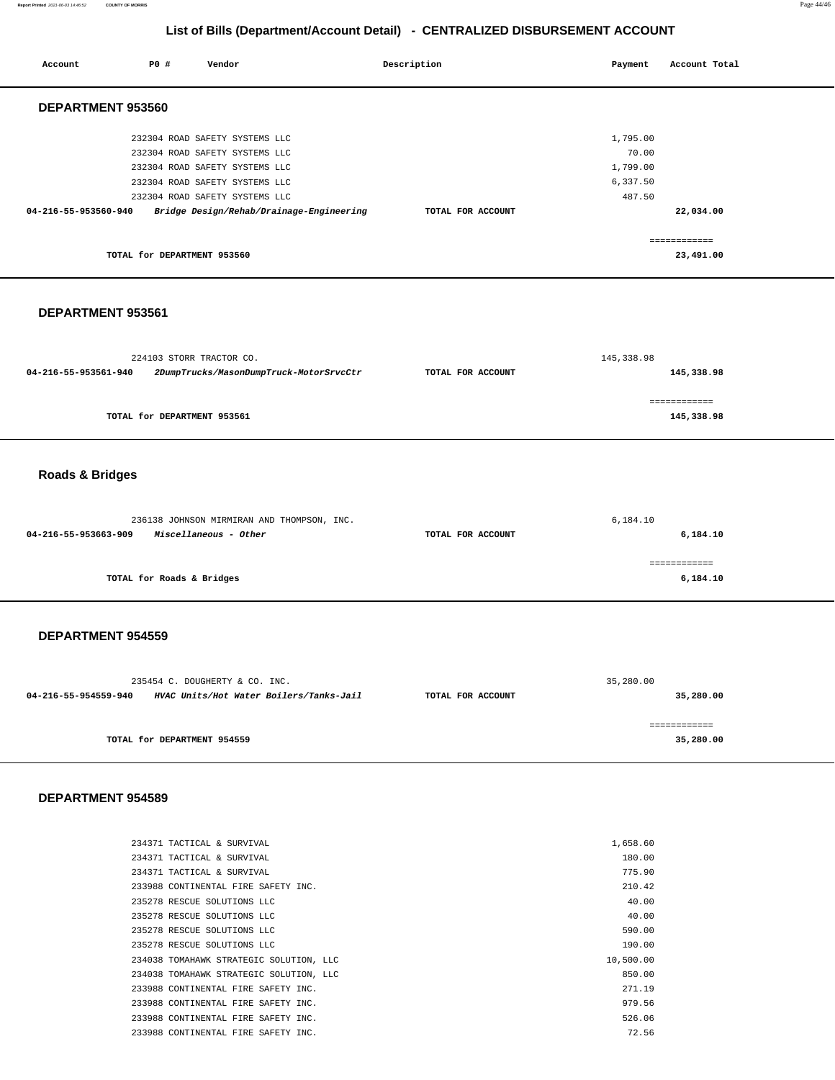| Account                    | P0 #                        | Vendor                                                                                                                                                                                                             | Description       | Payment                                             | Account Total              |
|----------------------------|-----------------------------|--------------------------------------------------------------------------------------------------------------------------------------------------------------------------------------------------------------------|-------------------|-----------------------------------------------------|----------------------------|
| DEPARTMENT 953560          |                             |                                                                                                                                                                                                                    |                   |                                                     |                            |
| 04-216-55-953560-940       |                             | 232304 ROAD SAFETY SYSTEMS LLC<br>232304 ROAD SAFETY SYSTEMS LLC<br>232304 ROAD SAFETY SYSTEMS LLC<br>232304 ROAD SAFETY SYSTEMS LLC<br>232304 ROAD SAFETY SYSTEMS LLC<br>Bridge Design/Rehab/Drainage-Engineering | TOTAL FOR ACCOUNT | 1,795.00<br>70.00<br>1,799.00<br>6,337.50<br>487.50 | 22,034.00                  |
|                            | TOTAL for DEPARTMENT 953560 |                                                                                                                                                                                                                    |                   |                                                     | ============<br>23,491.00  |
| DEPARTMENT 953561          |                             |                                                                                                                                                                                                                    |                   |                                                     |                            |
| 04-216-55-953561-940       |                             | 224103 STORR TRACTOR CO.<br>2DumpTrucks/MasonDumpTruck-MotorSrvcCtr                                                                                                                                                | TOTAL FOR ACCOUNT | 145,338.98                                          | 145,338.98<br>============ |
|                            | TOTAL for DEPARTMENT 953561 |                                                                                                                                                                                                                    |                   |                                                     | 145,338.98                 |
| <b>Roads &amp; Bridges</b> |                             |                                                                                                                                                                                                                    |                   |                                                     |                            |
| 04-216-55-953663-909       |                             | 236138 JOHNSON MIRMIRAN AND THOMPSON, INC.<br>Miscellaneous - Other                                                                                                                                                | TOTAL FOR ACCOUNT | 6,184.10                                            | 6,184.10                   |
|                            | TOTAL for Roads & Bridges   |                                                                                                                                                                                                                    |                   |                                                     | ============<br>6,184.10   |
| DEPARTMENT 954559          |                             |                                                                                                                                                                                                                    |                   |                                                     |                            |
| 04-216-55-954559-940       |                             | 235454 C. DOUGHERTY & CO. INC.<br>HVAC Units/Hot Water Boilers/Tanks-Jail                                                                                                                                          | TOTAL FOR ACCOUNT | 35,280.00                                           | 35,280.00                  |
|                            | TOTAL for DEPARTMENT 954559 |                                                                                                                                                                                                                    |                   |                                                     | ------------<br>35,280.00  |
| DEPARTMENT 954589          |                             |                                                                                                                                                                                                                    |                   |                                                     |                            |
|                            |                             | 234371 TACTICAL & SURVIVAL                                                                                                                                                                                         |                   | 1,658.60                                            |                            |

| 180.00                                                                                                                                                                                                                                                                                                                                                                                                                                                                        |
|-------------------------------------------------------------------------------------------------------------------------------------------------------------------------------------------------------------------------------------------------------------------------------------------------------------------------------------------------------------------------------------------------------------------------------------------------------------------------------|
| 775.90                                                                                                                                                                                                                                                                                                                                                                                                                                                                        |
| 210.42                                                                                                                                                                                                                                                                                                                                                                                                                                                                        |
| 40.00                                                                                                                                                                                                                                                                                                                                                                                                                                                                         |
| 40.00                                                                                                                                                                                                                                                                                                                                                                                                                                                                         |
| 590.00                                                                                                                                                                                                                                                                                                                                                                                                                                                                        |
| 190.00                                                                                                                                                                                                                                                                                                                                                                                                                                                                        |
| 10,500.00                                                                                                                                                                                                                                                                                                                                                                                                                                                                     |
| 850.00                                                                                                                                                                                                                                                                                                                                                                                                                                                                        |
| 271.19                                                                                                                                                                                                                                                                                                                                                                                                                                                                        |
| 979.56                                                                                                                                                                                                                                                                                                                                                                                                                                                                        |
| 526.06                                                                                                                                                                                                                                                                                                                                                                                                                                                                        |
| 72.56                                                                                                                                                                                                                                                                                                                                                                                                                                                                         |
| 234371 TACTICAL & SURVIVAL<br>234371 TACTICAL & SURVIVAL<br>233988 CONTINENTAL FIRE SAFETY INC.<br>235278 RESCUE SOLUTIONS LLC<br>235278 RESCUE SOLUTIONS LLC<br>235278 RESCUE SOLUTIONS LLC<br>235278 RESCUE SOLUTIONS LLC<br>234038 TOMAHAWK STRATEGIC SOLUTION, LLC<br>234038 TOMAHAWK STRATEGIC SOLUTION, LLC<br>233988 CONTINENTAL FIRE SAFETY INC.<br>233988 CONTINENTAL FIRE SAFETY INC.<br>233988 CONTINENTAL FIRE SAFETY INC.<br>233988 CONTINENTAL FIRE SAFETY INC. |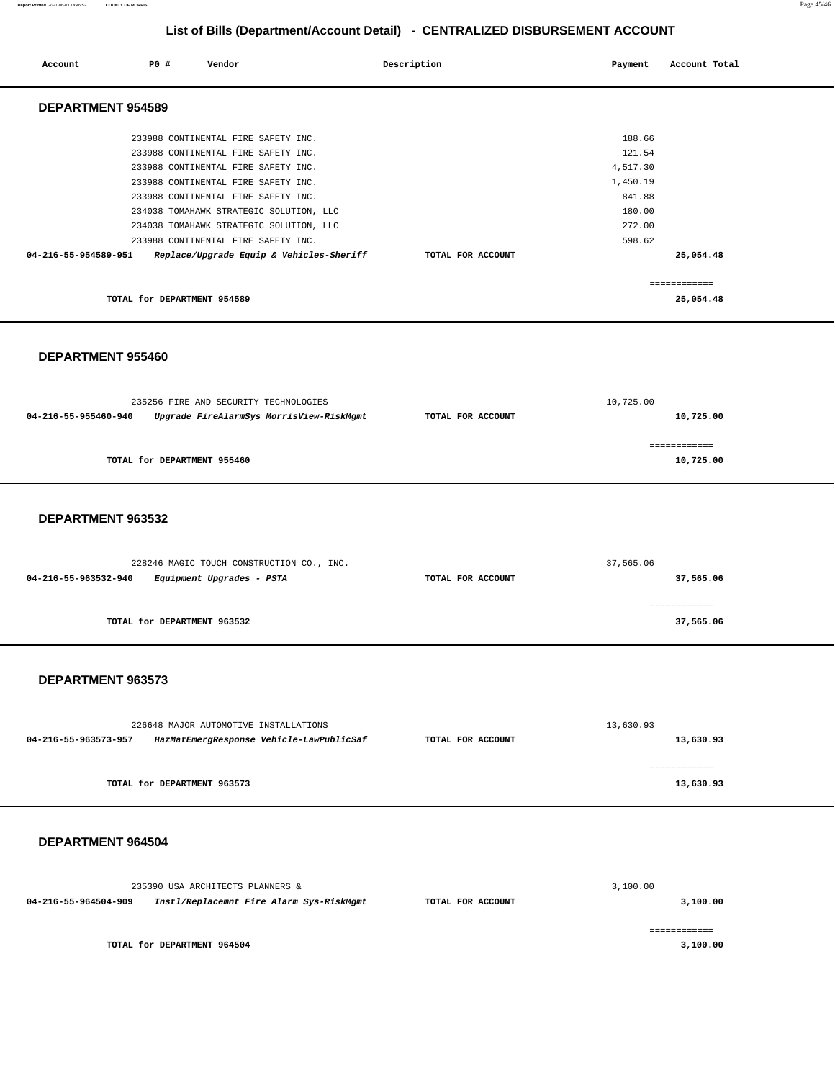#### **Report Printed** 2021-06-03 14:46:52 **COUNTY OF MORRIS** Page 45/46

# **List of Bills (Department/Account Detail) - CENTRALIZED DISBURSEMENT ACCOUNT**

| Account                  | PO#                         | Vendor                                   | Description       | Payment  | Account Total |
|--------------------------|-----------------------------|------------------------------------------|-------------------|----------|---------------|
| <b>DEPARTMENT 954589</b> |                             |                                          |                   |          |               |
|                          |                             | 233988 CONTINENTAL FIRE SAFETY INC.      |                   | 188.66   |               |
|                          |                             | 233988 CONTINENTAL FIRE SAFETY INC.      |                   | 121.54   |               |
|                          |                             | 233988 CONTINENTAL FIRE SAFETY INC.      |                   | 4,517.30 |               |
|                          |                             | 233988 CONTINENTAL FIRE SAFETY INC.      |                   | 1,450.19 |               |
|                          |                             | 233988 CONTINENTAL FIRE SAFETY INC.      |                   | 841.88   |               |
|                          |                             | 234038 TOMAHAWK STRATEGIC SOLUTION, LLC  |                   | 180.00   |               |
|                          |                             | 234038 TOMAHAWK STRATEGIC SOLUTION, LLC  |                   | 272.00   |               |
|                          |                             | 233988 CONTINENTAL FIRE SAFETY INC.      |                   | 598.62   |               |
| 04-216-55-954589-951     |                             | Replace/Upgrade Equip & Vehicles-Sheriff | TOTAL FOR ACCOUNT |          | 25,054.48     |
|                          |                             |                                          |                   |          | ============  |
|                          | TOTAL for DEPARTMENT 954589 |                                          |                   |          | 25,054.48     |
|                          |                             |                                          |                   |          |               |

#### **DEPARTMENT 955460**

|                      | 235256 FIRE AND SECURITY TECHNOLOGIES    |                   | 10,725.00    |  |
|----------------------|------------------------------------------|-------------------|--------------|--|
| 04-216-55-955460-940 | Upgrade FireAlarmSys MorrisView-RiskMgmt | TOTAL FOR ACCOUNT | 10,725.00    |  |
|                      |                                          |                   |              |  |
|                      |                                          |                   | ============ |  |
|                      | TOTAL for DEPARTMENT 955460              |                   | 10,725.00    |  |
|                      |                                          |                   |              |  |

#### **DEPARTMENT 963532**

| 228246 MAGIC TOUCH CONSTRUCTION CO., INC.         | 37,565.06         |              |  |
|---------------------------------------------------|-------------------|--------------|--|
| Equipment Upgrades - PSTA<br>04-216-55-963532-940 | TOTAL FOR ACCOUNT | 37,565.06    |  |
|                                                   |                   |              |  |
|                                                   |                   | ------------ |  |
| TOTAL for DEPARTMENT 963532                       |                   | 37,565.06    |  |
|                                                   |                   |              |  |

#### **DEPARTMENT 963573**

| 226648 MAJOR AUTOMOTIVE INSTALLATIONS                            |                   | 13,630.93 |
|------------------------------------------------------------------|-------------------|-----------|
| HazMatEmergResponse Vehicle-LawPublicSaf<br>04-216-55-963573-957 | TOTAL FOR ACCOUNT | 13,630.93 |
|                                                                  |                   |           |
| TOTAL for DEPARTMENT 963573                                      |                   | 13,630.93 |

#### **DEPARTMENT 964504**

|                      | 235390 USA ARCHITECTS PLANNERS &         |                   | 3,100.00 |
|----------------------|------------------------------------------|-------------------|----------|
| 04-216-55-964504-909 | Instl/Replacemnt Fire Alarm Sys-RiskMgmt | TOTAL FOR ACCOUNT | 3,100.00 |
|                      | TOTAL for DEPARTMENT 964504              |                   | 3,100.00 |